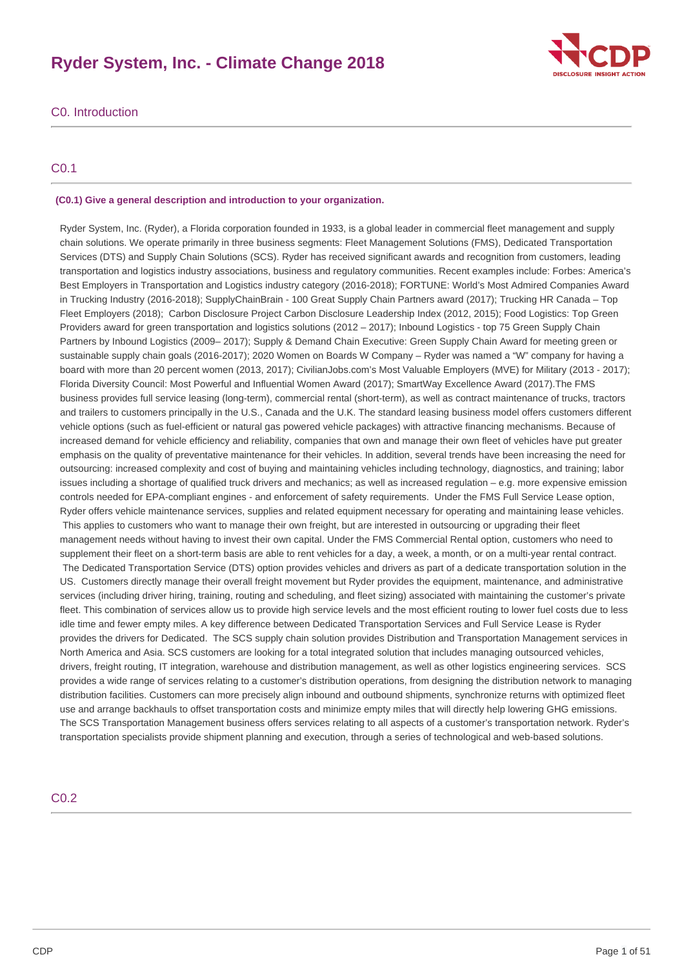# **Ryder System, Inc. - Climate Change 2018**



# C0. Introduction

# C0.1

# **(C0.1) Give a general description and introduction to your organization.**

 Ryder System, Inc. (Ryder), a Florida corporation founded in 1933, is a global leader in commercial fleet management and supply chain solutions. We operate primarily in three business segments: Fleet Management Solutions (FMS), Dedicated Transportation Services (DTS) and Supply Chain Solutions (SCS). Ryder has received significant awards and recognition from customers, leading transportation and logistics industry associations, business and regulatory communities. Recent examples include: Forbes: America's Best Employers in Transportation and Logistics industry category (2016-2018); FORTUNE: World's Most Admired Companies Award in Trucking Industry (2016-2018); SupplyChainBrain - 100 Great Supply Chain Partners award (2017); Trucking HR Canada – Top Fleet Employers (2018); Carbon Disclosure Project Carbon Disclosure Leadership Index (2012, 2015); Food Logistics: Top Green Providers award for green transportation and logistics solutions (2012 – 2017); Inbound Logistics - top 75 Green Supply Chain Partners by Inbound Logistics (2009– 2017); Supply & Demand Chain Executive: Green Supply Chain Award for meeting green or sustainable supply chain goals (2016-2017); 2020 Women on Boards W Company – Ryder was named a "W" company for having a board with more than 20 percent women (2013, 2017); CivilianJobs.com's Most Valuable Employers (MVE) for Military (2013 - 2017); Florida Diversity Council: Most Powerful and Influential Women Award (2017); SmartWay Excellence Award (2017).The FMS business provides full service leasing (long-term), commercial rental (short-term), as well as contract maintenance of trucks, tractors and trailers to customers principally in the U.S., Canada and the U.K. The standard leasing business model offers customers different vehicle options (such as fuel-efficient or natural gas powered vehicle packages) with attractive financing mechanisms. Because of increased demand for vehicle efficiency and reliability, companies that own and manage their own fleet of vehicles have put greater emphasis on the quality of preventative maintenance for their vehicles. In addition, several trends have been increasing the need for outsourcing: increased complexity and cost of buying and maintaining vehicles including technology, diagnostics, and training; labor issues including a shortage of qualified truck drivers and mechanics; as well as increased regulation – e.g. more expensive emission controls needed for EPA-compliant engines - and enforcement of safety requirements. Under the FMS Full Service Lease option, Ryder offers vehicle maintenance services, supplies and related equipment necessary for operating and maintaining lease vehicles. This applies to customers who want to manage their own freight, but are interested in outsourcing or upgrading their fleet management needs without having to invest their own capital. Under the FMS Commercial Rental option, customers who need to supplement their fleet on a short-term basis are able to rent vehicles for a day, a week, a month, or on a multi-year rental contract. The Dedicated Transportation Service (DTS) option provides vehicles and drivers as part of a dedicate transportation solution in the US. Customers directly manage their overall freight movement but Ryder provides the equipment, maintenance, and administrative services (including driver hiring, training, routing and scheduling, and fleet sizing) associated with maintaining the customer's private fleet. This combination of services allow us to provide high service levels and the most efficient routing to lower fuel costs due to less idle time and fewer empty miles. A key difference between Dedicated Transportation Services and Full Service Lease is Ryder provides the drivers for Dedicated. The SCS supply chain solution provides Distribution and Transportation Management services in North America and Asia. SCS customers are looking for a total integrated solution that includes managing outsourced vehicles, drivers, freight routing, IT integration, warehouse and distribution management, as well as other logistics engineering services. SCS provides a wide range of services relating to a customer's distribution operations, from designing the distribution network to managing distribution facilities. Customers can more precisely align inbound and outbound shipments, synchronize returns with optimized fleet use and arrange backhauls to offset transportation costs and minimize empty miles that will directly help lowering GHG emissions. The SCS Transportation Management business offers services relating to all aspects of a customer's transportation network. Ryder's transportation specialists provide shipment planning and execution, through a series of technological and web-based solutions.

# C0.2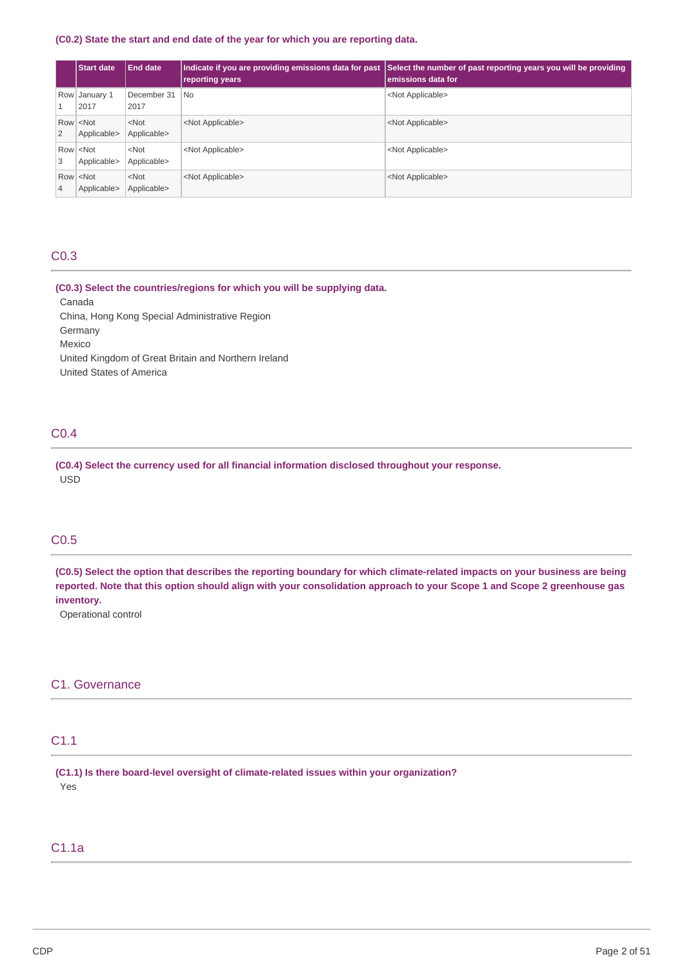### **(C0.2) State the start and end date of the year for which you are reporting data.**

|   | <b>Start date</b>                   | <b>End date</b>        | Indicate if you are providing emissions data for past<br>reporting years | Select the number of past reporting years you will be providing<br>emissions data for |
|---|-------------------------------------|------------------------|--------------------------------------------------------------------------|---------------------------------------------------------------------------------------|
|   | Row January 1<br>2017               | December 31<br>2017    | l No                                                                     | <not applicable=""></not>                                                             |
| 2 | $Row$ < Not<br>Applicable>          | $<$ Not<br>Applicable> | <not applicable=""></not>                                                | <not applicable=""></not>                                                             |
| 3 | Row <not<br>Applicable&gt;</not<br> | $<$ Not<br>Applicable> | <not applicable=""></not>                                                | <not applicable=""></not>                                                             |
| 4 | $Row$ < Not<br>Applicable>          | $<$ Not<br>Applicable> | <not applicable=""></not>                                                | <not applicable=""></not>                                                             |

# C0.3

 **(C0.3) Select the countries/regions for which you will be supplying data.** Canada

 China, Hong Kong Special Administrative Region United Kingdom of Great Britain and Northern Ireland United States of America Germany Mexico

# C0.4

 **(C0.4) Select the currency used for all financial information disclosed throughout your response.** USD

# C0.5

(C0.5) Select the option that describes the reporting boundary for which climate-related impacts on your business are being reported. Note that this option should align with your consolidation approach to your Scope 1 and Scope 2 greenhouse gas **inventory.**

Operational control

# C1. Governance

# C1.1

 **(C1.1) Is there board-level oversight of climate-related issues within your organization?** Yes

# C1.1a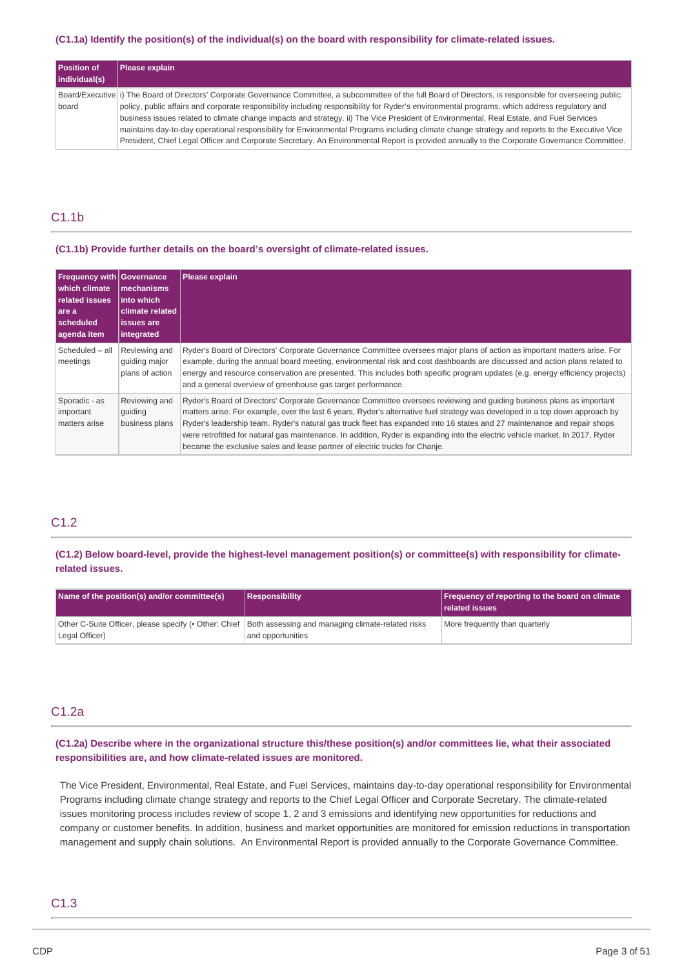### (C1.1a) Identify the position(s) of the individual(s) on the board with responsibility for climate-related issues.

| Position of<br>individual(s) | Please explain                                                                                                                                                  |  |  |
|------------------------------|-----------------------------------------------------------------------------------------------------------------------------------------------------------------|--|--|
|                              | Board/Executive (i) The Board of Directors' Corporate Governance Committee, a subcommittee of the full Board of Directors, is responsible for overseeing public |  |  |
| board                        | policy, public affairs and corporate responsibility including responsibility for Ryder's environmental programs, which address regulatory and                   |  |  |
|                              | business issues related to climate change impacts and strategy. ii) The Vice President of Environmental, Real Estate, and Fuel Services                         |  |  |
|                              | maintains day-to-day operational responsibility for Environmental Programs including climate change strategy and reports to the Executive Vice                  |  |  |
|                              | President, Chief Legal Officer and Corporate Secretary. An Environmental Report is provided annually to the Corporate Governance Committee.                     |  |  |

# C1.1b

### **(C1.1b) Provide further details on the board's oversight of climate-related issues.**

| <b>Frequency with Governance</b><br>which climate<br><b>related issues</b><br>l are a<br>l scheduled<br>agenda item | mechanisms<br>∣into which<br>climate related<br><b>issues</b> are<br>integrated | <b>Please explain</b>                                                                                                                                                                                                                                                                                                                                                                                                                                                                                                                                                                              |
|---------------------------------------------------------------------------------------------------------------------|---------------------------------------------------------------------------------|----------------------------------------------------------------------------------------------------------------------------------------------------------------------------------------------------------------------------------------------------------------------------------------------------------------------------------------------------------------------------------------------------------------------------------------------------------------------------------------------------------------------------------------------------------------------------------------------------|
| Scheduled - all<br>meetings                                                                                         | Reviewing and<br>guiding major<br>plans of action                               | Ryder's Board of Directors' Corporate Governance Committee oversees major plans of action as important matters arise. For<br>example, during the annual board meeting, environmental risk and cost dashboards are discussed and action plans related to<br>energy and resource conservation are presented. This includes both specific program updates (e.g. energy efficiency projects)<br>and a general overview of greenhouse gas target performance.                                                                                                                                           |
| Sporadic - as<br>important<br>matters arise                                                                         | Reviewing and<br>quiding<br>business plans                                      | Ryder's Board of Directors' Corporate Governance Committee oversees reviewing and quiding business plans as important<br>matters arise. For example, over the last 6 years, Ryder's alternative fuel strategy was developed in a top down approach by<br>Ryder's leadership team. Ryder's natural gas truck fleet has expanded into 16 states and 27 maintenance and repair shops<br>were retrofitted for natural gas maintenance. In addition, Ryder is expanding into the electric vehicle market. In 2017, Ryder<br>became the exclusive sales and lease partner of electric trucks for Chanje. |

# C1.2

(C1.2) Below board-level, provide the highest-level management position(s) or committee(s) with responsibility for climate**related issues.**

| Name of the position(s) and/or committee(s)                                                             | Responsibility    | Frequency of reporting to the board on climate<br><b>related issues</b> |
|---------------------------------------------------------------------------------------------------------|-------------------|-------------------------------------------------------------------------|
| Other C-Suite Officer, please specify (• Other: Chief Both assessing and managing climate-related risks |                   | More frequently than quarterly                                          |
| Legal Officer)                                                                                          | and opportunities |                                                                         |

# C1.2a

(C1.2a) Describe where in the organizational structure this/these position(s) and/or committees lie, what their associated  **responsibilities are, and how climate-related issues are monitored.**

 The Vice President, Environmental, Real Estate, and Fuel Services, maintains day-to-day operational responsibility for Environmental Programs including climate change strategy and reports to the Chief Legal Officer and Corporate Secretary. The climate-related issues monitoring process includes review of scope 1, 2 and 3 emissions and identifying new opportunities for reductions and company or customer benefits. In addition, business and market opportunities are monitored for emission reductions in transportation management and supply chain solutions. An Environmental Report is provided annually to the Corporate Governance Committee.

# C1.3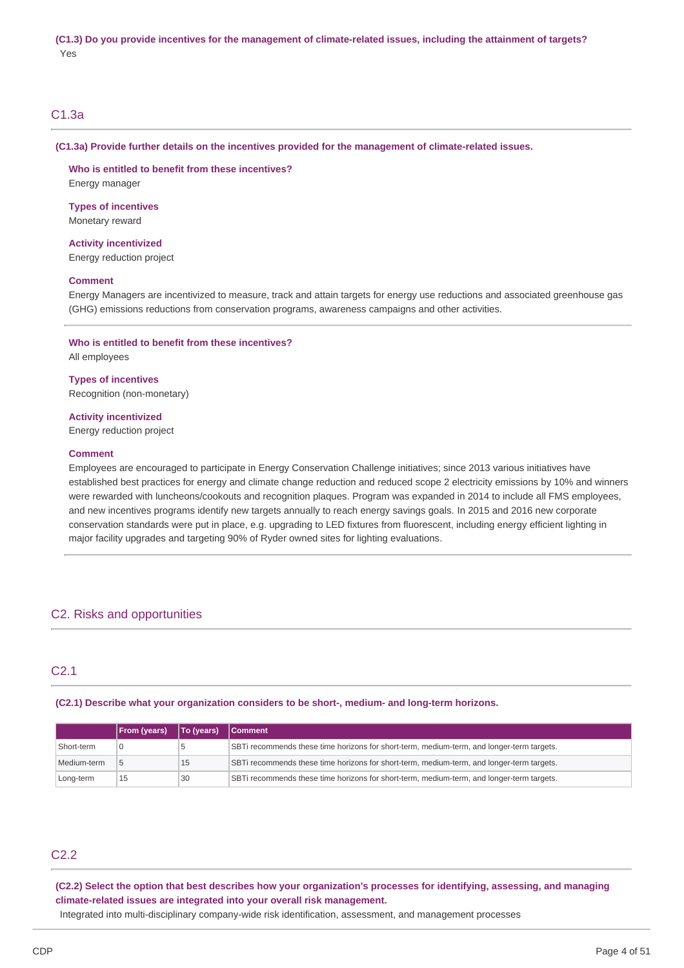# C1.3a

### **(C1.3a) Provide further details on the incentives provided for the management of climate-related issues.**

 **Who is entitled to benefit from these incentives?** Energy manager

 **Types of incentives** Monetary reward

 Energy reduction project **Activity incentivized**

# **Comment**

 Energy Managers are incentivized to measure, track and attain targets for energy use reductions and associated greenhouse gas (GHG) emissions reductions from conservation programs, awareness campaigns and other activities.

### **Who is entitled to benefit from these incentives?**

All employees

 **Types of incentives** Recognition (non-monetary)

### **Activity incentivized**

Energy reduction project

### **Comment**

 Employees are encouraged to participate in Energy Conservation Challenge initiatives; since 2013 various initiatives have established best practices for energy and climate change reduction and reduced scope 2 electricity emissions by 10% and winners were rewarded with luncheons/cookouts and recognition plaques. Program was expanded in 2014 to include all FMS employees, and new incentives programs identify new targets annually to reach energy savings goals. In 2015 and 2016 new corporate conservation standards were put in place, e.g. upgrading to LED fixtures from fluorescent, including energy efficient lighting in major facility upgrades and targeting 90% of Ryder owned sites for lighting evaluations.

# C2. Risks and opportunities

# C2.1

# **(C2.1) Describe what your organization considers to be short-, medium- and long-term horizons.**

|             | <b>From (years)</b> | <b>To (years)</b> | <b>Comment</b>                                                                            |  |
|-------------|---------------------|-------------------|-------------------------------------------------------------------------------------------|--|
| Short-term  |                     |                   | SBTi recommends these time horizons for short-term, medium-term, and longer-term targets. |  |
| Medium-term |                     | 15                | SBTi recommends these time horizons for short-term, medium-term, and longer-term targets. |  |
| Long-term   | 15                  | 30                | SBTi recommends these time horizons for short-term, medium-term, and longer-term targets. |  |

# C2.2

(C2.2) Select the option that best describes how your organization's processes for identifying, assessing, and managing  **climate-related issues are integrated into your overall risk management.** Integrated into multi-disciplinary company-wide risk identification, assessment, and management processes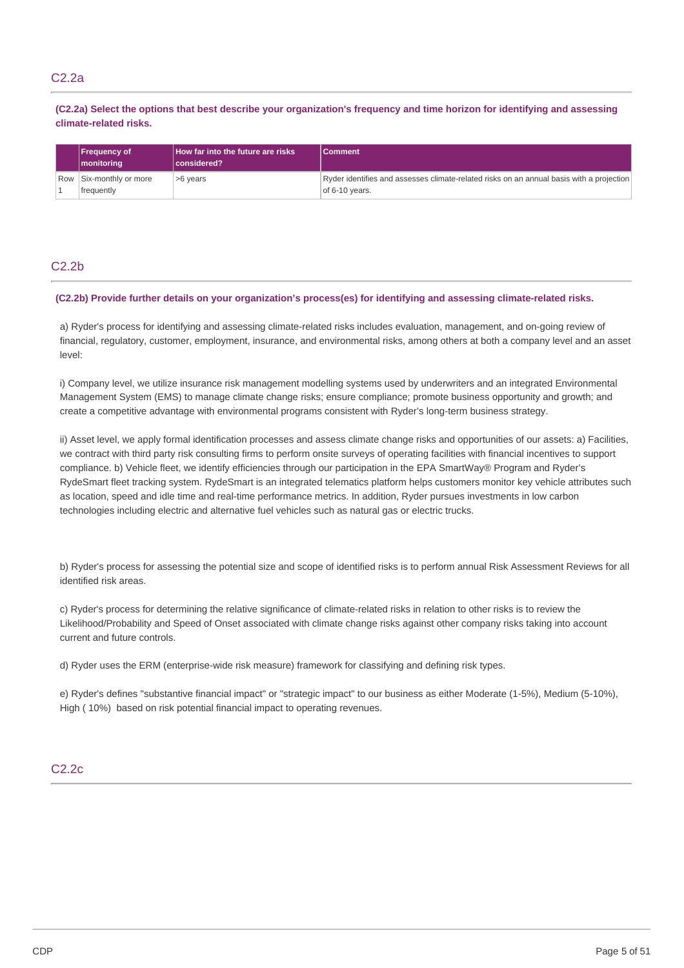# C2.2a

(C2.2a) Select the options that best describe your organization's frequency and time horizon for identifying and assessing **climate-related risks.**

| <b>Frequency of</b><br><u>Imonitorina</u>    | How far into the future are risks<br> considered? | l Comment                                                                                                  |
|----------------------------------------------|---------------------------------------------------|------------------------------------------------------------------------------------------------------------|
| Row Six-monthly or more<br><b>frequently</b> | >6 years                                          | Ryder identifies and assesses climate-related risks on an annual basis with a projection<br>of 6-10 years. |

# C2.2b

### (C2.2b) Provide further details on your organization's process(es) for identifying and assessing climate-related risks.

 a) Ryder's process for identifying and assessing climate-related risks includes evaluation, management, and on-going review of financial, regulatory, customer, employment, insurance, and environmental risks, among others at both a company level and an asset level:

 i) Company level, we utilize insurance risk management modelling systems used by underwriters and an integrated Environmental Management System (EMS) to manage climate change risks; ensure compliance; promote business opportunity and growth; and create a competitive advantage with environmental programs consistent with Ryder's long-term business strategy.

 ii) Asset level, we apply formal identification processes and assess climate change risks and opportunities of our assets: a) Facilities, we contract with third party risk consulting firms to perform onsite surveys of operating facilities with financial incentives to support compliance. b) Vehicle fleet, we identify efficiencies through our participation in the EPA SmartWay® Program and Ryder's RydeSmart fleet tracking system. RydeSmart is an integrated telematics platform helps customers monitor key vehicle attributes such as location, speed and idle time and real-time performance metrics. In addition, Ryder pursues investments in low carbon technologies including electric and alternative fuel vehicles such as natural gas or electric trucks.

 b) Ryder's process for assessing the potential size and scope of identified risks is to perform annual Risk Assessment Reviews for all identified risk areas.

 c) Ryder's process for determining the relative significance of climate-related risks in relation to other risks is to review the Likelihood/Probability and Speed of Onset associated with climate change risks against other company risks taking into account current and future controls.

d) Ryder uses the ERM (enterprise-wide risk measure) framework for classifying and defining risk types.

 e) Ryder's defines "substantive financial impact" or "strategic impact" to our business as either Moderate (1-5%), Medium (5-10%), High ( 10%) based on risk potential financial impact to operating revenues.

# C2.2c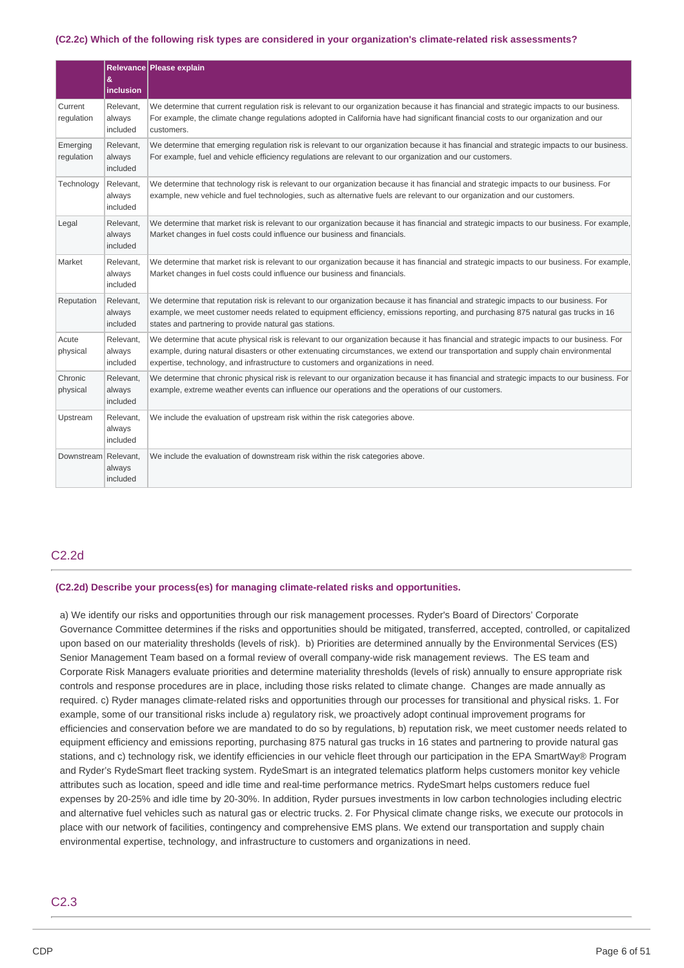### (C2.2c) Which of the following risk types are considered in your organization's climate-related risk assessments?

|                        | &<br>inclusion                  | Relevance Please explain                                                                                                                                                                                                                                                                                                                                            |
|------------------------|---------------------------------|---------------------------------------------------------------------------------------------------------------------------------------------------------------------------------------------------------------------------------------------------------------------------------------------------------------------------------------------------------------------|
| Current<br>regulation  | Relevant.<br>always<br>included | We determine that current regulation risk is relevant to our organization because it has financial and strategic impacts to our business.<br>For example, the climate change regulations adopted in California have had significant financial costs to our organization and our<br>customers.                                                                       |
| Emerging<br>regulation | Relevant,<br>always<br>included | We determine that emerging regulation risk is relevant to our organization because it has financial and strategic impacts to our business.<br>For example, fuel and vehicle efficiency regulations are relevant to our organization and our customers.                                                                                                              |
| Technology             | Relevant,<br>always<br>included | We determine that technology risk is relevant to our organization because it has financial and strategic impacts to our business. For<br>example, new vehicle and fuel technologies, such as alternative fuels are relevant to our organization and our customers.                                                                                                  |
| Legal                  | Relevant,<br>always<br>included | We determine that market risk is relevant to our organization because it has financial and strategic impacts to our business. For example,<br>Market changes in fuel costs could influence our business and financials.                                                                                                                                             |
| Market                 | Relevant,<br>always<br>included | We determine that market risk is relevant to our organization because it has financial and strategic impacts to our business. For example,<br>Market changes in fuel costs could influence our business and financials.                                                                                                                                             |
| Reputation             | Relevant,<br>always<br>included | We determine that reputation risk is relevant to our organization because it has financial and strategic impacts to our business. For<br>example, we meet customer needs related to equipment efficiency, emissions reporting, and purchasing 875 natural gas trucks in 16<br>states and partnering to provide natural gas stations.                                |
| Acute<br>physical      | Relevant,<br>always<br>included | We determine that acute physical risk is relevant to our organization because it has financial and strategic impacts to our business. For<br>example, during natural disasters or other extenuating circumstances, we extend our transportation and supply chain environmental<br>expertise, technology, and infrastructure to customers and organizations in need. |
| Chronic<br>physical    | Relevant,<br>always<br>included | We determine that chronic physical risk is relevant to our organization because it has financial and strategic impacts to our business. For<br>example, extreme weather events can influence our operations and the operations of our customers.                                                                                                                    |
| Upstream               | Relevant,<br>always<br>included | We include the evaluation of upstream risk within the risk categories above.                                                                                                                                                                                                                                                                                        |
| Downstream Relevant,   | always<br>included              | We include the evaluation of downstream risk within the risk categories above.                                                                                                                                                                                                                                                                                      |

# C2.2d

### **(C2.2d) Describe your process(es) for managing climate-related risks and opportunities.**

 a) We identify our risks and opportunities through our risk management processes. Ryder's Board of Directors' Corporate Governance Committee determines if the risks and opportunities should be mitigated, transferred, accepted, controlled, or capitalized upon based on our materiality thresholds (levels of risk). b) Priorities are determined annually by the Environmental Services (ES) Senior Management Team based on a formal review of overall company-wide risk management reviews. The ES team and Corporate Risk Managers evaluate priorities and determine materiality thresholds (levels of risk) annually to ensure appropriate risk controls and response procedures are in place, including those risks related to climate change. Changes are made annually as required. c) Ryder manages climate-related risks and opportunities through our processes for transitional and physical risks. 1. For example, some of our transitional risks include a) regulatory risk, we proactively adopt continual improvement programs for efficiencies and conservation before we are mandated to do so by regulations, b) reputation risk, we meet customer needs related to equipment efficiency and emissions reporting, purchasing 875 natural gas trucks in 16 states and partnering to provide natural gas stations, and c) technology risk, we identify efficiencies in our vehicle fleet through our participation in the EPA SmartWay® Program and Ryder's RydeSmart fleet tracking system. RydeSmart is an integrated telematics platform helps customers monitor key vehicle attributes such as location, speed and idle time and real-time performance metrics. RydeSmart helps customers reduce fuel expenses by 20-25% and idle time by 20-30%. In addition, Ryder pursues investments in low carbon technologies including electric and alternative fuel vehicles such as natural gas or electric trucks. 2. For Physical climate change risks, we execute our protocols in place with our network of facilities, contingency and comprehensive EMS plans. We extend our transportation and supply chain environmental expertise, technology, and infrastructure to customers and organizations in need.

# C2.3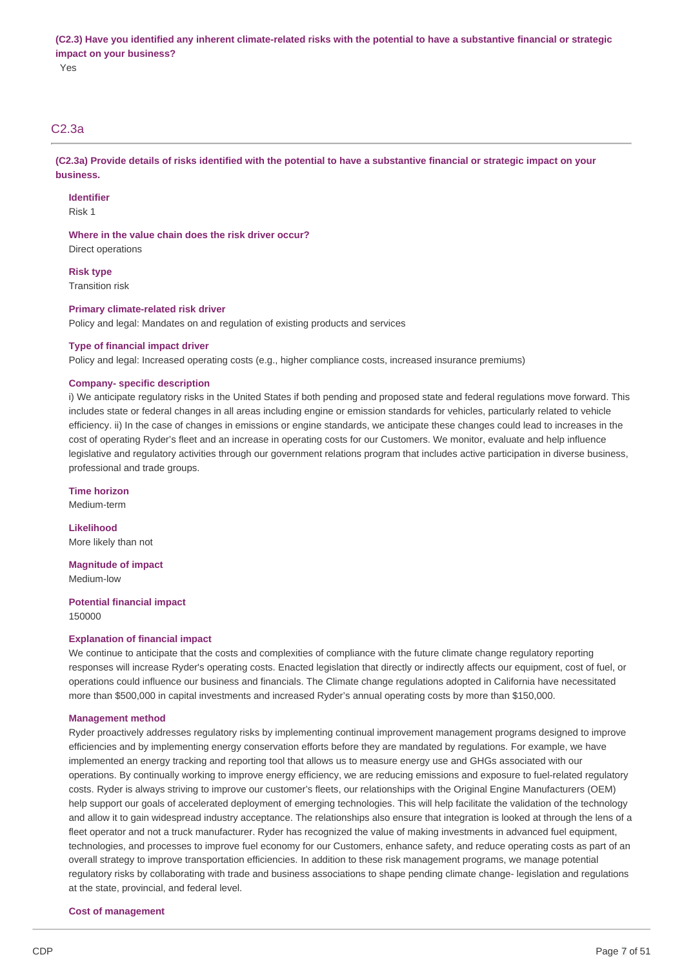(C2.3) Have you identified any inherent climate-related risks with the potential to have a substantive financial or strategic  **impact on your business?**

Yes

# C2.3a

(C2.3a) Provide details of risks identified with the potential to have a substantive financial or strategic impact on your **business.**

### **Identifier**

Risk 1

# **Where in the value chain does the risk driver occur?**

Direct operations

**Risk type** Transition risk

# **Primary climate-related risk driver**

Policy and legal: Mandates on and regulation of existing products and services

### **Type of financial impact driver**

Policy and legal: Increased operating costs (e.g., higher compliance costs, increased insurance premiums)

### **Company- specific description**

 i) We anticipate regulatory risks in the United States if both pending and proposed state and federal regulations move forward. This includes state or federal changes in all areas including engine or emission standards for vehicles, particularly related to vehicle efficiency. ii) In the case of changes in emissions or engine standards, we anticipate these changes could lead to increases in the cost of operating Ryder's fleet and an increase in operating costs for our Customers. We monitor, evaluate and help influence legislative and regulatory activities through our government relations program that includes active participation in diverse business, professional and trade groups.

**Time horizon** Medium-term

 More likely than not **Likelihood**

 **Magnitude of impact** Medium-low

 **Potential financial impact** 150000

# **Explanation of financial impact**

 We continue to anticipate that the costs and complexities of compliance with the future climate change regulatory reporting responses will increase Ryder's operating costs. Enacted legislation that directly or indirectly affects our equipment, cost of fuel, or operations could influence our business and financials. The Climate change regulations adopted in California have necessitated more than \$500,000 in capital investments and increased Ryder's annual operating costs by more than \$150,000.

### **Management method**

 Ryder proactively addresses regulatory risks by implementing continual improvement management programs designed to improve efficiencies and by implementing energy conservation efforts before they are mandated by regulations. For example, we have implemented an energy tracking and reporting tool that allows us to measure energy use and GHGs associated with our operations. By continually working to improve energy efficiency, we are reducing emissions and exposure to fuel-related regulatory costs. Ryder is always striving to improve our customer's fleets, our relationships with the Original Engine Manufacturers (OEM) help support our goals of accelerated deployment of emerging technologies. This will help facilitate the validation of the technology and allow it to gain widespread industry acceptance. The relationships also ensure that integration is looked at through the lens of a fleet operator and not a truck manufacturer. Ryder has recognized the value of making investments in advanced fuel equipment, technologies, and processes to improve fuel economy for our Customers, enhance safety, and reduce operating costs as part of an overall strategy to improve transportation efficiencies. In addition to these risk management programs, we manage potential regulatory risks by collaborating with trade and business associations to shape pending climate change- legislation and regulations at the state, provincial, and federal level.

### **Cost of management**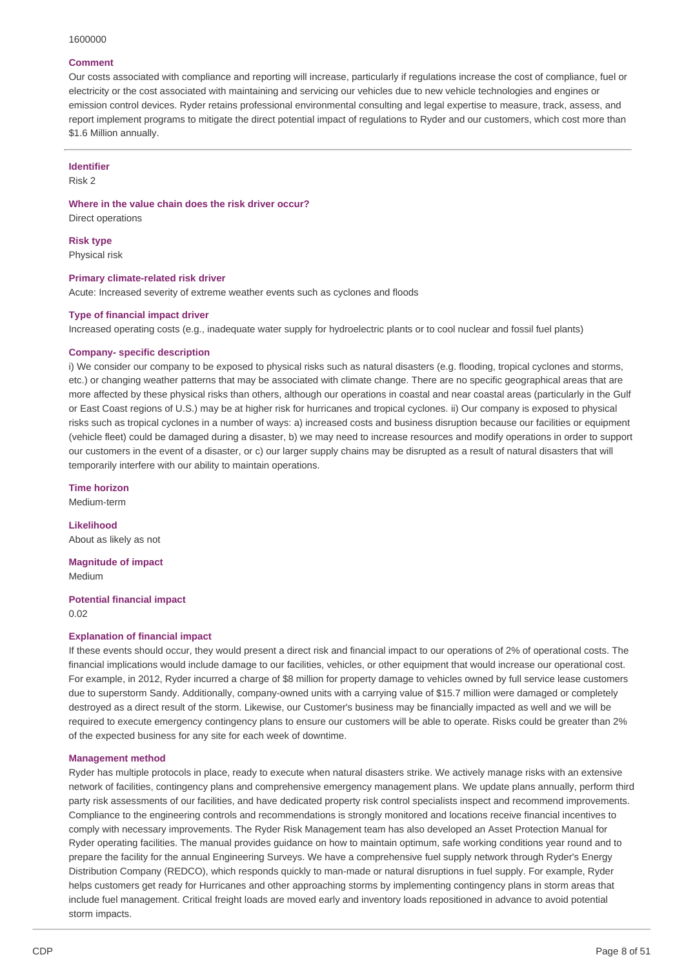#### 1600000

# **Comment**

 Our costs associated with compliance and reporting will increase, particularly if regulations increase the cost of compliance, fuel or electricity or the cost associated with maintaining and servicing our vehicles due to new vehicle technologies and engines or emission control devices. Ryder retains professional environmental consulting and legal expertise to measure, track, assess, and report implement programs to mitigate the direct potential impact of regulations to Ryder and our customers, which cost more than \$1.6 Million annually.

### **Identifier**

Risk 2

 **Where in the value chain does the risk driver occur?** Direct operations

**Risk type** Physical risk

### **Primary climate-related risk driver**

Acute: Increased severity of extreme weather events such as cyclones and floods

### **Type of financial impact driver**

Increased operating costs (e.g., inadequate water supply for hydroelectric plants or to cool nuclear and fossil fuel plants)

### **Company- specific description**

 i) We consider our company to be exposed to physical risks such as natural disasters (e.g. flooding, tropical cyclones and storms, etc.) or changing weather patterns that may be associated with climate change. There are no specific geographical areas that are more affected by these physical risks than others, although our operations in coastal and near coastal areas (particularly in the Gulf or East Coast regions of U.S.) may be at higher risk for hurricanes and tropical cyclones. ii) Our company is exposed to physical risks such as tropical cyclones in a number of ways: a) increased costs and business disruption because our facilities or equipment (vehicle fleet) could be damaged during a disaster, b) we may need to increase resources and modify operations in order to support our customers in the event of a disaster, or c) our larger supply chains may be disrupted as a result of natural disasters that will temporarily interfere with our ability to maintain operations.

**Time horizon** Medium-term

 About as likely as not **Likelihood**

 **Magnitude of impact** Medium

 **Potential financial impact** 0.02

### **Explanation of financial impact**

 If these events should occur, they would present a direct risk and financial impact to our operations of 2% of operational costs. The financial implications would include damage to our facilities, vehicles, or other equipment that would increase our operational cost. For example, in 2012, Ryder incurred a charge of \$8 million for property damage to vehicles owned by full service lease customers due to superstorm Sandy. Additionally, company-owned units with a carrying value of \$15.7 million were damaged or completely destroyed as a direct result of the storm. Likewise, our Customer's business may be financially impacted as well and we will be required to execute emergency contingency plans to ensure our customers will be able to operate. Risks could be greater than 2% of the expected business for any site for each week of downtime.

### **Management method**

 Ryder has multiple protocols in place, ready to execute when natural disasters strike. We actively manage risks with an extensive network of facilities, contingency plans and comprehensive emergency management plans. We update plans annually, perform third party risk assessments of our facilities, and have dedicated property risk control specialists inspect and recommend improvements. Compliance to the engineering controls and recommendations is strongly monitored and locations receive financial incentives to comply with necessary improvements. The Ryder Risk Management team has also developed an Asset Protection Manual for Ryder operating facilities. The manual provides guidance on how to maintain optimum, safe working conditions year round and to prepare the facility for the annual Engineering Surveys. We have a comprehensive fuel supply network through Ryder's Energy Distribution Company (REDCO), which responds quickly to man-made or natural disruptions in fuel supply. For example, Ryder helps customers get ready for Hurricanes and other approaching storms by implementing contingency plans in storm areas that include fuel management. Critical freight loads are moved early and inventory loads repositioned in advance to avoid potential storm impacts.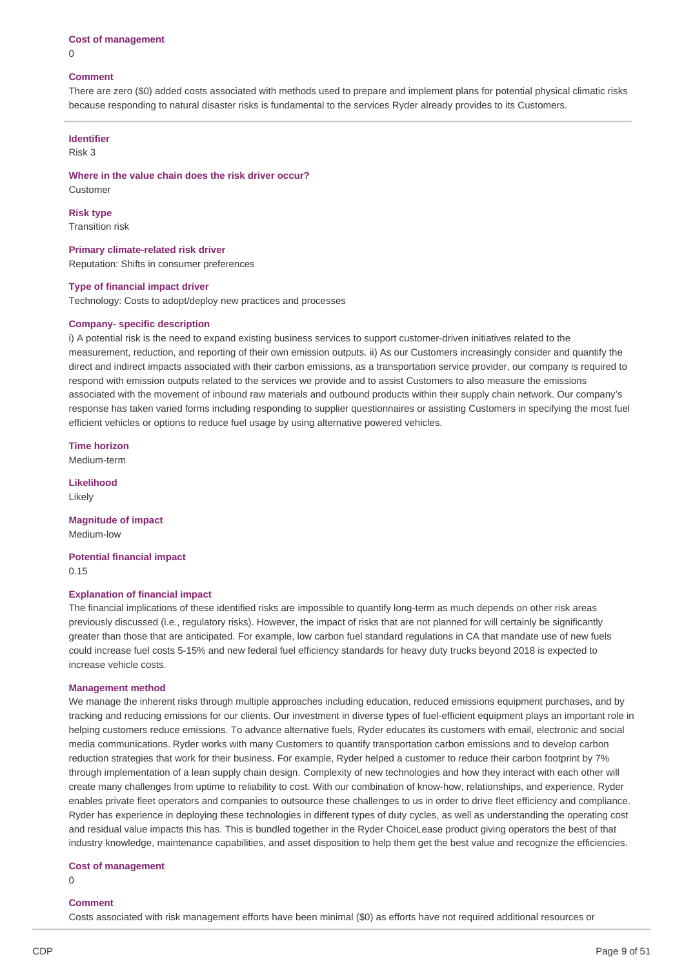# **Cost of management**

### **Comment**

 There are zero (\$0) added costs associated with methods used to prepare and implement plans for potential physical climatic risks because responding to natural disaster risks is fundamental to the services Ryder already provides to its Customers.

# **Identifier**

Risk 3

 **Where in the value chain does the risk driver occur?** Customer

**Risk type** Transition risk

 **Primary climate-related risk driver** Reputation: Shifts in consumer preferences

### **Type of financial impact driver**

Technology: Costs to adopt/deploy new practices and processes

### **Company- specific description**

 i) A potential risk is the need to expand existing business services to support customer-driven initiatives related to the measurement, reduction, and reporting of their own emission outputs. ii) As our Customers increasingly consider and quantify the direct and indirect impacts associated with their carbon emissions, as a transportation service provider, our company is required to respond with emission outputs related to the services we provide and to assist Customers to also measure the emissions associated with the movement of inbound raw materials and outbound products within their supply chain network. Our company's response has taken varied forms including responding to supplier questionnaires or assisting Customers in specifying the most fuel efficient vehicles or options to reduce fuel usage by using alternative powered vehicles.

**Time horizon**

Medium-term

**Likelihood** Likely

 **Magnitude of impact** Medium-low

 **Potential financial impact** 0.15

### **Explanation of financial impact**

 The financial implications of these identified risks are impossible to quantify long-term as much depends on other risk areas previously discussed (i.e., regulatory risks). However, the impact of risks that are not planned for will certainly be significantly greater than those that are anticipated. For example, low carbon fuel standard regulations in CA that mandate use of new fuels could increase fuel costs 5-15% and new federal fuel efficiency standards for heavy duty trucks beyond 2018 is expected to increase vehicle costs.

### **Management method**

 We manage the inherent risks through multiple approaches including education, reduced emissions equipment purchases, and by tracking and reducing emissions for our clients. Our investment in diverse types of fuel-efficient equipment plays an important role in helping customers reduce emissions. To advance alternative fuels, Ryder educates its customers with email, electronic and social media communications. Ryder works with many Customers to quantify transportation carbon emissions and to develop carbon reduction strategies that work for their business. For example, Ryder helped a customer to reduce their carbon footprint by 7% through implementation of a lean supply chain design. Complexity of new technologies and how they interact with each other will create many challenges from uptime to reliability to cost. With our combination of know-how, relationships, and experience, Ryder enables private fleet operators and companies to outsource these challenges to us in order to drive fleet efficiency and compliance. Ryder has experience in deploying these technologies in different types of duty cycles, as well as understanding the operating cost and residual value impacts this has. This is bundled together in the Ryder ChoiceLease product giving operators the best of that industry knowledge, maintenance capabilities, and asset disposition to help them get the best value and recognize the efficiencies.

### **Cost of management**

 $\Omega$ 

# **Comment**

Costs associated with risk management efforts have been minimal (\$0) as efforts have not required additional resources or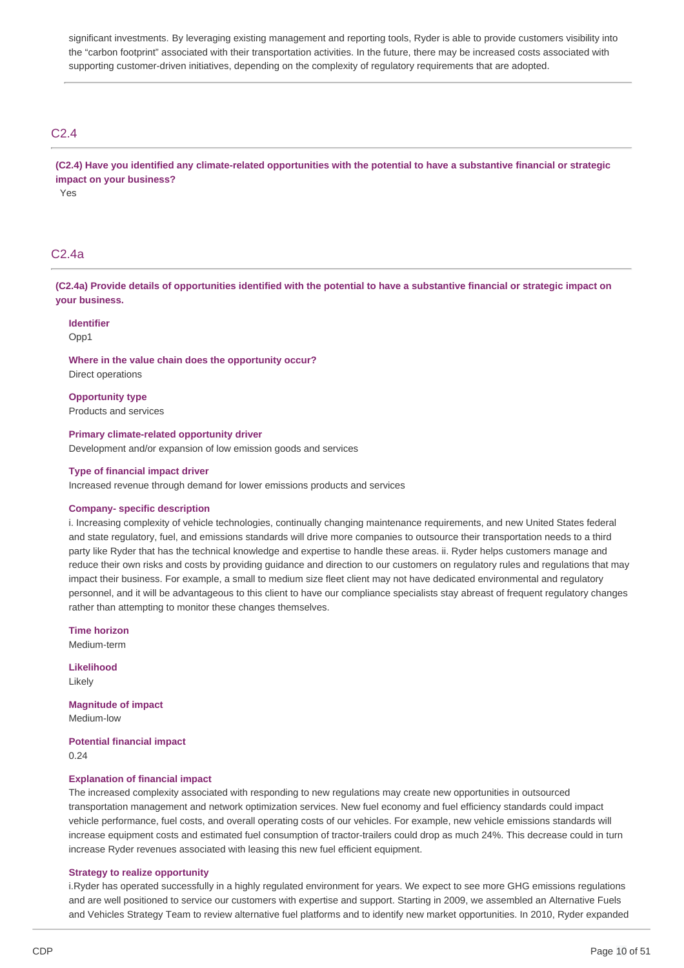significant investments. By leveraging existing management and reporting tools, Ryder is able to provide customers visibility into the "carbon footprint" associated with their transportation activities. In the future, there may be increased costs associated with supporting customer-driven initiatives, depending on the complexity of regulatory requirements that are adopted.

# C2.4

(C2.4) Have you identified any climate-related opportunities with the potential to have a substantive financial or strategic  **impact on your business?** Yes

# C2.4a

(C2.4a) Provide details of opportunities identified with the potential to have a substantive financial or strategic impact on **your business.**

**Identifier**

Opp1

 **Where in the value chain does the opportunity occur?** Direct operations

 Products and services **Opportunity type**

### **Primary climate-related opportunity driver**

Development and/or expansion of low emission goods and services

### **Type of financial impact driver**

Increased revenue through demand for lower emissions products and services

### **Company- specific description**

 i. Increasing complexity of vehicle technologies, continually changing maintenance requirements, and new United States federal and state regulatory, fuel, and emissions standards will drive more companies to outsource their transportation needs to a third party like Ryder that has the technical knowledge and expertise to handle these areas. ii. Ryder helps customers manage and reduce their own risks and costs by providing guidance and direction to our customers on regulatory rules and regulations that may impact their business. For example, a small to medium size fleet client may not have dedicated environmental and regulatory personnel, and it will be advantageous to this client to have our compliance specialists stay abreast of frequent regulatory changes rather than attempting to monitor these changes themselves.

**Time horizon**

Medium-term

**Likelihood** Likely

 **Magnitude of impact** Medium-low

 **Potential financial impact** 0.24

### **Explanation of financial impact**

 The increased complexity associated with responding to new regulations may create new opportunities in outsourced transportation management and network optimization services. New fuel economy and fuel efficiency standards could impact vehicle performance, fuel costs, and overall operating costs of our vehicles. For example, new vehicle emissions standards will increase equipment costs and estimated fuel consumption of tractor-trailers could drop as much 24%. This decrease could in turn increase Ryder revenues associated with leasing this new fuel efficient equipment.

### **Strategy to realize opportunity**

 i.Ryder has operated successfully in a highly regulated environment for years. We expect to see more GHG emissions regulations and are well positioned to service our customers with expertise and support. Starting in 2009, we assembled an Alternative Fuels and Vehicles Strategy Team to review alternative fuel platforms and to identify new market opportunities. In 2010, Ryder expanded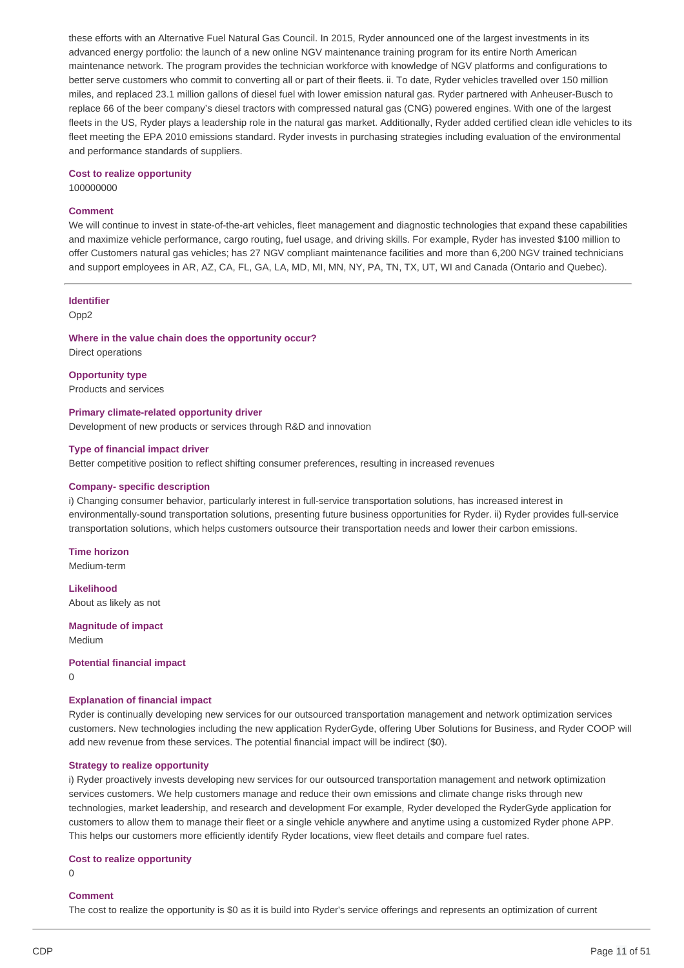these efforts with an Alternative Fuel Natural Gas Council. In 2015, Ryder announced one of the largest investments in its advanced energy portfolio: the launch of a new online NGV maintenance training program for its entire North American maintenance network. The program provides the technician workforce with knowledge of NGV platforms and configurations to better serve customers who commit to converting all or part of their fleets. ii. To date, Ryder vehicles travelled over 150 million miles, and replaced 23.1 million gallons of diesel fuel with lower emission natural gas. Ryder partnered with Anheuser-Busch to replace 66 of the beer company's diesel tractors with compressed natural gas (CNG) powered engines. With one of the largest fleets in the US, Ryder plays a leadership role in the natural gas market. Additionally, Ryder added certified clean idle vehicles to its fleet meeting the EPA 2010 emissions standard. Ryder invests in purchasing strategies including evaluation of the environmental and performance standards of suppliers.

### **Cost to realize opportunity**

100000000

### **Comment**

 We will continue to invest in state-of-the-art vehicles, fleet management and diagnostic technologies that expand these capabilities and maximize vehicle performance, cargo routing, fuel usage, and driving skills. For example, Ryder has invested \$100 million to offer Customers natural gas vehicles; has 27 NGV compliant maintenance facilities and more than 6,200 NGV trained technicians and support employees in AR, AZ, CA, FL, GA, LA, MD, MI, MN, NY, PA, TN, TX, UT, WI and Canada (Ontario and Quebec).

### **Identifier**

Opp2

# **Where in the value chain does the opportunity occur?**

Direct operations

 Products and services **Opportunity type**

### **Primary climate-related opportunity driver**

Development of new products or services through R&D and innovation

### **Type of financial impact driver**

Better competitive position to reflect shifting consumer preferences, resulting in increased revenues

### **Company- specific description**

 i) Changing consumer behavior, particularly interest in full-service transportation solutions, has increased interest in environmentally-sound transportation solutions, presenting future business opportunities for Ryder. ii) Ryder provides full-service transportation solutions, which helps customers outsource their transportation needs and lower their carbon emissions.

# **Time horizon**

Medium-term

 About as likely as not **Likelihood**

 **Magnitude of impact** Medium

### **Potential financial impact**

 $\Omega$ 

### **Explanation of financial impact**

 Ryder is continually developing new services for our outsourced transportation management and network optimization services customers. New technologies including the new application RyderGyde, offering Uber Solutions for Business, and Ryder COOP will add new revenue from these services. The potential financial impact will be indirect (\$0).

### **Strategy to realize opportunity**

 i) Ryder proactively invests developing new services for our outsourced transportation management and network optimization services customers. We help customers manage and reduce their own emissions and climate change risks through new technologies, market leadership, and research and development For example, Ryder developed the RyderGyde application for customers to allow them to manage their fleet or a single vehicle anywhere and anytime using a customized Ryder phone APP. This helps our customers more efficiently identify Ryder locations, view fleet details and compare fuel rates.

### **Cost to realize opportunity**

 $\Omega$ 

# **Comment**

The cost to realize the opportunity is \$0 as it is build into Ryder's service offerings and represents an optimization of current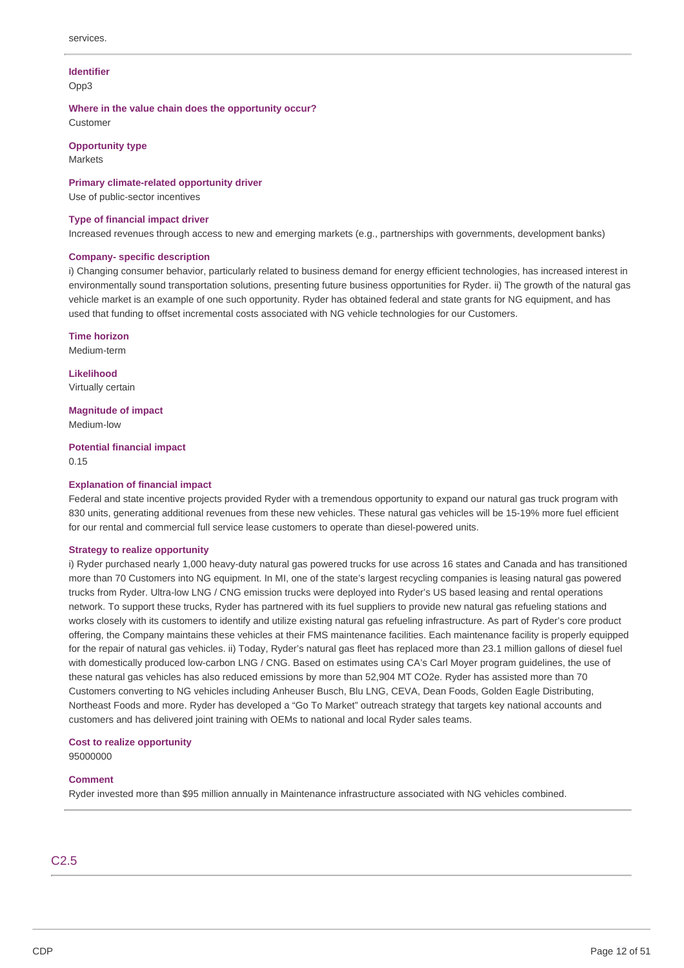# **Identifier**

Opp3

 **Where in the value chain does the opportunity occur?** Customer

# **Opportunity type**

**Markets** 

# **Primary climate-related opportunity driver**

Use of public-sector incentives

### **Type of financial impact driver**

Increased revenues through access to new and emerging markets (e.g., partnerships with governments, development banks)

# **Company- specific description**

 i) Changing consumer behavior, particularly related to business demand for energy efficient technologies, has increased interest in environmentally sound transportation solutions, presenting future business opportunities for Ryder. ii) The growth of the natural gas vehicle market is an example of one such opportunity. Ryder has obtained federal and state grants for NG equipment, and has used that funding to offset incremental costs associated with NG vehicle technologies for our Customers.

**Time horizon**

Medium-term

**Likelihood** Virtually certain

 **Magnitude of impact** Medium-low

# **Potential financial impact**

0.15

# **Explanation of financial impact**

 Federal and state incentive projects provided Ryder with a tremendous opportunity to expand our natural gas truck program with 830 units, generating additional revenues from these new vehicles. These natural gas vehicles will be 15-19% more fuel efficient for our rental and commercial full service lease customers to operate than diesel-powered units.

### **Strategy to realize opportunity**

 i) Ryder purchased nearly 1,000 heavy-duty natural gas powered trucks for use across 16 states and Canada and has transitioned more than 70 Customers into NG equipment. In MI, one of the state's largest recycling companies is leasing natural gas powered trucks from Ryder. Ultra-low LNG / CNG emission trucks were deployed into Ryder's US based leasing and rental operations network. To support these trucks, Ryder has partnered with its fuel suppliers to provide new natural gas refueling stations and works closely with its customers to identify and utilize existing natural gas refueling infrastructure. As part of Ryder's core product offering, the Company maintains these vehicles at their FMS maintenance facilities. Each maintenance facility is properly equipped for the repair of natural gas vehicles. ii) Today, Ryder's natural gas fleet has replaced more than 23.1 million gallons of diesel fuel with domestically produced low-carbon LNG / CNG. Based on estimates using CA's Carl Moyer program guidelines, the use of these natural gas vehicles has also reduced emissions by more than 52,904 MT CO2e. Ryder has assisted more than 70 Customers converting to NG vehicles including Anheuser Busch, Blu LNG, CEVA, Dean Foods, Golden Eagle Distributing, Northeast Foods and more. Ryder has developed a "Go To Market" outreach strategy that targets key national accounts and customers and has delivered joint training with OEMs to national and local Ryder sales teams.

# **Cost to realize opportunity**

95000000

# **Comment**

Ryder invested more than \$95 million annually in Maintenance infrastructure associated with NG vehicles combined.

# C2.5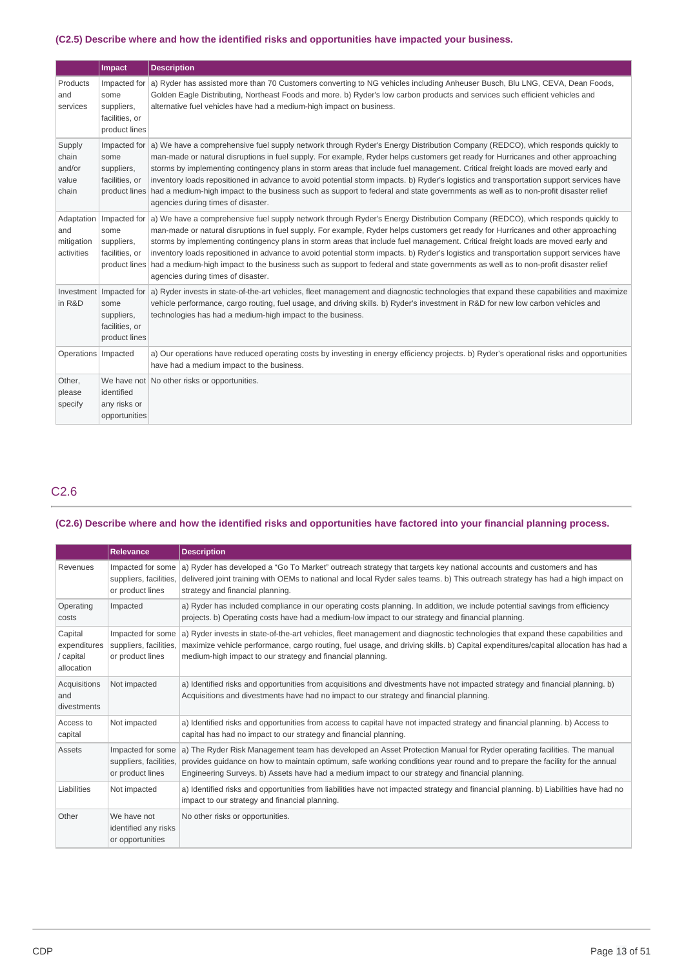### **(C2.5) Describe where and how the identified risks and opportunities have impacted your business.**

|                                             | Impact                                                                           | <b>Description</b>                                                                                                                                                                                                                                                                                                                                                                                                                                                                                                                                                                                                                                                                                                                          |
|---------------------------------------------|----------------------------------------------------------------------------------|---------------------------------------------------------------------------------------------------------------------------------------------------------------------------------------------------------------------------------------------------------------------------------------------------------------------------------------------------------------------------------------------------------------------------------------------------------------------------------------------------------------------------------------------------------------------------------------------------------------------------------------------------------------------------------------------------------------------------------------------|
| Products<br>and<br>services                 | Impacted for<br>some<br>suppliers,<br>facilities, or<br>product lines            | a) Ryder has assisted more than 70 Customers converting to NG vehicles including Anheuser Busch, Blu LNG, CEVA, Dean Foods,<br>Golden Eagle Distributing, Northeast Foods and more. b) Ryder's low carbon products and services such efficient vehicles and<br>alternative fuel vehicles have had a medium-high impact on business.                                                                                                                                                                                                                                                                                                                                                                                                         |
| Supply<br>chain<br>and/or<br>value<br>chain | Impacted for<br>some<br>suppliers,<br>facilities, or                             | a) We have a comprehensive fuel supply network through Ryder's Energy Distribution Company (REDCO), which responds quickly to<br>man-made or natural disruptions in fuel supply. For example, Ryder helps customers get ready for Hurricanes and other approaching<br>storms by implementing contingency plans in storm areas that include fuel management. Critical freight loads are moved early and<br>inventory loads repositioned in advance to avoid potential storm impacts. b) Ryder's logistics and transportation support services have<br>product lines had a medium-high impact to the business such as support to federal and state governments as well as to non-profit disaster relief<br>agencies during times of disaster. |
| and<br>mitigation<br>activities             | Adaptation   Impacted for<br>some<br>suppliers,<br>facilities, or                | a) We have a comprehensive fuel supply network through Ryder's Energy Distribution Company (REDCO), which responds quickly to<br>man-made or natural disruptions in fuel supply. For example, Ryder helps customers get ready for Hurricanes and other approaching<br>storms by implementing contingency plans in storm areas that include fuel management. Critical freight loads are moved early and<br>inventory loads repositioned in advance to avoid potential storm impacts. b) Ryder's logistics and transportation support services have<br>product lines had a medium-high impact to the business such as support to federal and state governments as well as to non-profit disaster relief<br>agencies during times of disaster. |
| in R&D                                      | Investment Impacted for<br>some<br>suppliers,<br>facilities, or<br>product lines | a) Ryder invests in state-of-the-art vehicles, fleet management and diagnostic technologies that expand these capabilities and maximize<br>vehicle performance, cargo routing, fuel usage, and driving skills. b) Ryder's investment in R&D for new low carbon vehicles and<br>technologies has had a medium-high impact to the business.                                                                                                                                                                                                                                                                                                                                                                                                   |
| Operations   Impacted                       |                                                                                  | a) Our operations have reduced operating costs by investing in energy efficiency projects. b) Ryder's operational risks and opportunities<br>have had a medium impact to the business.                                                                                                                                                                                                                                                                                                                                                                                                                                                                                                                                                      |
| Other,<br>please<br>specify                 | identified<br>any risks or<br>opportunities                                      | We have not   No other risks or opportunities.                                                                                                                                                                                                                                                                                                                                                                                                                                                                                                                                                                                                                                                                                              |

# C2.6

#### (C2.6) Describe where and how the identified risks and opportunities have factored into your financial planning process.

|                                                                                                                 | <b>Relevance</b>                                                | <b>Description</b>                                                                                                                                                                                                                                                                                                                                      |
|-----------------------------------------------------------------------------------------------------------------|-----------------------------------------------------------------|---------------------------------------------------------------------------------------------------------------------------------------------------------------------------------------------------------------------------------------------------------------------------------------------------------------------------------------------------------|
| Impacted for some<br>Revenues<br>suppliers, facilities,<br>strategy and financial planning.<br>or product lines |                                                                 | a) Ryder has developed a "Go To Market" outreach strategy that targets key national accounts and customers and has<br>delivered joint training with OEMs to national and local Ryder sales teams. b) This outreach strategy has had a high impact on                                                                                                    |
| Operating<br>costs                                                                                              | Impacted                                                        | a) Ryder has included compliance in our operating costs planning. In addition, we include potential savings from efficiency<br>projects. b) Operating costs have had a medium-low impact to our strategy and financial planning.                                                                                                                        |
| Capital<br>expenditures<br>/ capital<br>allocation                                                              | Impacted for some<br>suppliers, facilities,<br>or product lines | a) Ryder invests in state-of-the-art vehicles, fleet management and diagnostic technologies that expand these capabilities and<br>maximize vehicle performance, cargo routing, fuel usage, and driving skills. b) Capital expenditures/capital allocation has had a<br>medium-high impact to our strategy and financial planning.                       |
| Acquisitions<br>and<br>divestments                                                                              | Not impacted                                                    | a) Identified risks and opportunities from acquisitions and divestments have not impacted strategy and financial planning. b)<br>Acquisitions and divestments have had no impact to our strategy and financial planning.                                                                                                                                |
| Access to<br>capital                                                                                            | Not impacted                                                    | a) Identified risks and opportunities from access to capital have not impacted strategy and financial planning. b) Access to<br>capital has had no impact to our strategy and financial planning.                                                                                                                                                       |
| <b>Assets</b>                                                                                                   | Impacted for some<br>suppliers, facilities,<br>or product lines | a) The Ryder Risk Management team has developed an Asset Protection Manual for Ryder operating facilities. The manual<br>provides quidance on how to maintain optimum, safe working conditions year round and to prepare the facility for the annual<br>Engineering Surveys. b) Assets have had a medium impact to our strategy and financial planning. |
| Liabilities                                                                                                     | Not impacted                                                    | a) Identified risks and opportunities from liabilities have not impacted strategy and financial planning. b) Liabilities have had no<br>impact to our strategy and financial planning.                                                                                                                                                                  |
| Other                                                                                                           | We have not<br>identified any risks<br>or opportunities         | No other risks or opportunities.                                                                                                                                                                                                                                                                                                                        |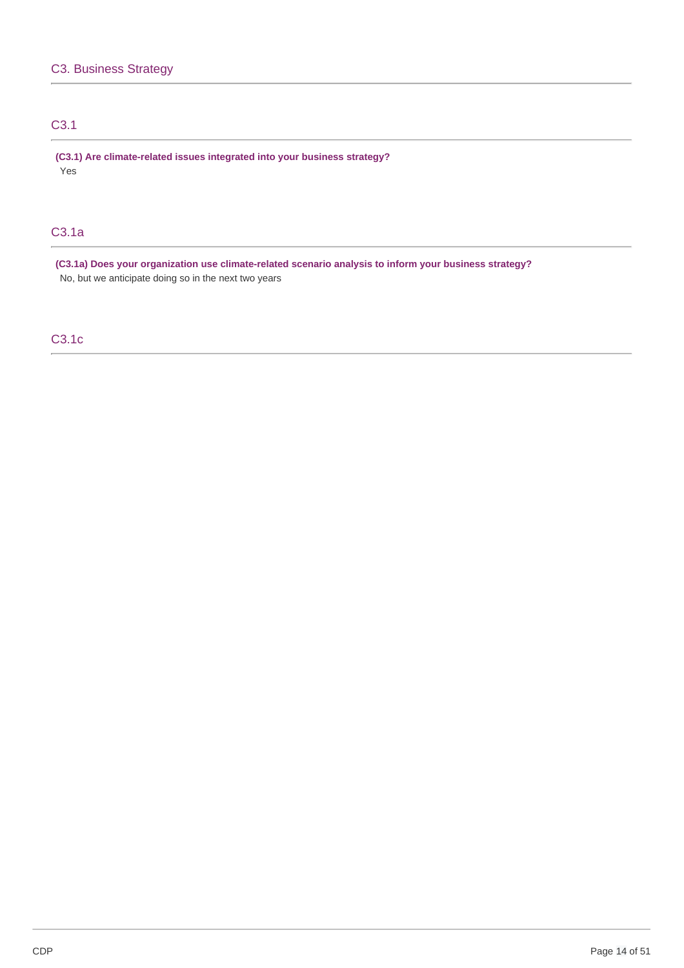# C3.1

 **(C3.1) Are climate-related issues integrated into your business strategy?** Yes

# C3.1a

 **(C3.1a) Does your organization use climate-related scenario analysis to inform your business strategy?** No, but we anticipate doing so in the next two years

# C3.1c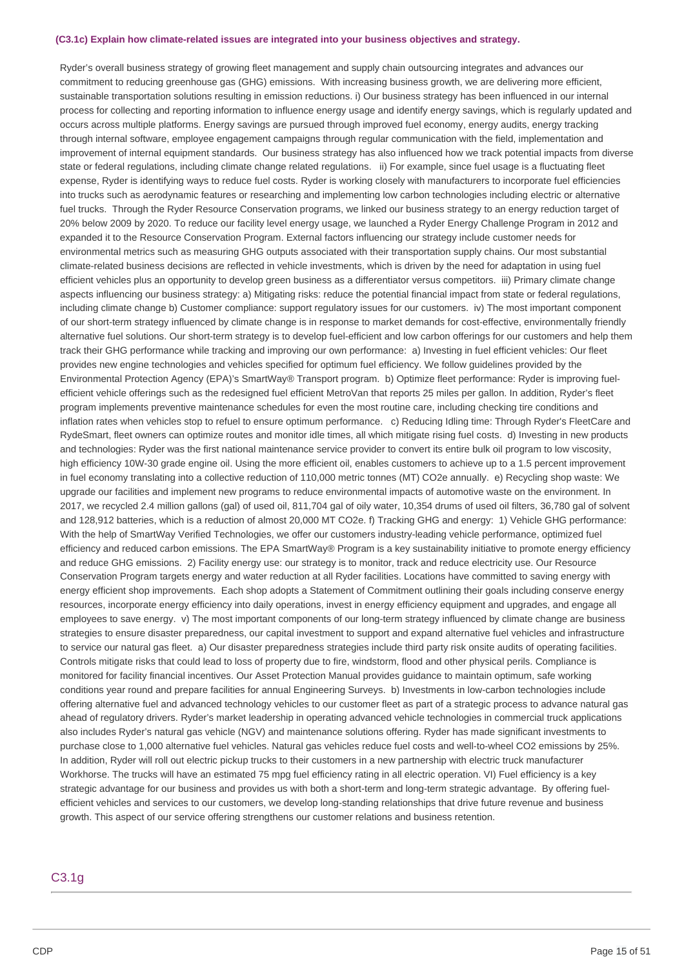#### **(C3.1c) Explain how climate-related issues are integrated into your business objectives and strategy.**

 Ryder's overall business strategy of growing fleet management and supply chain outsourcing integrates and advances our commitment to reducing greenhouse gas (GHG) emissions. With increasing business growth, we are delivering more efficient, sustainable transportation solutions resulting in emission reductions. i) Our business strategy has been influenced in our internal process for collecting and reporting information to influence energy usage and identify energy savings, which is regularly updated and occurs across multiple platforms. Energy savings are pursued through improved fuel economy, energy audits, energy tracking through internal software, employee engagement campaigns through regular communication with the field, implementation and improvement of internal equipment standards. Our business strategy has also influenced how we track potential impacts from diverse state or federal regulations, including climate change related regulations. ii) For example, since fuel usage is a fluctuating fleet expense, Ryder is identifying ways to reduce fuel costs. Ryder is working closely with manufacturers to incorporate fuel efficiencies into trucks such as aerodynamic features or researching and implementing low carbon technologies including electric or alternative fuel trucks. Through the Ryder Resource Conservation programs, we linked our business strategy to an energy reduction target of 20% below 2009 by 2020. To reduce our facility level energy usage, we launched a Ryder Energy Challenge Program in 2012 and expanded it to the Resource Conservation Program. External factors influencing our strategy include customer needs for environmental metrics such as measuring GHG outputs associated with their transportation supply chains. Our most substantial climate-related business decisions are reflected in vehicle investments, which is driven by the need for adaptation in using fuel efficient vehicles plus an opportunity to develop green business as a differentiator versus competitors. iii) Primary climate change aspects influencing our business strategy: a) Mitigating risks: reduce the potential financial impact from state or federal regulations, including climate change b) Customer compliance: support regulatory issues for our customers. iv) The most important component of our short-term strategy influenced by climate change is in response to market demands for cost-effective, environmentally friendly alternative fuel solutions. Our short-term strategy is to develop fuel-efficient and low carbon offerings for our customers and help them track their GHG performance while tracking and improving our own performance: a) Investing in fuel efficient vehicles: Our fleet provides new engine technologies and vehicles specified for optimum fuel efficiency. We follow guidelines provided by the Environmental Protection Agency (EPA)'s SmartWay® Transport program. b) Optimize fleet performance: Ryder is improving fuel- efficient vehicle offerings such as the redesigned fuel efficient MetroVan that reports 25 miles per gallon. In addition, Ryder's fleet program implements preventive maintenance schedules for even the most routine care, including checking tire conditions and inflation rates when vehicles stop to refuel to ensure optimum performance. c) Reducing Idling time: Through Ryder's FleetCare and RydeSmart, fleet owners can optimize routes and monitor idle times, all which mitigate rising fuel costs. d) Investing in new products and technologies: Ryder was the first national maintenance service provider to convert its entire bulk oil program to low viscosity, high efficiency 10W-30 grade engine oil. Using the more efficient oil, enables customers to achieve up to a 1.5 percent improvement in fuel economy translating into a collective reduction of 110,000 metric tonnes (MT) CO2e annually. e) Recycling shop waste: We upgrade our facilities and implement new programs to reduce environmental impacts of automotive waste on the environment. In 2017, we recycled 2.4 million gallons (gal) of used oil, 811,704 gal of oily water, 10,354 drums of used oil filters, 36,780 gal of solvent and 128,912 batteries, which is a reduction of almost 20,000 MT CO2e. f) Tracking GHG and energy: 1) Vehicle GHG performance: With the help of SmartWay Verified Technologies, we offer our customers industry-leading vehicle performance, optimized fuel efficiency and reduced carbon emissions. The EPA SmartWay® Program is a key sustainability initiative to promote energy efficiency and reduce GHG emissions. 2) Facility energy use: our strategy is to monitor, track and reduce electricity use. Our Resource Conservation Program targets energy and water reduction at all Ryder facilities. Locations have committed to saving energy with energy efficient shop improvements. Each shop adopts a Statement of Commitment outlining their goals including conserve energy resources, incorporate energy efficiency into daily operations, invest in energy efficiency equipment and upgrades, and engage all employees to save energy. v) The most important components of our long-term strategy influenced by climate change are business strategies to ensure disaster preparedness, our capital investment to support and expand alternative fuel vehicles and infrastructure to service our natural gas fleet. a) Our disaster preparedness strategies include third party risk onsite audits of operating facilities. Controls mitigate risks that could lead to loss of property due to fire, windstorm, flood and other physical perils. Compliance is monitored for facility financial incentives. Our Asset Protection Manual provides guidance to maintain optimum, safe working conditions year round and prepare facilities for annual Engineering Surveys. b) Investments in low-carbon technologies include offering alternative fuel and advanced technology vehicles to our customer fleet as part of a strategic process to advance natural gas ahead of regulatory drivers. Ryder's market leadership in operating advanced vehicle technologies in commercial truck applications also includes Ryder's natural gas vehicle (NGV) and maintenance solutions offering. Ryder has made significant investments to purchase close to 1,000 alternative fuel vehicles. Natural gas vehicles reduce fuel costs and well-to-wheel CO2 emissions by 25%. In addition, Ryder will roll out electric pickup trucks to their customers in a new partnership with electric truck manufacturer Workhorse. The trucks will have an estimated 75 mpg fuel efficiency rating in all electric operation. VI) Fuel efficiency is a key strategic advantage for our business and provides us with both a short-term and long-term strategic advantage. By offering fuel- efficient vehicles and services to our customers, we develop long-standing relationships that drive future revenue and business growth. This aspect of our service offering strengthens our customer relations and business retention.

# C3.1g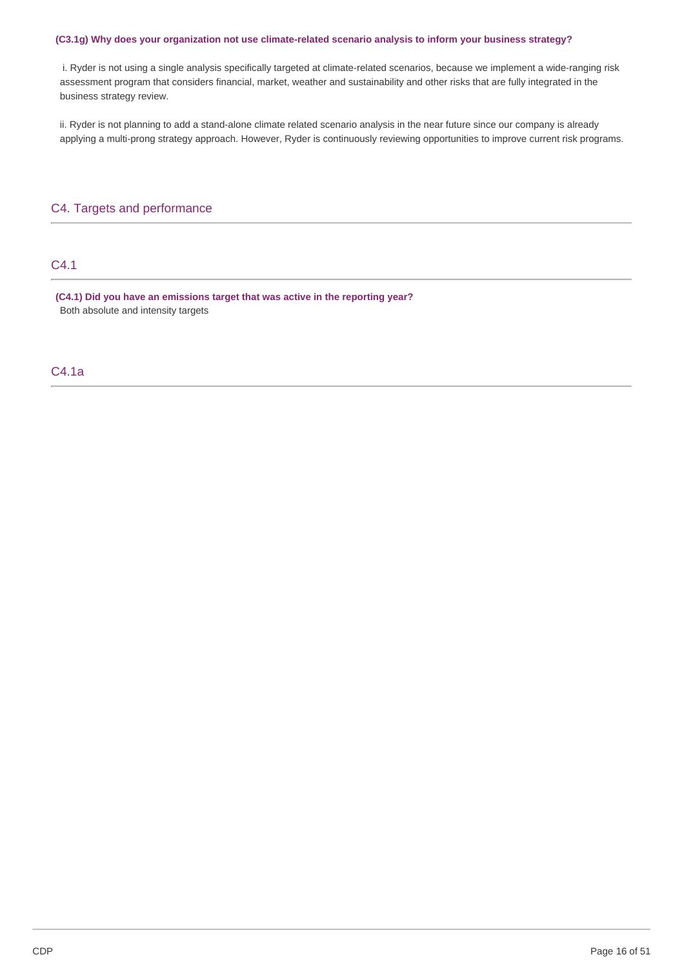### **(C3.1g) Why does your organization not use climate-related scenario analysis to inform your business strategy?**

 i. Ryder is not using a single analysis specifically targeted at climate-related scenarios, because we implement a wide-ranging risk assessment program that considers financial, market, weather and sustainability and other risks that are fully integrated in the business strategy review.

 ii. Ryder is not planning to add a stand-alone climate related scenario analysis in the near future since our company is already applying a multi-prong strategy approach. However, Ryder is continuously reviewing opportunities to improve current risk programs.

# C4. Targets and performance

# C4.1

 **(C4.1) Did you have an emissions target that was active in the reporting year?** Both absolute and intensity targets

# C4.1a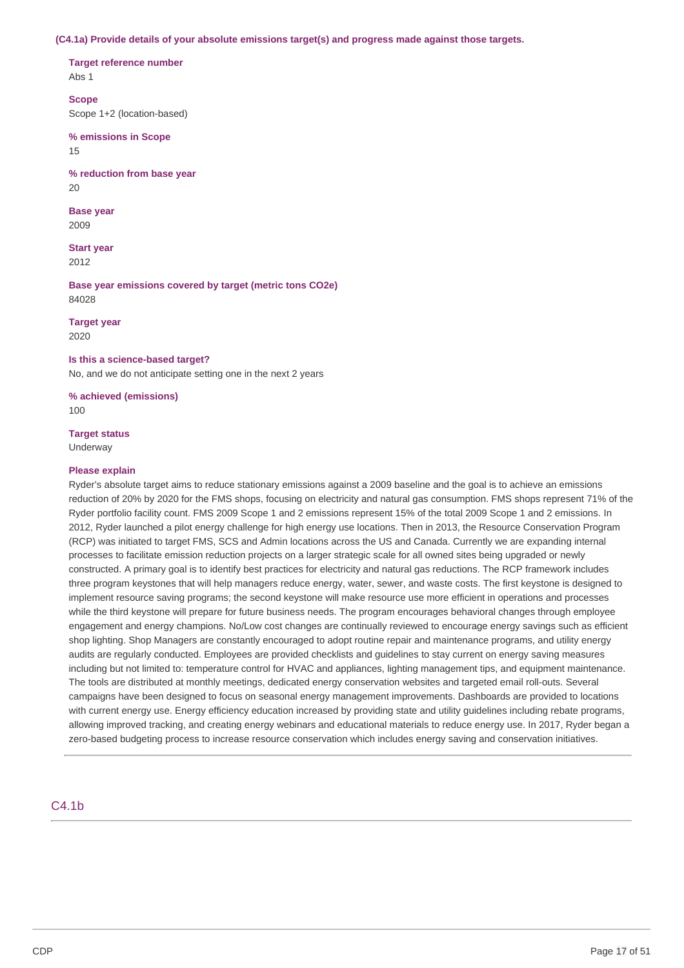#### **(C4.1a) Provide details of your absolute emissions target(s) and progress made against those targets.**

 **Target reference number**

Abs 1

**Scope**

Scope 1+2 (location-based)

 **% emissions in Scope** 15

 **% reduction from base year** 20

**Base year** 2009

**Start year** 2012

 **Base year emissions covered by target (metric tons CO2e)** 84028

**Target year** 2020

### **Is this a science-based target?**

No, and we do not anticipate setting one in the next 2 years

 **% achieved (emissions)**  $100$ 

# **Target status**

Underway

### **Please explain**

 Ryder's absolute target aims to reduce stationary emissions against a 2009 baseline and the goal is to achieve an emissions reduction of 20% by 2020 for the FMS shops, focusing on electricity and natural gas consumption. FMS shops represent 71% of the Ryder portfolio facility count. FMS 2009 Scope 1 and 2 emissions represent 15% of the total 2009 Scope 1 and 2 emissions. In 2012, Ryder launched a pilot energy challenge for high energy use locations. Then in 2013, the Resource Conservation Program (RCP) was initiated to target FMS, SCS and Admin locations across the US and Canada. Currently we are expanding internal processes to facilitate emission reduction projects on a larger strategic scale for all owned sites being upgraded or newly constructed. A primary goal is to identify best practices for electricity and natural gas reductions. The RCP framework includes three program keystones that will help managers reduce energy, water, sewer, and waste costs. The first keystone is designed to implement resource saving programs; the second keystone will make resource use more efficient in operations and processes while the third keystone will prepare for future business needs. The program encourages behavioral changes through employee engagement and energy champions. No/Low cost changes are continually reviewed to encourage energy savings such as efficient shop lighting. Shop Managers are constantly encouraged to adopt routine repair and maintenance programs, and utility energy audits are regularly conducted. Employees are provided checklists and guidelines to stay current on energy saving measures including but not limited to: temperature control for HVAC and appliances, lighting management tips, and equipment maintenance. The tools are distributed at monthly meetings, dedicated energy conservation websites and targeted email roll-outs. Several campaigns have been designed to focus on seasonal energy management improvements. Dashboards are provided to locations with current energy use. Energy efficiency education increased by providing state and utility guidelines including rebate programs, allowing improved tracking, and creating energy webinars and educational materials to reduce energy use. In 2017, Ryder began a zero-based budgeting process to increase resource conservation which includes energy saving and conservation initiatives.

# C4.1b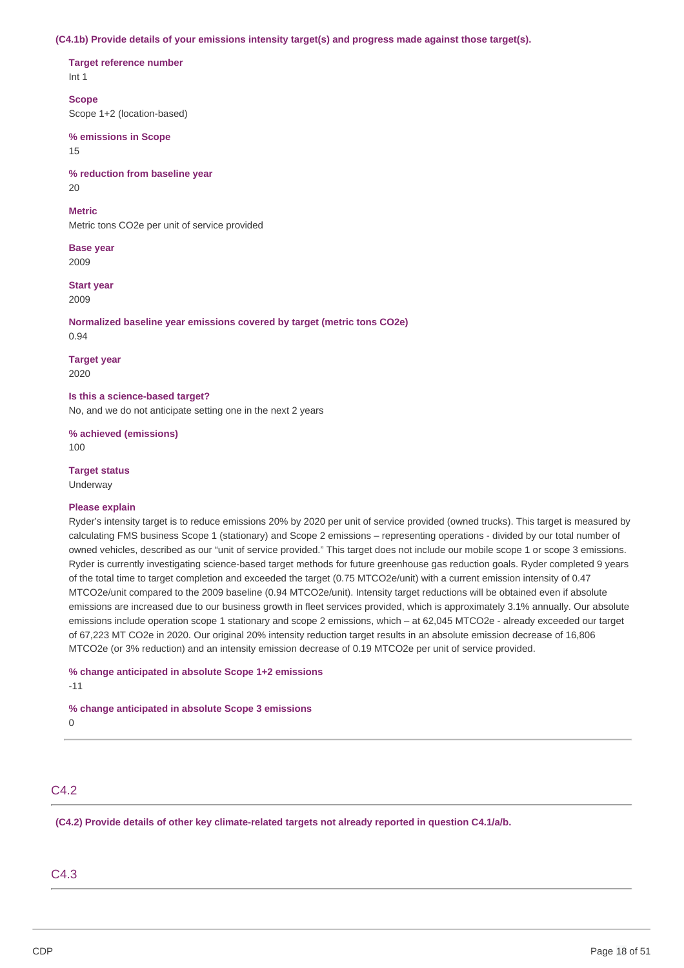#### **(C4.1b) Provide details of your emissions intensity target(s) and progress made against those target(s).**

 **Target reference number** Int 1

 Scope 1+2 (location-based) **Scope**

 **% emissions in Scope** 15

 **% reduction from baseline year** 20

### **Metric**

Metric tons CO2e per unit of service provided

**Base year** 2009

**Start year** 2009

 **Normalized baseline year emissions covered by target (metric tons CO2e)** 0.94

**Target year**

2020

 **Is this a science-based target?**

No, and we do not anticipate setting one in the next 2 years

 **% achieved (emissions)** 100

**Target status**

Underway

#### **Please explain**

 Ryder's intensity target is to reduce emissions 20% by 2020 per unit of service provided (owned trucks). This target is measured by calculating FMS business Scope 1 (stationary) and Scope 2 emissions – representing operations - divided by our total number of owned vehicles, described as our "unit of service provided." This target does not include our mobile scope 1 or scope 3 emissions. Ryder is currently investigating science-based target methods for future greenhouse gas reduction goals. Ryder completed 9 years of the total time to target completion and exceeded the target (0.75 MTCO2e/unit) with a current emission intensity of 0.47 MTCO2e/unit compared to the 2009 baseline (0.94 MTCO2e/unit). Intensity target reductions will be obtained even if absolute emissions are increased due to our business growth in fleet services provided, which is approximately 3.1% annually. Our absolute emissions include operation scope 1 stationary and scope 2 emissions, which – at 62,045 MTCO2e - already exceeded our target of 67,223 MT CO2e in 2020. Our original 20% intensity reduction target results in an absolute emission decrease of 16,806 MTCO2e (or 3% reduction) and an intensity emission decrease of 0.19 MTCO2e per unit of service provided.

```
 
% change anticipated in absolute Scope 1+2 emissions
-11
```
 **% change anticipated in absolute Scope 3 emissions**

 $\Omega$ 

# C4.2

 **(C4.2) Provide details of other key climate-related targets not already reported in question C4.1/a/b.**

C4.3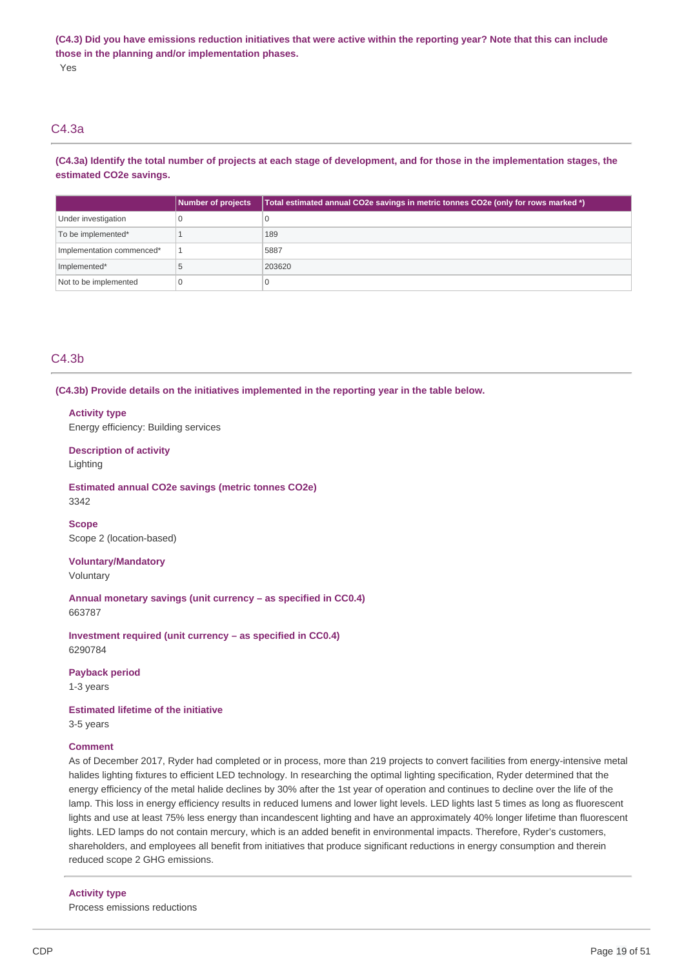(C4.3) Did you have emissions reduction initiatives that were active within the reporting year? Note that this can include  **those in the planning and/or implementation phases.** Yes

# C4.3a

(C4.3a) Identify the total number of projects at each stage of development, and for those in the implementation stages, the  **estimated CO2e savings.**

|                           | Number of projects | Total estimated annual CO2e savings in metric tonnes CO2e (only for rows marked *) |
|---------------------------|--------------------|------------------------------------------------------------------------------------|
| Under investigation       |                    |                                                                                    |
| To be implemented*        |                    | 189                                                                                |
| Implementation commenced* |                    | 5887                                                                               |
| Implemented*              |                    | 203620                                                                             |
| Not to be implemented     |                    |                                                                                    |

# C4.3b

 **(C4.3b) Provide details on the initiatives implemented in the reporting year in the table below.**

### **Activity type**

Energy efficiency: Building services

# **Description of activity**

Lighting

# **Estimated annual CO2e savings (metric tonnes CO2e)** 3342

 Scope 2 (location-based) **Scope**

**Voluntary/Mandatory** Voluntary

 **Annual monetary savings (unit currency – as specified in CC0.4)** 663787

 **Investment required (unit currency – as specified in CC0.4)** 6290784

### **Payback period**

1-3 years

### **Estimated lifetime of the initiative**

3-5 years

# **Comment**

 As of December 2017, Ryder had completed or in process, more than 219 projects to convert facilities from energy-intensive metal halides lighting fixtures to efficient LED technology. In researching the optimal lighting specification, Ryder determined that the energy efficiency of the metal halide declines by 30% after the 1st year of operation and continues to decline over the life of the lamp. This loss in energy efficiency results in reduced lumens and lower light levels. LED lights last 5 times as long as fluorescent lights and use at least 75% less energy than incandescent lighting and have an approximately 40% longer lifetime than fluorescent lights. LED lamps do not contain mercury, which is an added benefit in environmental impacts. Therefore, Ryder's customers, shareholders, and employees all benefit from initiatives that produce significant reductions in energy consumption and therein reduced scope 2 GHG emissions.

### **Activity type**

Process emissions reductions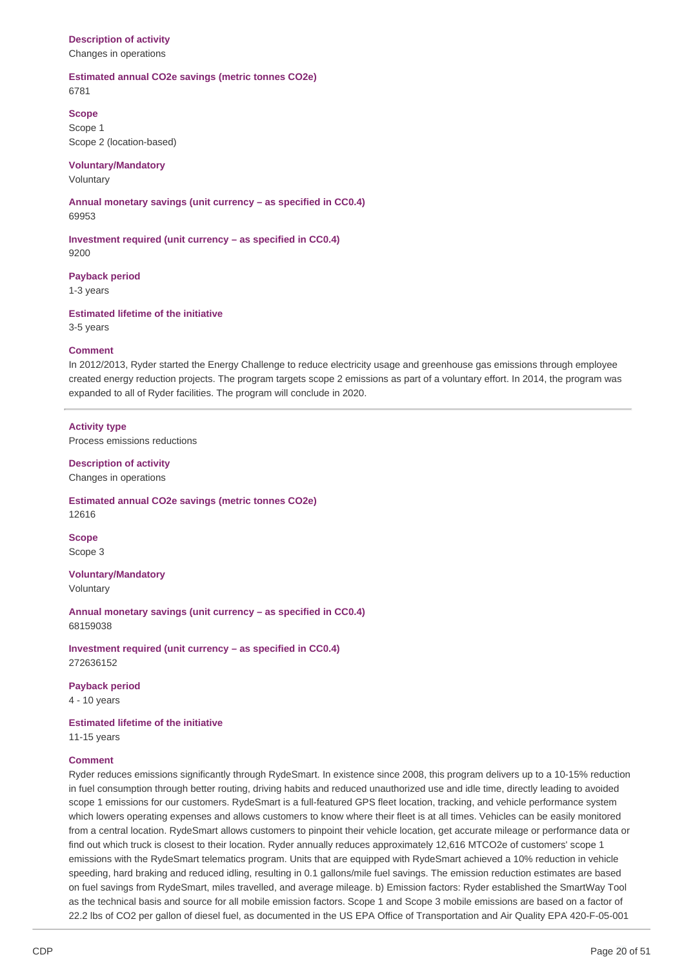# **Description of activity**

Changes in operations

# **Estimated annual CO2e savings (metric tonnes CO2e)**

6781

# **Scope**

 Scope 2 (location-based) Scope 1

# **Voluntary/Mandatory**

Voluntary

 **Annual monetary savings (unit currency – as specified in CC0.4)** 69953

 **Investment required (unit currency – as specified in CC0.4)** 9200

**Payback period**

1-3 years

 **Estimated lifetime of the initiative** 3-5 years

# **Comment**

 In 2012/2013, Ryder started the Energy Challenge to reduce electricity usage and greenhouse gas emissions through employee created energy reduction projects. The program targets scope 2 emissions as part of a voluntary effort. In 2014, the program was expanded to all of Ryder facilities. The program will conclude in 2020.

# **Activity type**

Process emissions reductions

# **Description of activity** Changes in operations

 **Estimated annual CO2e savings (metric tonnes CO2e)** 12616

**Scope** Scope 3

# **Voluntary/Mandatory**

Voluntary

 **Annual monetary savings (unit currency – as specified in CC0.4)** 68159038

 **Investment required (unit currency – as specified in CC0.4)** 272636152

# **Payback period**

4 - 10 years

 **Estimated lifetime of the initiative**

11-15 years

# **Comment**

 Ryder reduces emissions significantly through RydeSmart. In existence since 2008, this program delivers up to a 10-15% reduction in fuel consumption through better routing, driving habits and reduced unauthorized use and idle time, directly leading to avoided scope 1 emissions for our customers. RydeSmart is a full-featured GPS fleet location, tracking, and vehicle performance system which lowers operating expenses and allows customers to know where their fleet is at all times. Vehicles can be easily monitored from a central location. RydeSmart allows customers to pinpoint their vehicle location, get accurate mileage or performance data or find out which truck is closest to their location. Ryder annually reduces approximately 12,616 MTCO2e of customers' scope 1 emissions with the RydeSmart telematics program. Units that are equipped with RydeSmart achieved a 10% reduction in vehicle speeding, hard braking and reduced idling, resulting in 0.1 gallons/mile fuel savings. The emission reduction estimates are based on fuel savings from RydeSmart, miles travelled, and average mileage. b) Emission factors: Ryder established the SmartWay Tool as the technical basis and source for all mobile emission factors. Scope 1 and Scope 3 mobile emissions are based on a factor of 22.2 lbs of CO2 per gallon of diesel fuel, as documented in the US EPA Office of Transportation and Air Quality EPA 420-F-05-001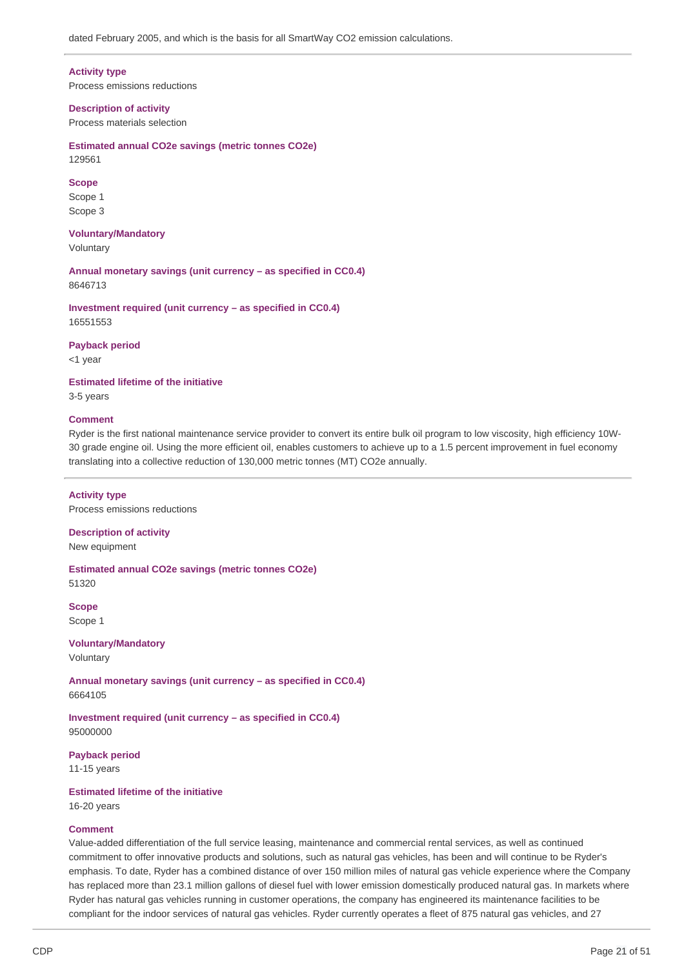**Activity type**

Process emissions reductions

 **Description of activity** Process materials selection

 **Estimated annual CO2e savings (metric tonnes CO2e)** 129561

#### **Scope**

Scope 1 Scope 3

**Voluntary/Mandatory** Voluntary

 **Annual monetary savings (unit currency – as specified in CC0.4)** 8646713

 **Investment required (unit currency – as specified in CC0.4)** 16551553

**Payback period**

<1 year

 **Estimated lifetime of the initiative**

3-5 years

### **Comment**

 Ryder is the first national maintenance service provider to convert its entire bulk oil program to low viscosity, high efficiency 10W- 30 grade engine oil. Using the more efficient oil, enables customers to achieve up to a 1.5 percent improvement in fuel economy translating into a collective reduction of 130,000 metric tonnes (MT) CO2e annually.

 Process emissions reductions **Activity type**

 **Description of activity** New equipment

 **Estimated annual CO2e savings (metric tonnes CO2e)** 51320

**Scope** Scope 1

**Voluntary/Mandatory** Voluntary

 **Annual monetary savings (unit currency – as specified in CC0.4)** 6664105

 **Investment required (unit currency – as specified in CC0.4)** 95000000

**Payback period** 11-15 years

 **Estimated lifetime of the initiative**

16-20 years

# **Comment**

 Value-added differentiation of the full service leasing, maintenance and commercial rental services, as well as continued commitment to offer innovative products and solutions, such as natural gas vehicles, has been and will continue to be Ryder's emphasis. To date, Ryder has a combined distance of over 150 million miles of natural gas vehicle experience where the Company has replaced more than 23.1 million gallons of diesel fuel with lower emission domestically produced natural gas. In markets where Ryder has natural gas vehicles running in customer operations, the company has engineered its maintenance facilities to be compliant for the indoor services of natural gas vehicles. Ryder currently operates a fleet of 875 natural gas vehicles, and 27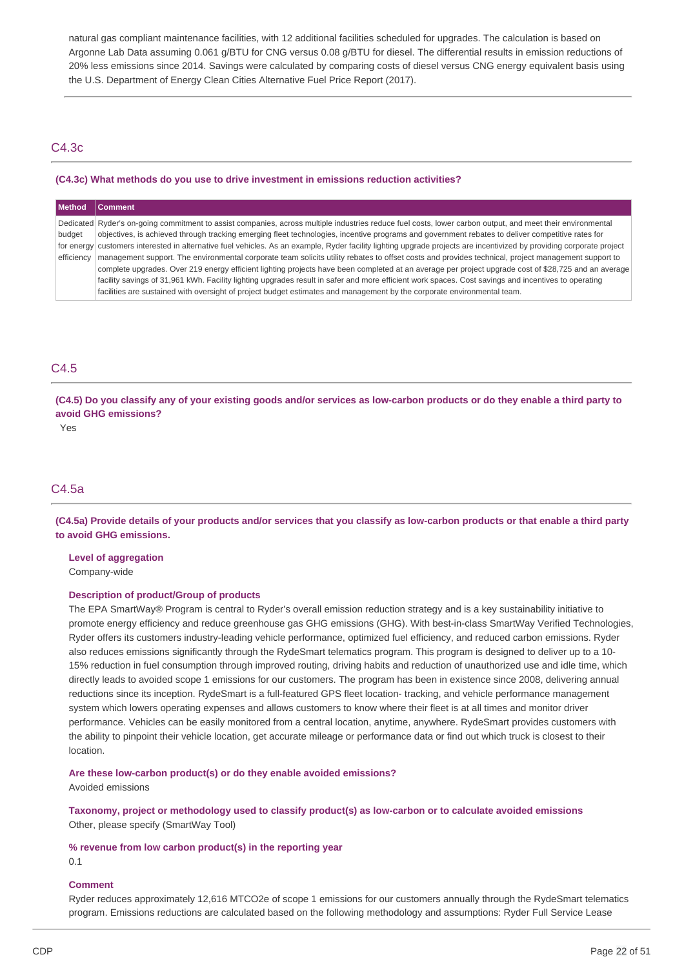natural gas compliant maintenance facilities, with 12 additional facilities scheduled for upgrades. The calculation is based on Argonne Lab Data assuming 0.061 g/BTU for CNG versus 0.08 g/BTU for diesel. The differential results in emission reductions of 20% less emissions since 2014. Savings were calculated by comparing costs of diesel versus CNG energy equivalent basis using the U.S. Department of Energy Clean Cities Alternative Fuel Price Report (2017).

# C4.3c

### **(C4.3c) What methods do you use to drive investment in emissions reduction activities?**

| <b>Method</b> | <b>Comment</b>                                                                                                                                                        |
|---------------|-----------------------------------------------------------------------------------------------------------------------------------------------------------------------|
|               | Dedicated Ryder's on-going commitment to assist companies, across multiple industries reduce fuel costs, lower carbon output, and meet their environmental            |
| budget        | objectives, is achieved through tracking emerging fleet technologies, incentive programs and government rebates to deliver competitive rates for                      |
|               | for energy customers interested in alternative fuel vehicles. As an example, Ryder facility lighting upgrade projects are incentivized by providing corporate project |
| efficiency    | management support. The environmental corporate team solicits utility rebates to offset costs and provides technical, project management support to                   |
|               | complete upgrades. Over 219 energy efficient lighting projects have been completed at an average per project upgrade cost of \$28,725 and an average                  |
|               | facility savings of 31,961 kWh. Facility lighting upgrades result in safer and more efficient work spaces. Cost savings and incentives to operating                   |
|               | facilities are sustained with oversight of project budget estimates and management by the corporate environmental team.                                               |

# C4.5

(C4.5) Do you classify any of your existing goods and/or services as low-carbon products or do they enable a third party to  **avoid GHG emissions?**

Yes

# C4.5a

(C4.5a) Provide details of your products and/or services that you classify as low-carbon products or that enable a third party  **to avoid GHG emissions.**

 **Level of aggregation**

Company-wide

# **Description of product/Group of products**

 The EPA SmartWay® Program is central to Ryder's overall emission reduction strategy and is a key sustainability initiative to promote energy efficiency and reduce greenhouse gas GHG emissions (GHG). With best-in-class SmartWay Verified Technologies, Ryder offers its customers industry-leading vehicle performance, optimized fuel efficiency, and reduced carbon emissions. Ryder also reduces emissions significantly through the RydeSmart telematics program. This program is designed to deliver up to a 10- 15% reduction in fuel consumption through improved routing, driving habits and reduction of unauthorized use and idle time, which directly leads to avoided scope 1 emissions for our customers. The program has been in existence since 2008, delivering annual reductions since its inception. RydeSmart is a full-featured GPS fleet location- tracking, and vehicle performance management system which lowers operating expenses and allows customers to know where their fleet is at all times and monitor driver performance. Vehicles can be easily monitored from a central location, anytime, anywhere. RydeSmart provides customers with the ability to pinpoint their vehicle location, get accurate mileage or performance data or find out which truck is closest to their location.

 **Are these low-carbon product(s) or do they enable avoided emissions?**

Avoided emissions

 **Taxonomy, project or methodology used to classify product(s) as low-carbon or to calculate avoided emissions** Other, please specify (SmartWay Tool)

### **% revenue from low carbon product(s) in the reporting year**

0.1

# **Comment**

 Ryder reduces approximately 12,616 MTCO2e of scope 1 emissions for our customers annually through the RydeSmart telematics program. Emissions reductions are calculated based on the following methodology and assumptions: Ryder Full Service Lease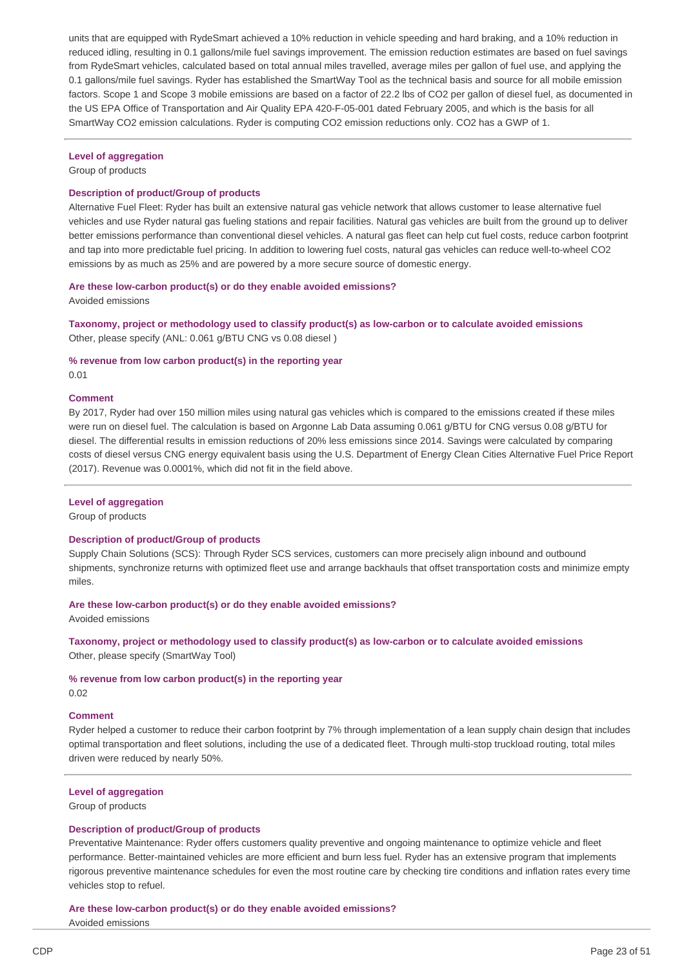units that are equipped with RydeSmart achieved a 10% reduction in vehicle speeding and hard braking, and a 10% reduction in reduced idling, resulting in 0.1 gallons/mile fuel savings improvement. The emission reduction estimates are based on fuel savings from RydeSmart vehicles, calculated based on total annual miles travelled, average miles per gallon of fuel use, and applying the 0.1 gallons/mile fuel savings. Ryder has established the SmartWay Tool as the technical basis and source for all mobile emission factors. Scope 1 and Scope 3 mobile emissions are based on a factor of 22.2 lbs of CO2 per gallon of diesel fuel, as documented in the US EPA Office of Transportation and Air Quality EPA 420-F-05-001 dated February 2005, and which is the basis for all SmartWay CO2 emission calculations. Ryder is computing CO2 emission reductions only. CO2 has a GWP of 1.

### **Level of aggregation**

Group of products

### **Description of product/Group of products**

 Alternative Fuel Fleet: Ryder has built an extensive natural gas vehicle network that allows customer to lease alternative fuel vehicles and use Ryder natural gas fueling stations and repair facilities. Natural gas vehicles are built from the ground up to deliver better emissions performance than conventional diesel vehicles. A natural gas fleet can help cut fuel costs, reduce carbon footprint and tap into more predictable fuel pricing. In addition to lowering fuel costs, natural gas vehicles can reduce well-to-wheel CO2 emissions by as much as 25% and are powered by a more secure source of domestic energy.

 **Are these low-carbon product(s) or do they enable avoided emissions?** Avoided emissions

 **Taxonomy, project or methodology used to classify product(s) as low-carbon or to calculate avoided emissions** Other, please specify (ANL: 0.061 g/BTU CNG vs 0.08 diesel )

### **% revenue from low carbon product(s) in the reporting year** 0.01

# **Comment**

 By 2017, Ryder had over 150 million miles using natural gas vehicles which is compared to the emissions created if these miles were run on diesel fuel. The calculation is based on Argonne Lab Data assuming 0.061 g/BTU for CNG versus 0.08 g/BTU for diesel. The differential results in emission reductions of 20% less emissions since 2014. Savings were calculated by comparing costs of diesel versus CNG energy equivalent basis using the U.S. Department of Energy Clean Cities Alternative Fuel Price Report (2017). Revenue was 0.0001%, which did not fit in the field above.

### **Level of aggregation**

Group of products

### **Description of product/Group of products**

 Supply Chain Solutions (SCS): Through Ryder SCS services, customers can more precisely align inbound and outbound shipments, synchronize returns with optimized fleet use and arrange backhauls that offset transportation costs and minimize empty miles.

### **Are these low-carbon product(s) or do they enable avoided emissions?**

Avoided emissions

 **Taxonomy, project or methodology used to classify product(s) as low-carbon or to calculate avoided emissions** Other, please specify (SmartWay Tool)

 **% revenue from low carbon product(s) in the reporting year** 0.02

### **Comment**

 Ryder helped a customer to reduce their carbon footprint by 7% through implementation of a lean supply chain design that includes optimal transportation and fleet solutions, including the use of a dedicated fleet. Through multi-stop truckload routing, total miles driven were reduced by nearly 50%.

### **Level of aggregation**

Group of products

### **Description of product/Group of products**

 Preventative Maintenance: Ryder offers customers quality preventive and ongoing maintenance to optimize vehicle and fleet performance. Better-maintained vehicles are more efficient and burn less fuel. Ryder has an extensive program that implements rigorous preventive maintenance schedules for even the most routine care by checking tire conditions and inflation rates every time vehicles stop to refuel.

 **Are these low-carbon product(s) or do they enable avoided emissions?** Avoided emissions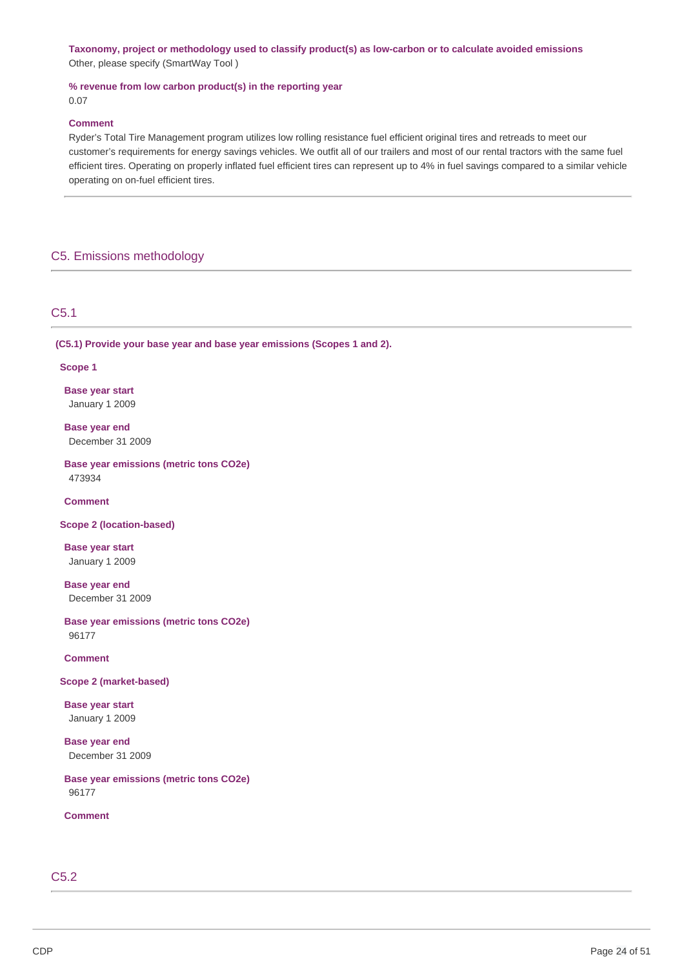**Taxonomy, project or methodology used to classify product(s) as low-carbon or to calculate avoided emissions** Other, please specify (SmartWay Tool )

 **% revenue from low carbon product(s) in the reporting year** 0.07

### **Comment**

 Ryder's Total Tire Management program utilizes low rolling resistance fuel efficient original tires and retreads to meet our customer's requirements for energy savings vehicles. We outfit all of our trailers and most of our rental tractors with the same fuel efficient tires. Operating on properly inflated fuel efficient tires can represent up to 4% in fuel savings compared to a similar vehicle operating on on-fuel efficient tires.

# C5. Emissions methodology

# C5.1

 **(C5.1) Provide your base year and base year emissions (Scopes 1 and 2).**

#### **Scope 1**

 **Base year start** January 1 2009

 **Base year end** December 31 2009

 **Base year emissions (metric tons CO2e)** 473934

**Comment**

 **Scope 2 (location-based)**

 **Base year start** January 1 2009

 **Base year end** December 31 2009

 **Base year emissions (metric tons CO2e)** 96177

**Comment**

 **Scope 2 (market-based)**

 **Base year start** January 1 2009

 **Base year end** December 31 2009

 **Base year emissions (metric tons CO2e)** 96177

**Comment**

C5.2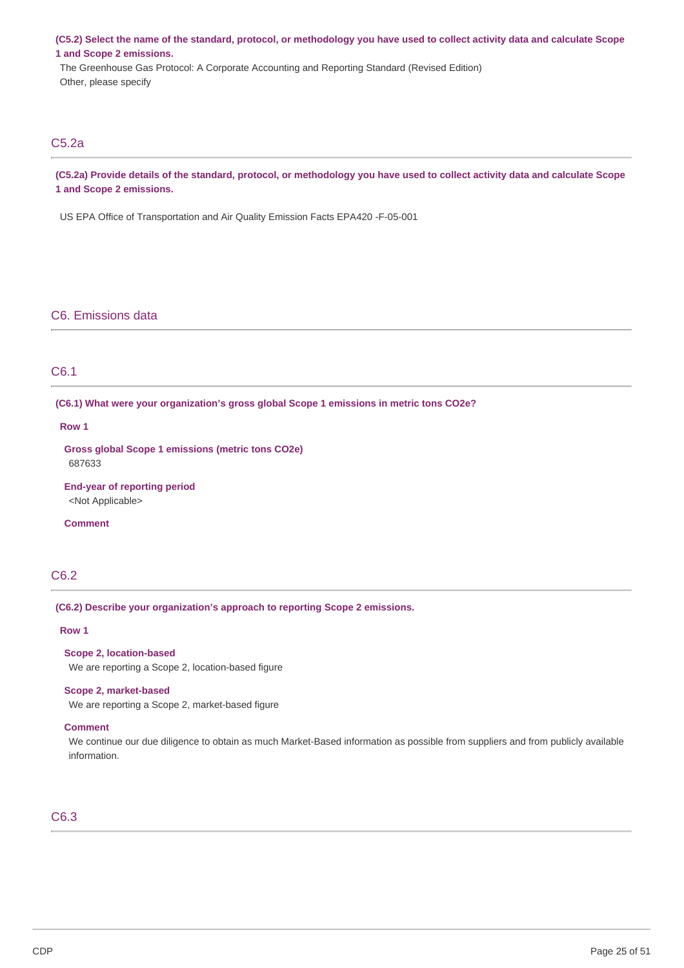(C5.2) Select the name of the standard, protocol, or methodology you have used to collect activity data and calculate Scope  **1 and Scope 2 emissions.**

 The Greenhouse Gas Protocol: A Corporate Accounting and Reporting Standard (Revised Edition) Other, please specify

# C5.2a

(C5.2a) Provide details of the standard, protocol, or methodology you have used to collect activity data and calculate Scope  **1 and Scope 2 emissions.**

US EPA Office of Transportation and Air Quality Emission Facts EPA420 -F-05-001

# C6. Emissions data

# C6.1

 **(C6.1) What were your organization's gross global Scope 1 emissions in metric tons CO2e?**

### **Row 1**

 **Gross global Scope 1 emissions (metric tons CO2e)** 687633

 **End-year of reporting period** <Not Applicable>

**Comment**

# C6.2

 **(C6.2) Describe your organization's approach to reporting Scope 2 emissions.**

### **Row 1**

 **Scope 2, location-based**

We are reporting a Scope 2, location-based figure

#### **Scope 2, market-based**

We are reporting a Scope 2, market-based figure

# **Comment**

 We continue our due diligence to obtain as much Market-Based information as possible from suppliers and from publicly available information.

# C6.3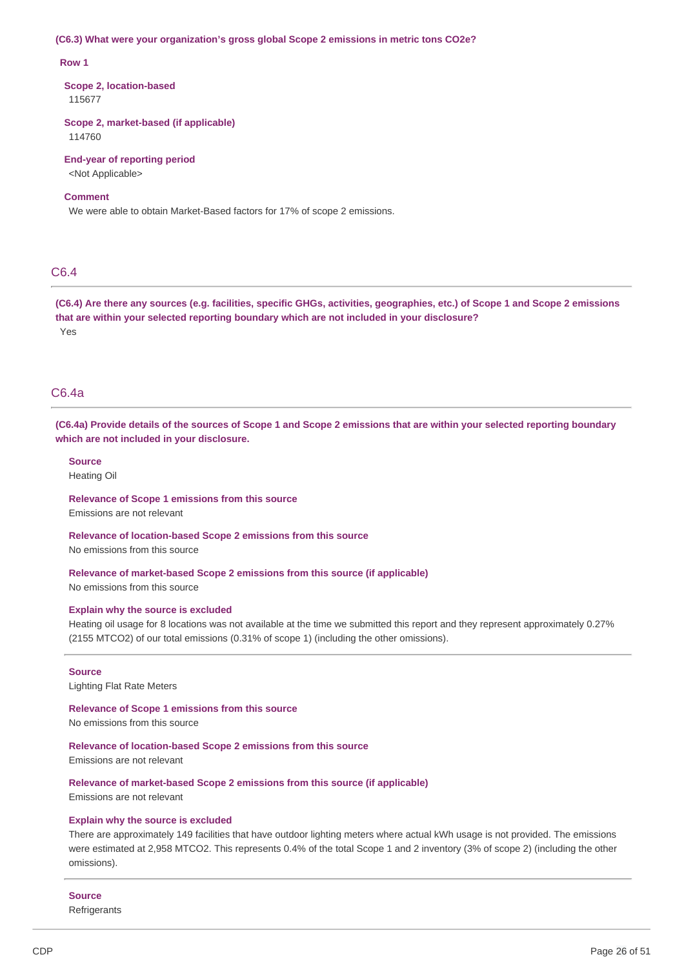#### **(C6.3) What were your organization's gross global Scope 2 emissions in metric tons CO2e?**

#### **Row 1**

 **Scope 2, location-based** 115677

 **Scope 2, market-based (if applicable)** 114760

 **End-year of reporting period** <Not Applicable>

### **Comment**

We were able to obtain Market-Based factors for 17% of scope 2 emissions.

# C6.4

(C6.4) Are there any sources (e.g. facilities, specific GHGs, activities, geographies, etc.) of Scope 1 and Scope 2 emissions  **that are within your selected reporting boundary which are not included in your disclosure?** Yes

### C6.4a

(C6.4a) Provide details of the sources of Scope 1 and Scope 2 emissions that are within your selected reporting boundary  **which are not included in your disclosure.**

**Source** Heating Oil

 **Relevance of Scope 1 emissions from this source** Emissions are not relevant

 **Relevance of location-based Scope 2 emissions from this source** No emissions from this source

 **Relevance of market-based Scope 2 emissions from this source (if applicable)** No emissions from this source

#### **Explain why the source is excluded**

 Heating oil usage for 8 locations was not available at the time we submitted this report and they represent approximately 0.27% (2155 MTCO2) of our total emissions (0.31% of scope 1) (including the other omissions).

### **Source**

Lighting Flat Rate Meters

 **Relevance of Scope 1 emissions from this source**

No emissions from this source

### **Relevance of location-based Scope 2 emissions from this source**

Emissions are not relevant

#### **Relevance of market-based Scope 2 emissions from this source (if applicable)**

Emissions are not relevant

#### **Explain why the source is excluded**

 There are approximately 149 facilities that have outdoor lighting meters where actual kWh usage is not provided. The emissions were estimated at 2,958 MTCO2. This represents 0.4% of the total Scope 1 and 2 inventory (3% of scope 2) (including the other omissions).

#### **Source**

Refrigerants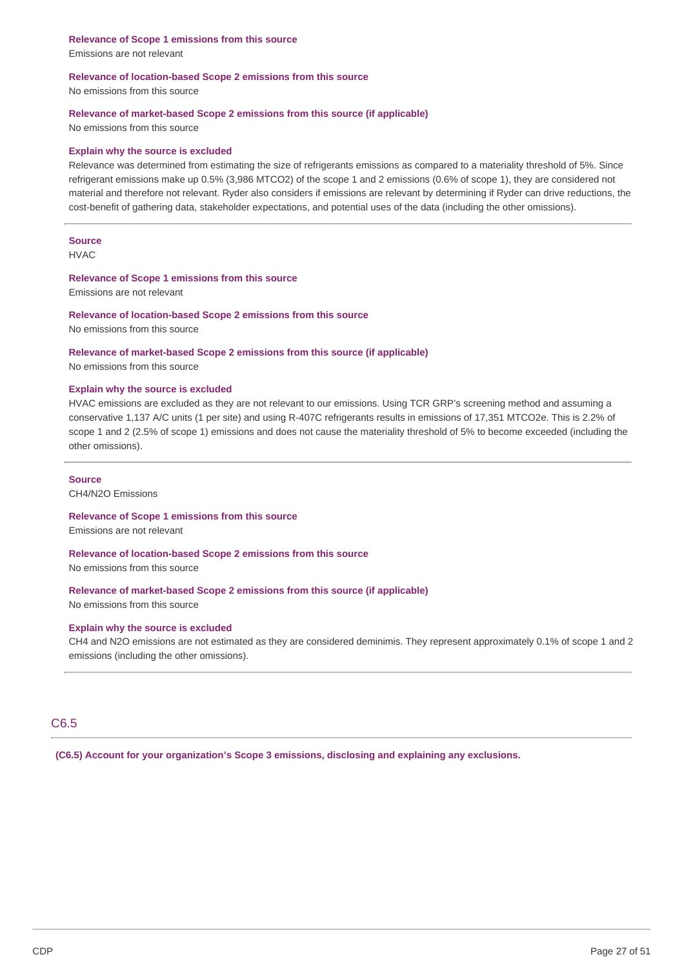**Relevance of Scope 1 emissions from this source** Emissions are not relevant

### **Relevance of location-based Scope 2 emissions from this source**

No emissions from this source

### **Relevance of market-based Scope 2 emissions from this source (if applicable)**

No emissions from this source

### **Explain why the source is excluded**

 Relevance was determined from estimating the size of refrigerants emissions as compared to a materiality threshold of 5%. Since refrigerant emissions make up 0.5% (3,986 MTCO2) of the scope 1 and 2 emissions (0.6% of scope 1), they are considered not material and therefore not relevant. Ryder also considers if emissions are relevant by determining if Ryder can drive reductions, the cost-benefit of gathering data, stakeholder expectations, and potential uses of the data (including the other omissions).

### **Source** HVAC

### **Relevance of Scope 1 emissions from this source**

Emissions are not relevant

# **Relevance of location-based Scope 2 emissions from this source**

No emissions from this source

# **Relevance of market-based Scope 2 emissions from this source (if applicable)**

No emissions from this source

### **Explain why the source is excluded**

 HVAC emissions are excluded as they are not relevant to our emissions. Using TCR GRP's screening method and assuming a conservative 1,137 A/C units (1 per site) and using R-407C refrigerants results in emissions of 17,351 MTCO2e. This is 2.2% of scope 1 and 2 (2.5% of scope 1) emissions and does not cause the materiality threshold of 5% to become exceeded (including the other omissions).

### **Source**

CH4/N2O Emissions

# **Relevance of Scope 1 emissions from this source**

Emissions are not relevant

### **Relevance of location-based Scope 2 emissions from this source**

No emissions from this source

### **Relevance of market-based Scope 2 emissions from this source (if applicable)**

No emissions from this source

# **Explain why the source is excluded**

 CH4 and N2O emissions are not estimated as they are considered deminimis. They represent approximately 0.1% of scope 1 and 2 emissions (including the other omissions).

# C6.5

 **(C6.5) Account for your organization's Scope 3 emissions, disclosing and explaining any exclusions.**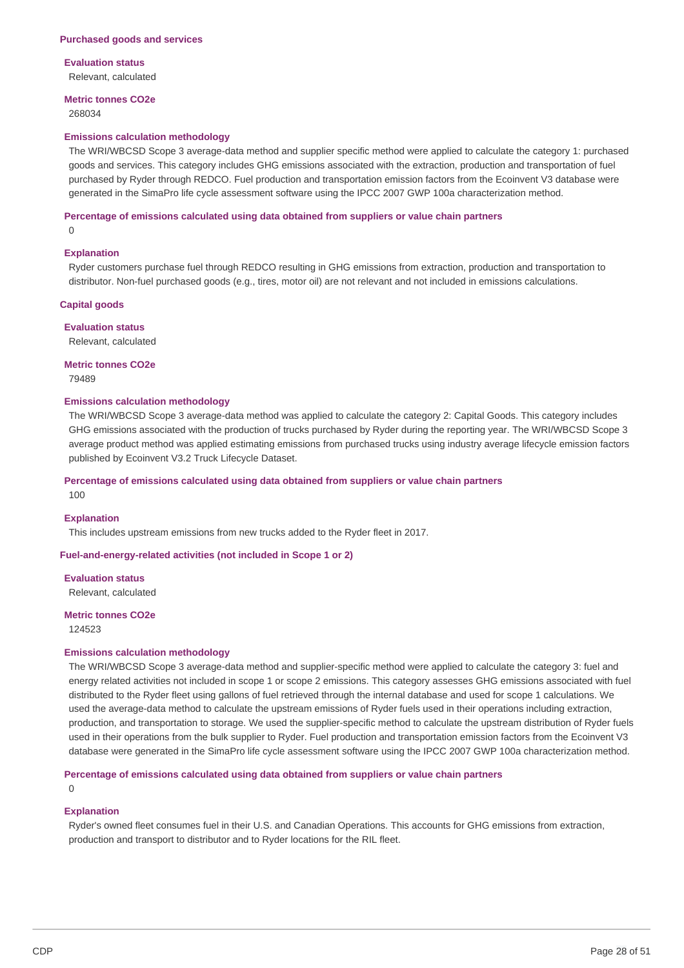#### **Purchased goods and services**

# **Evaluation status**

Relevant, calculated

# **Metric tonnes CO2e**

268034

### **Emissions calculation methodology**

 The WRI/WBCSD Scope 3 average-data method and supplier specific method were applied to calculate the category 1: purchased goods and services. This category includes GHG emissions associated with the extraction, production and transportation of fuel purchased by Ryder through REDCO. Fuel production and transportation emission factors from the Ecoinvent V3 database were generated in the SimaPro life cycle assessment software using the IPCC 2007 GWP 100a characterization method.

#### **Percentage of emissions calculated using data obtained from suppliers or value chain partners**

 $\Omega$ 

### **Explanation**

 Ryder customers purchase fuel through REDCO resulting in GHG emissions from extraction, production and transportation to distributor. Non-fuel purchased goods (e.g., tires, motor oil) are not relevant and not included in emissions calculations.

### **Capital goods**

# **Evaluation status**

Relevant, calculated

# **Metric tonnes CO2e**

79489

### **Emissions calculation methodology**

 The WRI/WBCSD Scope 3 average-data method was applied to calculate the category 2: Capital Goods. This category includes GHG emissions associated with the production of trucks purchased by Ryder during the reporting year. The WRI/WBCSD Scope 3 average product method was applied estimating emissions from purchased trucks using industry average lifecycle emission factors published by Ecoinvent V3.2 Truck Lifecycle Dataset.

# **Percentage of emissions calculated using data obtained from suppliers or value chain partners**

100

### **Explanation**

This includes upstream emissions from new trucks added to the Ryder fleet in 2017.

### **Fuel-and-energy-related activities (not included in Scope 1 or 2)**

**Evaluation status** Relevant, calculated

# **Metric tonnes CO2e**

124523

### **Emissions calculation methodology**

 The WRI/WBCSD Scope 3 average-data method and supplier-specific method were applied to calculate the category 3: fuel and energy related activities not included in scope 1 or scope 2 emissions. This category assesses GHG emissions associated with fuel distributed to the Ryder fleet using gallons of fuel retrieved through the internal database and used for scope 1 calculations. We used the average-data method to calculate the upstream emissions of Ryder fuels used in their operations including extraction, production, and transportation to storage. We used the supplier-specific method to calculate the upstream distribution of Ryder fuels used in their operations from the bulk supplier to Ryder. Fuel production and transportation emission factors from the Ecoinvent V3 database were generated in the SimaPro life cycle assessment software using the IPCC 2007 GWP 100a characterization method.

# **Percentage of emissions calculated using data obtained from suppliers or value chain partners**

 $\Omega$ 

# **Explanation**

 Ryder's owned fleet consumes fuel in their U.S. and Canadian Operations. This accounts for GHG emissions from extraction, production and transport to distributor and to Ryder locations for the RIL fleet.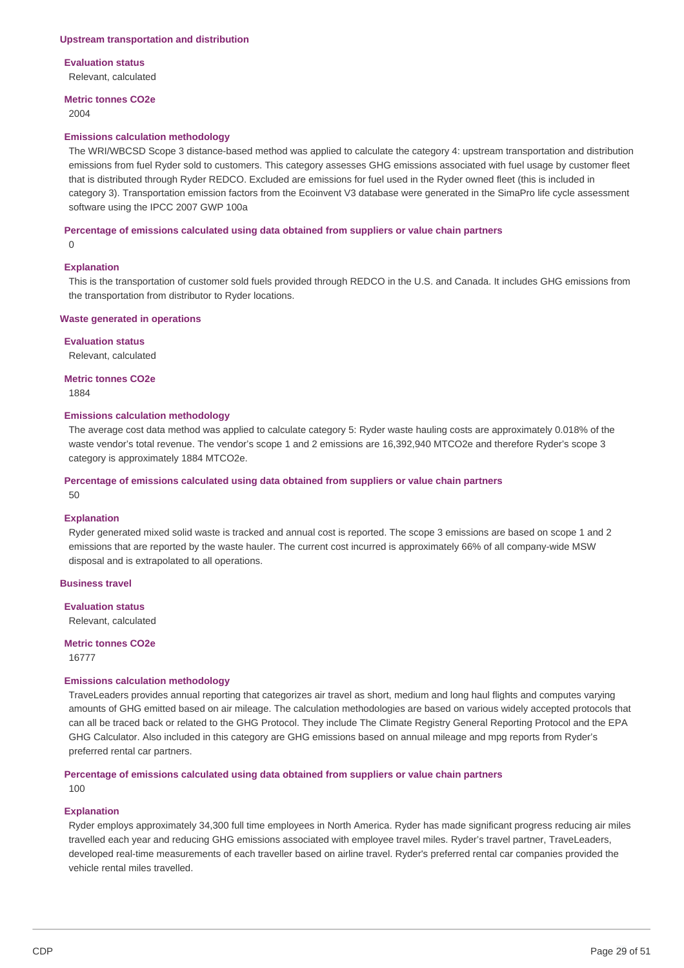#### **Upstream transportation and distribution**

# **Evaluation status**

Relevant, calculated

# **Metric tonnes CO2e**

2004

#### **Emissions calculation methodology**

 The WRI/WBCSD Scope 3 distance-based method was applied to calculate the category 4: upstream transportation and distribution emissions from fuel Ryder sold to customers. This category assesses GHG emissions associated with fuel usage by customer fleet that is distributed through Ryder REDCO. Excluded are emissions for fuel used in the Ryder owned fleet (this is included in category 3). Transportation emission factors from the Ecoinvent V3 database were generated in the SimaPro life cycle assessment software using the IPCC 2007 GWP 100a

#### **Percentage of emissions calculated using data obtained from suppliers or value chain partners**

0

### **Explanation**

 This is the transportation of customer sold fuels provided through REDCO in the U.S. and Canada. It includes GHG emissions from the transportation from distributor to Ryder locations.

### **Waste generated in operations**

# **Evaluation status**

Relevant, calculated

### **Metric tonnes CO2e**

1884

#### **Emissions calculation methodology**

 The average cost data method was applied to calculate category 5: Ryder waste hauling costs are approximately 0.018% of the waste vendor's total revenue. The vendor's scope 1 and 2 emissions are 16,392,940 MTCO2e and therefore Ryder's scope 3 category is approximately 1884 MTCO2e.

# **Percentage of emissions calculated using data obtained from suppliers or value chain partners**

50

### **Explanation**

 Ryder generated mixed solid waste is tracked and annual cost is reported. The scope 3 emissions are based on scope 1 and 2 emissions that are reported by the waste hauler. The current cost incurred is approximately 66% of all company-wide MSW disposal and is extrapolated to all operations.

### **Business travel**

**Evaluation status** Relevant, calculated

 **Metric tonnes CO2e** 16777

### **Emissions calculation methodology**

 TraveLeaders provides annual reporting that categorizes air travel as short, medium and long haul flights and computes varying amounts of GHG emitted based on air mileage. The calculation methodologies are based on various widely accepted protocols that can all be traced back or related to the GHG Protocol. They include The Climate Registry General Reporting Protocol and the EPA GHG Calculator. Also included in this category are GHG emissions based on annual mileage and mpg reports from Ryder's preferred rental car partners.

 **Percentage of emissions calculated using data obtained from suppliers or value chain partners** 100

### **Explanation**

 Ryder employs approximately 34,300 full time employees in North America. Ryder has made significant progress reducing air miles travelled each year and reducing GHG emissions associated with employee travel miles. Ryder's travel partner, TraveLeaders, developed real-time measurements of each traveller based on airline travel. Ryder's preferred rental car companies provided the vehicle rental miles travelled.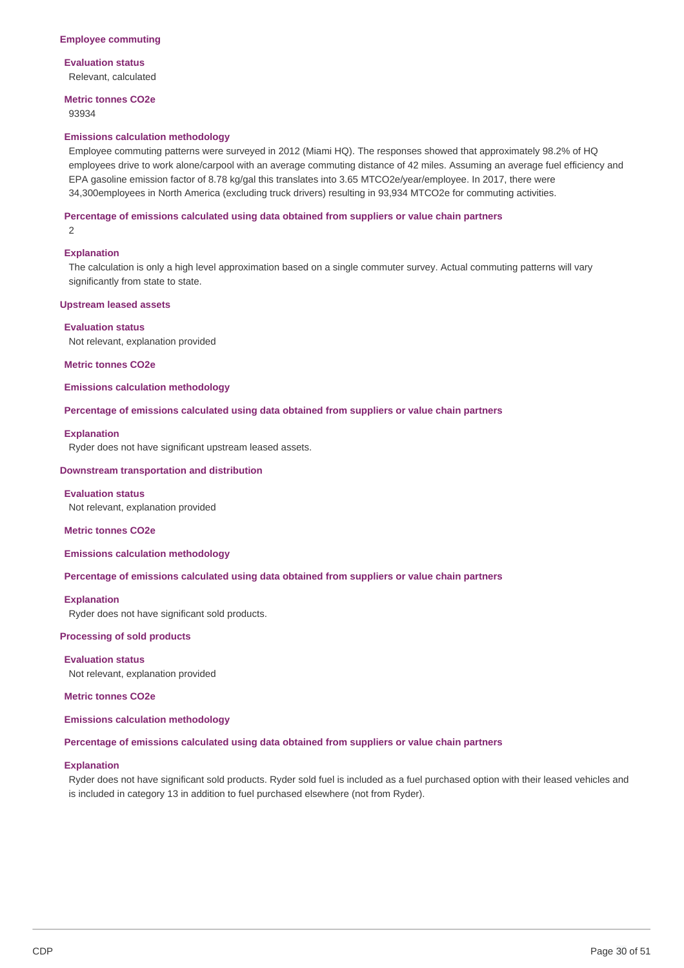### **Employee commuting**

### **Evaluation status**

Relevant, calculated

# **Metric tonnes CO2e**

93934

### **Emissions calculation methodology**

 Employee commuting patterns were surveyed in 2012 (Miami HQ). The responses showed that approximately 98.2% of HQ employees drive to work alone/carpool with an average commuting distance of 42 miles. Assuming an average fuel efficiency and EPA gasoline emission factor of 8.78 kg/gal this translates into 3.65 MTCO2e/year/employee. In 2017, there were 34,300employees in North America (excluding truck drivers) resulting in 93,934 MTCO2e for commuting activities.

### **Percentage of emissions calculated using data obtained from suppliers or value chain partners**

 $\mathfrak{D}$ 

### **Explanation**

 The calculation is only a high level approximation based on a single commuter survey. Actual commuting patterns will vary significantly from state to state.

### **Upstream leased assets**

### **Evaluation status**

Not relevant, explanation provided

#### **Metric tonnes CO2e**

**Emissions calculation methodology**

### **Percentage of emissions calculated using data obtained from suppliers or value chain partners**

### **Explanation**

Ryder does not have significant upstream leased assets.

### **Downstream transportation and distribution**

### **Evaluation status**

Not relevant, explanation provided

#### **Metric tonnes CO2e**

**Emissions calculation methodology**

### **Percentage of emissions calculated using data obtained from suppliers or value chain partners**

#### **Explanation**

Ryder does not have significant sold products.

### **Processing of sold products**

 Not relevant, explanation provided **Evaluation status**

 **Metric tonnes CO2e**

**Emissions calculation methodology**

#### **Percentage of emissions calculated using data obtained from suppliers or value chain partners**

# **Explanation**

 Ryder does not have significant sold products. Ryder sold fuel is included as a fuel purchased option with their leased vehicles and is included in category 13 in addition to fuel purchased elsewhere (not from Ryder).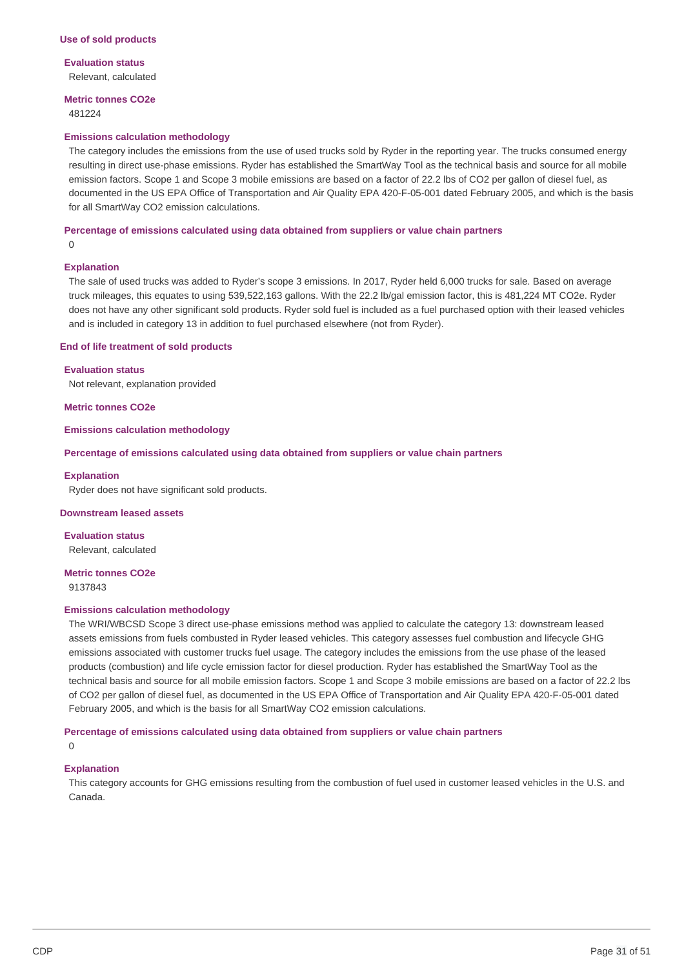**Evaluation status** Relevant, calculated

### **Metric tonnes CO2e** 481224

### **Emissions calculation methodology**

 The category includes the emissions from the use of used trucks sold by Ryder in the reporting year. The trucks consumed energy resulting in direct use-phase emissions. Ryder has established the SmartWay Tool as the technical basis and source for all mobile emission factors. Scope 1 and Scope 3 mobile emissions are based on a factor of 22.2 lbs of CO2 per gallon of diesel fuel, as documented in the US EPA Office of Transportation and Air Quality EPA 420-F-05-001 dated February 2005, and which is the basis for all SmartWay CO2 emission calculations.

### **Percentage of emissions calculated using data obtained from suppliers or value chain partners**

0

### **Explanation**

 The sale of used trucks was added to Ryder's scope 3 emissions. In 2017, Ryder held 6,000 trucks for sale. Based on average truck mileages, this equates to using 539,522,163 gallons. With the 22.2 lb/gal emission factor, this is 481,224 MT CO2e. Ryder does not have any other significant sold products. Ryder sold fuel is included as a fuel purchased option with their leased vehicles and is included in category 13 in addition to fuel purchased elsewhere (not from Ryder).

### **End of life treatment of sold products**

#### **Evaluation status**

Not relevant, explanation provided

 **Metric tonnes CO2e**

#### **Emissions calculation methodology**

 **Percentage of emissions calculated using data obtained from suppliers or value chain partners**

#### **Explanation**

Ryder does not have significant sold products.

#### **Downstream leased assets**

**Evaluation status** Relevant, calculated

 **Metric tonnes CO2e** 9137843

### **Emissions calculation methodology**

 The WRI/WBCSD Scope 3 direct use-phase emissions method was applied to calculate the category 13: downstream leased assets emissions from fuels combusted in Ryder leased vehicles. This category assesses fuel combustion and lifecycle GHG emissions associated with customer trucks fuel usage. The category includes the emissions from the use phase of the leased products (combustion) and life cycle emission factor for diesel production. Ryder has established the SmartWay Tool as the technical basis and source for all mobile emission factors. Scope 1 and Scope 3 mobile emissions are based on a factor of 22.2 lbs of CO2 per gallon of diesel fuel, as documented in the US EPA Office of Transportation and Air Quality EPA 420-F-05-001 dated February 2005, and which is the basis for all SmartWay CO2 emission calculations.

#### **Percentage of emissions calculated using data obtained from suppliers or value chain partners**

 $\Omega$ 

# **Explanation**

 This category accounts for GHG emissions resulting from the combustion of fuel used in customer leased vehicles in the U.S. and Canada.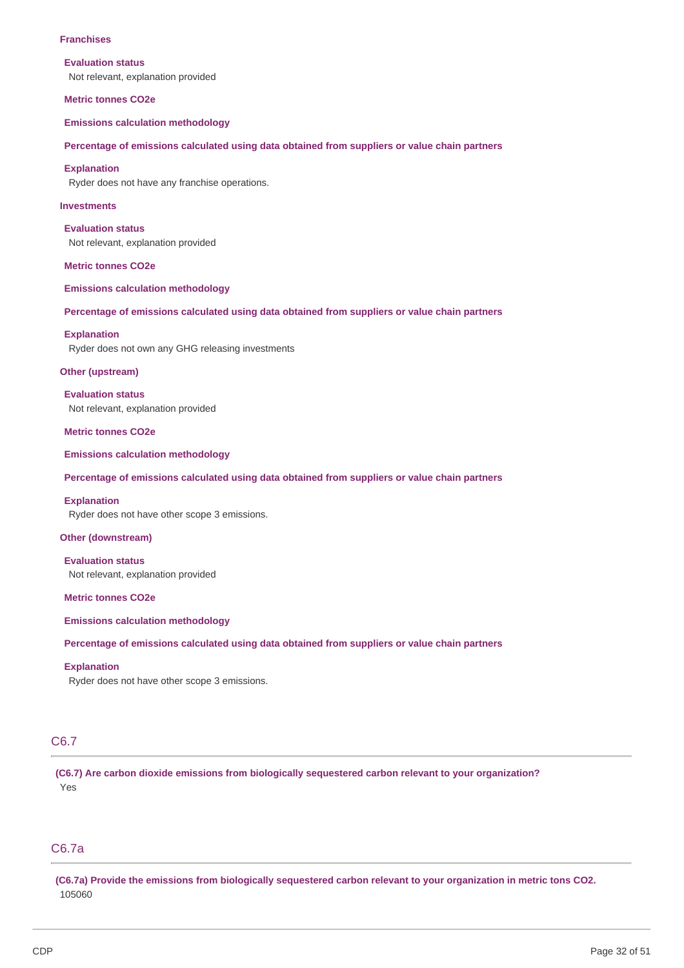### **Franchises**

#### **Evaluation status**

Not relevant, explanation provided

#### **Metric tonnes CO2e**

**Emissions calculation methodology**

#### **Percentage of emissions calculated using data obtained from suppliers or value chain partners**

#### **Explanation**

Ryder does not have any franchise operations.

### **Investments**

 Not relevant, explanation provided **Evaluation status**

 **Metric tonnes CO2e**

**Emissions calculation methodology**

#### **Percentage of emissions calculated using data obtained from suppliers or value chain partners**

### **Explanation**

Ryder does not own any GHG releasing investments

### **Other (upstream)**

 Not relevant, explanation provided **Evaluation status**

 **Metric tonnes CO2e**

**Emissions calculation methodology**

#### **Percentage of emissions calculated using data obtained from suppliers or value chain partners**

### **Explanation**

Ryder does not have other scope 3 emissions.

### **Other (downstream)**

 Not relevant, explanation provided **Evaluation status**

 **Metric tonnes CO2e**

**Emissions calculation methodology**

 **Percentage of emissions calculated using data obtained from suppliers or value chain partners**

### **Explanation**

Ryder does not have other scope 3 emissions.

# C6.7

 **(C6.7) Are carbon dioxide emissions from biologically sequestered carbon relevant to your organization?** Yes

# C6.7a

(C6.7a) Provide the emissions from biologically sequestered carbon relevant to your organization in metric tons CO2. 105060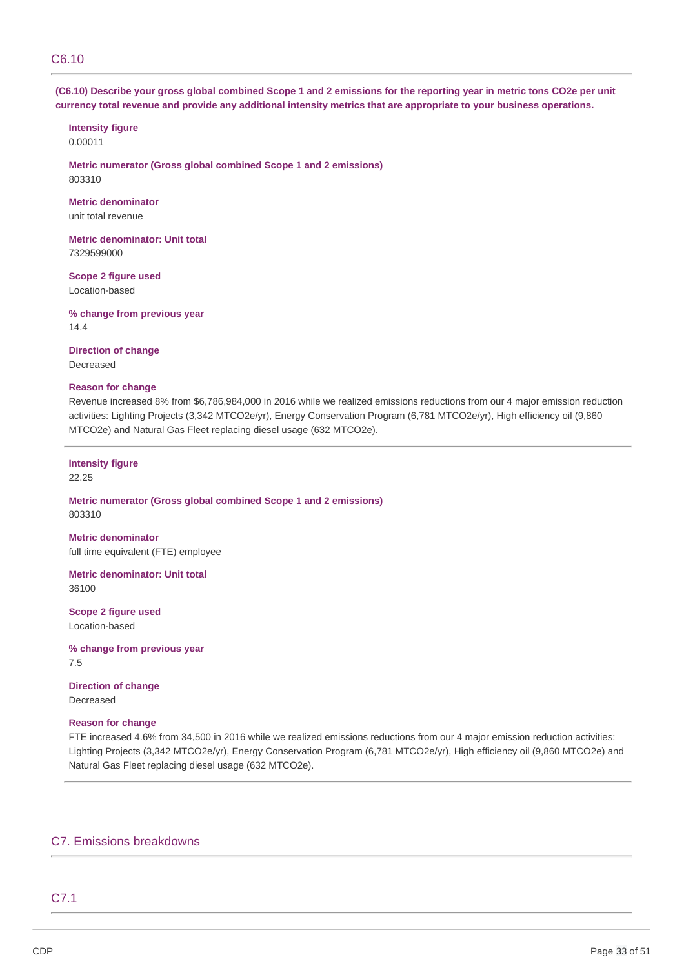# C6.10

(C6.10) Describe your gross global combined Scope 1 and 2 emissions for the reporting year in metric tons CO2e per unit currency total revenue and provide any additional intensity metrics that are appropriate to your business operations.

# **Intensity figure**

0.00011

 **Metric numerator (Gross global combined Scope 1 and 2 emissions)** 803310

# **Metric denominator**

unit total revenue

 **Metric denominator: Unit total** 7329599000

 **Scope 2 figure used** Location-based

 **% change from previous year** 14.4

 **Direction of change** Decreased

# **Reason for change**

 Revenue increased 8% from \$6,786,984,000 in 2016 while we realized emissions reductions from our 4 major emission reduction activities: Lighting Projects (3,342 MTCO2e/yr), Energy Conservation Program (6,781 MTCO2e/yr), High efficiency oil (9,860 MTCO2e) and Natural Gas Fleet replacing diesel usage (632 MTCO2e).

# **Intensity figure**

22.25

 **Metric numerator (Gross global combined Scope 1 and 2 emissions)** 803310

 full time equivalent (FTE) employee **Metric denominator**

 **Metric denominator: Unit total** 36100

 **Scope 2 figure used** Location-based

 **% change from previous year** 7.5

 **Direction of change** Decreased

# **Reason for change**

 FTE increased 4.6% from 34,500 in 2016 while we realized emissions reductions from our 4 major emission reduction activities: Lighting Projects (3,342 MTCO2e/yr), Energy Conservation Program (6,781 MTCO2e/yr), High efficiency oil (9,860 MTCO2e) and Natural Gas Fleet replacing diesel usage (632 MTCO2e).

# C7. Emissions breakdowns

# C7.1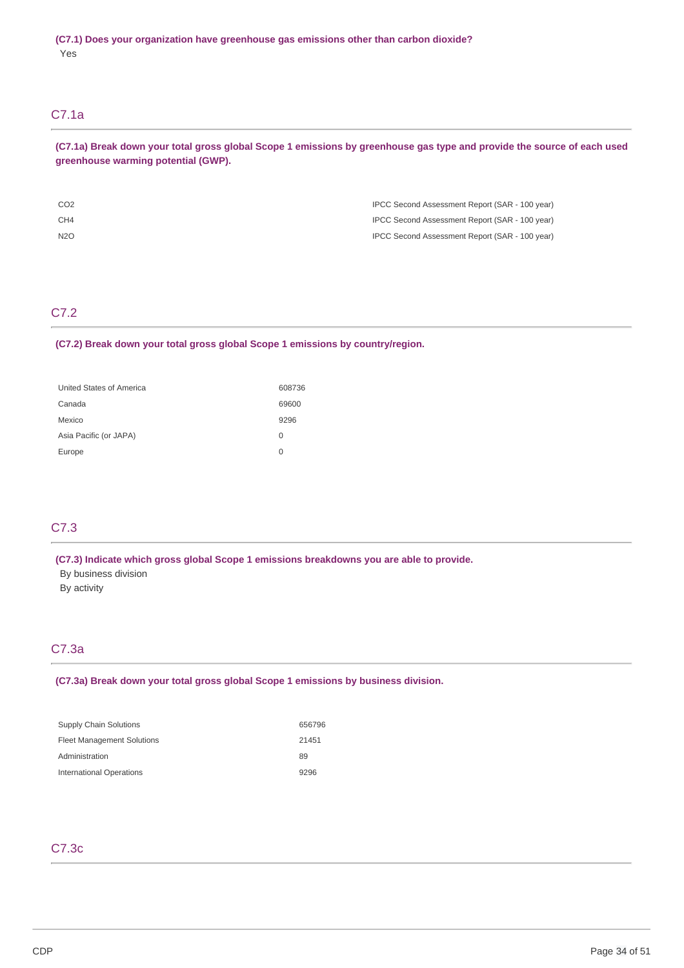# C7.1a

(C7.1a) Break down your total gross global Scope 1 emissions by greenhouse gas type and provide the source of each used  **greenhouse warming potential (GWP).**

| CO <sub>2</sub> | IPCC Second Assessment Report (SAR - 100 year) |
|-----------------|------------------------------------------------|
| CH4             | IPCC Second Assessment Report (SAR - 100 year) |
| N2O             | IPCC Second Assessment Report (SAR - 100 year) |

# C7.2

### **(C7.2) Break down your total gross global Scope 1 emissions by country/region.**

| United States of America | 608736 |
|--------------------------|--------|
| Canada                   | 69600  |
| Mexico                   | 9296   |
| Asia Pacific (or JAPA)   | 0      |
| Europe                   | O      |

# C7.3

 **(C7.3) Indicate which gross global Scope 1 emissions breakdowns you are able to provide.**

- By business division
- By activity

# C7.3a

### **(C7.3a) Break down your total gross global Scope 1 emissions by business division.**

| 656796 |
|--------|
| 21451  |
| 89     |
| 9296   |
|        |

# C7.3c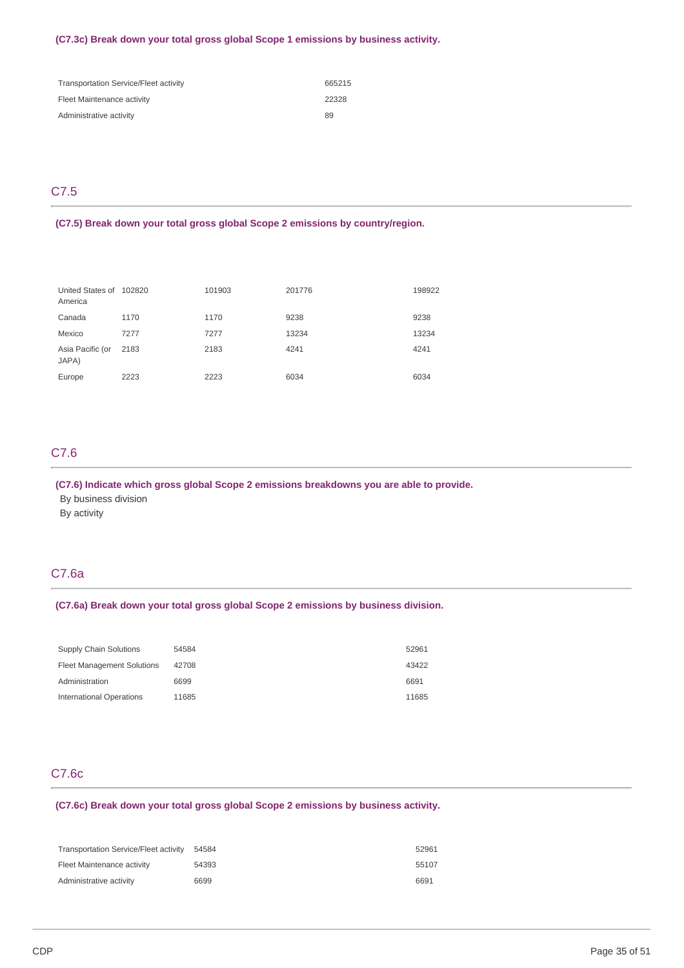### **(C7.3c) Break down your total gross global Scope 1 emissions by business activity.**

| <b>Transportation Service/Fleet activity</b> | 665215 |
|----------------------------------------------|--------|
| Fleet Maintenance activity                   | 22328  |
| Administrative activity                      | 89     |

# C7.5

 **(C7.5) Break down your total gross global Scope 2 emissions by country/region.**

| United States of 102820<br>America |      | 101903 | 201776 | 198922 |
|------------------------------------|------|--------|--------|--------|
| Canada                             | 1170 | 1170   | 9238   | 9238   |
| Mexico                             | 7277 | 7277   | 13234  | 13234  |
| Asia Pacific (or<br>JAPA)          | 2183 | 2183   | 4241   | 4241   |
| Europe                             | 2223 | 2223   | 6034   | 6034   |

# C7.6

 **(C7.6) Indicate which gross global Scope 2 emissions breakdowns you are able to provide.**

By business division

By activity

# C7.6a

### **(C7.6a) Break down your total gross global Scope 2 emissions by business division.**

| Supply Chain Solutions            | 54584 | 52961 |
|-----------------------------------|-------|-------|
| <b>Fleet Management Solutions</b> | 42708 | 43422 |
| Administration                    | 6699  | 6691  |
| <b>International Operations</b>   | 11685 | 11685 |

# C7.6c

 **(C7.6c) Break down your total gross global Scope 2 emissions by business activity.**

| <b>Transportation Service/Fleet activity</b> | 54584 | 52961 |
|----------------------------------------------|-------|-------|
| Fleet Maintenance activity                   | 54393 | 55107 |
| Administrative activity                      | 6699  | 6691  |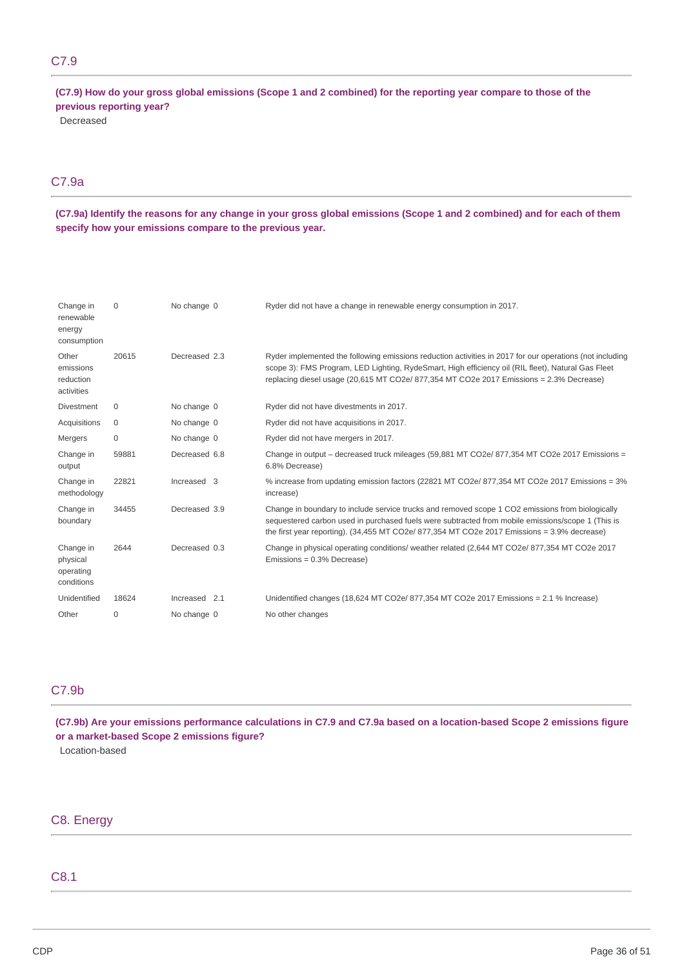# C7.9

(C7.9) How do your gross global emissions (Scope 1 and 2 combined) for the reporting year compare to those of the  **previous reporting year?**

Decreased

# C7.9a

(C7.9a) Identify the reasons for any change in your gross global emissions (Scope 1 and 2 combined) and for each of them  **specify how your emissions compare to the previous year.**

| Change in<br>renewable<br>energy<br>consumption  | $\Omega$ | No change 0   | Ryder did not have a change in renewable energy consumption in 2017.                                                                                                                                                                                                                                      |
|--------------------------------------------------|----------|---------------|-----------------------------------------------------------------------------------------------------------------------------------------------------------------------------------------------------------------------------------------------------------------------------------------------------------|
| Other<br>emissions<br>reduction<br>activities    | 20615    | Decreased 2.3 | Ryder implemented the following emissions reduction activities in 2017 for our operations (not including<br>scope 3): FMS Program, LED Lighting, RydeSmart, High efficiency oil (RIL fleet), Natural Gas Fleet<br>replacing diesel usage (20,615 MT CO2e/ 877,354 MT CO2e 2017 Emissions = 2.3% Decrease) |
| <b>Divestment</b>                                | 0        | No change 0   | Ryder did not have divestments in 2017.                                                                                                                                                                                                                                                                   |
| Acquisitions                                     | 0        | No change 0   | Ryder did not have acquisitions in 2017.                                                                                                                                                                                                                                                                  |
| Mergers                                          | $\Omega$ | No change 0   | Ryder did not have mergers in 2017.                                                                                                                                                                                                                                                                       |
| Change in<br>output                              | 59881    | Decreased 6.8 | Change in output – decreased truck mileages (59,881 MT CO2e/ 877,354 MT CO2e 2017 Emissions =<br>6.8% Decrease)                                                                                                                                                                                           |
| Change in<br>methodology                         | 22821    | Increased 3   | % increase from updating emission factors (22821 MT CO2e/ 877,354 MT CO2e 2017 Emissions = 3%<br>increase)                                                                                                                                                                                                |
| Change in<br>boundary                            | 34455    | Decreased 3.9 | Change in boundary to include service trucks and removed scope 1 CO2 emissions from biologically<br>sequestered carbon used in purchased fuels were subtracted from mobile emissions/scope 1 (This is<br>the first year reporting). (34,455 MT CO2e/ 877,354 MT CO2e 2017 Emissions = 3.9% decrease)      |
| Change in<br>physical<br>operating<br>conditions | 2644     | Decreased 0.3 | Change in physical operating conditions/ weather related (2,644 MT CO2e/ 877,354 MT CO2e 2017<br>Emissions = 0.3% Decrease)                                                                                                                                                                               |
| Unidentified                                     | 18624    | Increased 2.1 | Unidentified changes (18,624 MT CO2e/ 877,354 MT CO2e 2017 Emissions = 2.1 % Increase)                                                                                                                                                                                                                    |
| Other                                            | 0        | No change 0   | No other changes                                                                                                                                                                                                                                                                                          |

# C7.9b

(C7.9b) Are your emissions performance calculations in C7.9 and C7.9a based on a location-based Scope 2 emissions figure  **or a market-based Scope 2 emissions figure?**

Location-based

# C8. Energy

# C8.1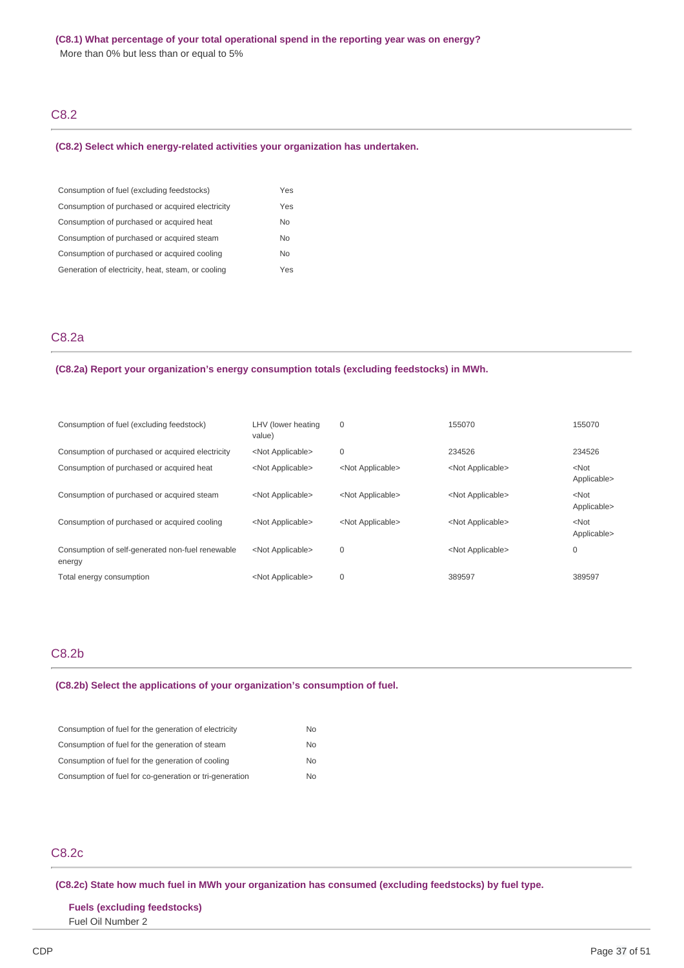More than 0% but less than or equal to 5%

# C8.2

#### **(C8.2) Select which energy-related activities your organization has undertaken.**

| Consumption of fuel (excluding feedstocks)         | Yes |
|----------------------------------------------------|-----|
| Consumption of purchased or acquired electricity   | Yes |
| Consumption of purchased or acquired heat          | No  |
| Consumption of purchased or acquired steam         | No  |
| Consumption of purchased or acquired cooling       | No  |
| Generation of electricity, heat, steam, or cooling | Yes |

# C8.2a

#### **(C8.2a) Report your organization's energy consumption totals (excluding feedstocks) in MWh.**

| Consumption of fuel (excluding feedstock)                  | LHV (lower heating<br>value) | $\mathbf 0$               | 155070                    | 155070                 |
|------------------------------------------------------------|------------------------------|---------------------------|---------------------------|------------------------|
| Consumption of purchased or acquired electricity           | <not applicable=""></not>    | $\mathbf 0$               | 234526                    | 234526                 |
| Consumption of purchased or acquired heat                  | <not applicable=""></not>    | <not applicable=""></not> | <not applicable=""></not> | $<$ Not<br>Applicable> |
| Consumption of purchased or acquired steam                 | <not applicable=""></not>    | <not applicable=""></not> | <not applicable=""></not> | $<$ Not<br>Applicable> |
| Consumption of purchased or acquired cooling               | <not applicable=""></not>    | <not applicable=""></not> | <not applicable=""></not> | $<$ Not<br>Applicable> |
| Consumption of self-generated non-fuel renewable<br>energy | <not applicable=""></not>    | $\mathbf 0$               | <not applicable=""></not> | 0                      |
| Total energy consumption                                   | <not applicable=""></not>    | $\mathbf 0$               | 389597                    | 389597                 |

# C8.2b

### **(C8.2b) Select the applications of your organization's consumption of fuel.**

| Consumption of fuel for the generation of electricity   | No. |
|---------------------------------------------------------|-----|
| Consumption of fuel for the generation of steam         | No. |
| Consumption of fuel for the generation of cooling       | No. |
| Consumption of fuel for co-generation or tri-generation | No. |

# C8.2c

# **(C8.2c) State how much fuel in MWh your organization has consumed (excluding feedstocks) by fuel type.**

# **Fuels (excluding feedstocks)** Fuel Oil Number 2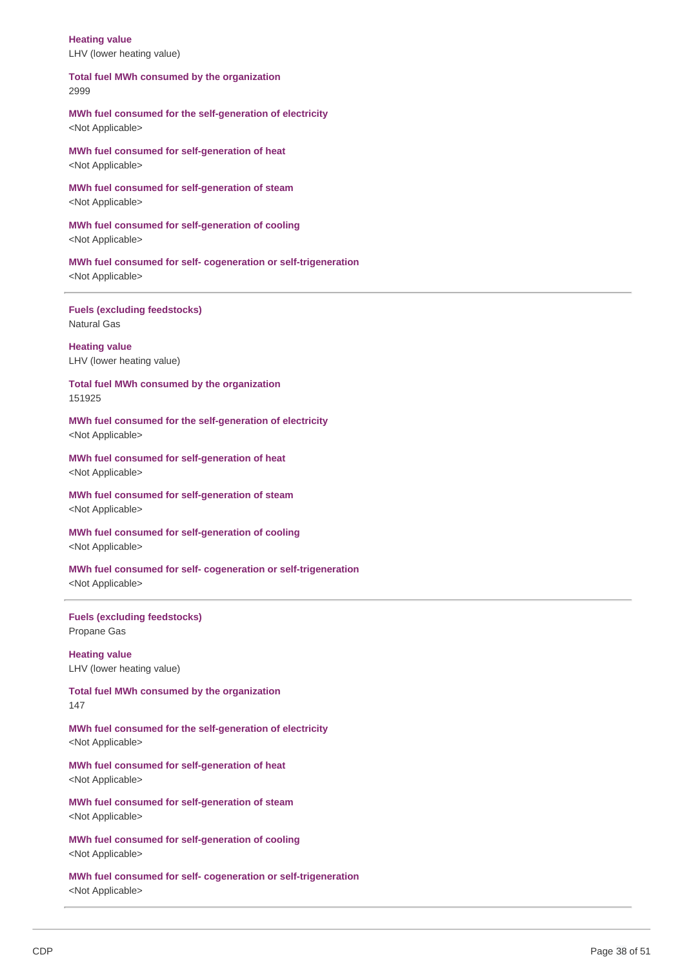LHV (lower heating value) **Heating value**

 **Total fuel MWh consumed by the organization** 2999

 **MWh fuel consumed for the self-generation of electricity** <Not Applicable>

 **MWh fuel consumed for self-generation of heat** <Not Applicable>

 **MWh fuel consumed for self-generation of steam** <Not Applicable>

 **MWh fuel consumed for self-generation of cooling** <Not Applicable>

 **MWh fuel consumed for self- cogeneration or self-trigeneration** <Not Applicable>

 **Fuels (excluding feedstocks)** Natural Gas

 LHV (lower heating value) **Heating value**

 **Total fuel MWh consumed by the organization** 151925

 **MWh fuel consumed for the self-generation of electricity** <Not Applicable>

 **MWh fuel consumed for self-generation of heat** <Not Applicable>

 **MWh fuel consumed for self-generation of steam** <Not Applicable>

 **MWh fuel consumed for self-generation of cooling** <Not Applicable>

 **MWh fuel consumed for self- cogeneration or self-trigeneration** <Not Applicable>

 **Fuels (excluding feedstocks)** Propane Gas

 LHV (lower heating value) **Heating value**

 **Total fuel MWh consumed by the organization** 147

 **MWh fuel consumed for the self-generation of electricity** <Not Applicable>

 **MWh fuel consumed for self-generation of heat** <Not Applicable>

 **MWh fuel consumed for self-generation of steam** <Not Applicable>

 **MWh fuel consumed for self-generation of cooling** <Not Applicable>

 **MWh fuel consumed for self- cogeneration or self-trigeneration** <Not Applicable>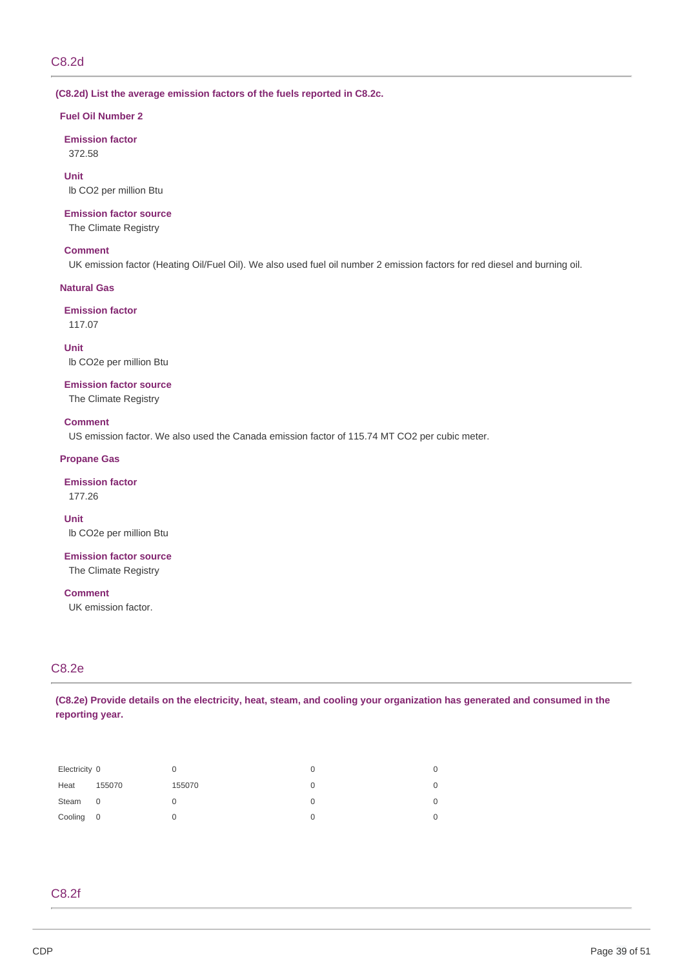### **(C8.2d) List the average emission factors of the fuels reported in C8.2c.**

### **Fuel Oil Number 2**

**Emission factor** 372.58

 lb CO2 per million Btu **Unit**

### **Emission factor source**

The Climate Registry

# **Comment**

UK emission factor (Heating Oil/Fuel Oil). We also used fuel oil number 2 emission factors for red diesel and burning oil.

# **Natural Gas**

# **Emission factor**

117.07

 lb CO2e per million Btu **Unit**

### **Emission factor source**

The Climate Registry

### **Comment**

US emission factor. We also used the Canada emission factor of 115.74 MT CO2 per cubic meter.

# **Propane Gas**

### **Emission factor**

177.26

**Unit**

lb CO2e per million Btu

 **Emission factor source** The Climate Registry

**Comment**

UK emission factor.

# C8.2e

(C8.2e) Provide details on the electricity, heat, steam, and cooling your organization has generated and consumed in the **reporting year.**

| Electricity 0 |        |        | 0 | 0 |
|---------------|--------|--------|---|---|
| Heat          | 155070 | 155070 | O | 0 |
| Steam         | 0      |        | O | 0 |
| Cooling 0     |        |        |   | 0 |

# C8.2f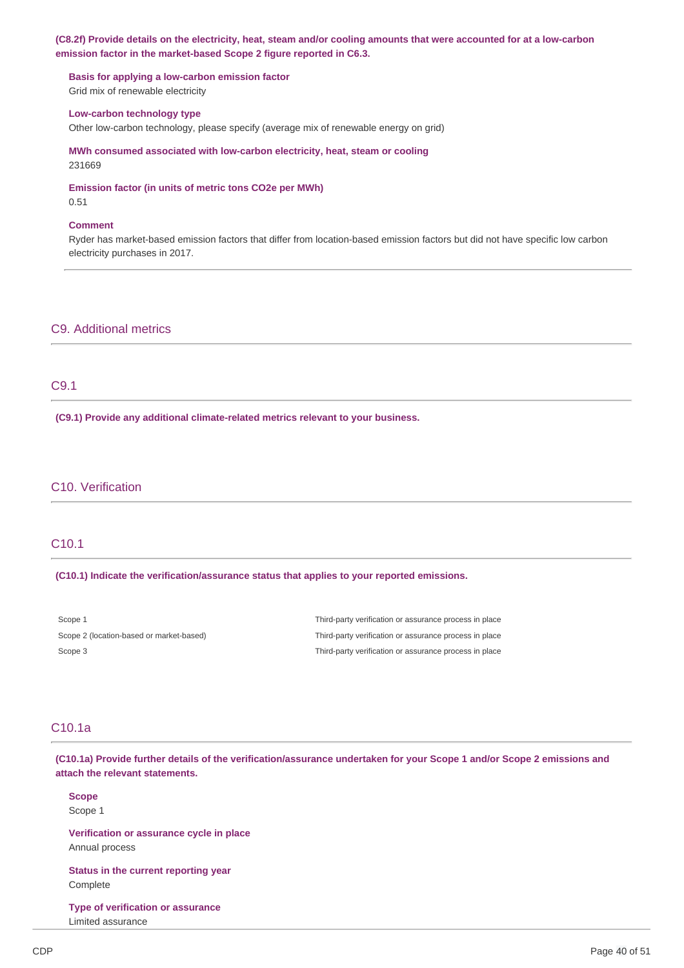# (C8.2f) Provide details on the electricity, heat, steam and/or cooling amounts that were accounted for at a low-carbon  **emission factor in the market-based Scope 2 figure reported in C6.3.**

 **Basis for applying a low-carbon emission factor** Grid mix of renewable electricity

### **Low-carbon technology type**

Other low-carbon technology, please specify (average mix of renewable energy on grid)

 **MWh consumed associated with low-carbon electricity, heat, steam or cooling** 231669

 **Emission factor (in units of metric tons CO2e per MWh)**

0.51

# **Comment**

 Ryder has market-based emission factors that differ from location-based emission factors but did not have specific low carbon electricity purchases in 2017.

# C9. Additional metrics

# C9.1

 **(C9.1) Provide any additional climate-related metrics relevant to your business.**

# C10. Verification

# C10.1

### **(C10.1) Indicate the verification/assurance status that applies to your reported emissions.**

| Scope 1                                  | Third-party verification or assurance process in place |
|------------------------------------------|--------------------------------------------------------|
| Scope 2 (location-based or market-based) | Third-party verification or assurance process in place |
| Scope 3                                  | Third-party verification or assurance process in place |

# C10.1a

(C10.1a) Provide further details of the verification/assurance undertaken for your Scope 1 and/or Scope 2 emissions and  **attach the relevant statements.**

**Scope** Scope 1

 **Verification or assurance cycle in place** Annual process

 **Status in the current reporting year** Complete

 **Type of verification or assurance** Limited assurance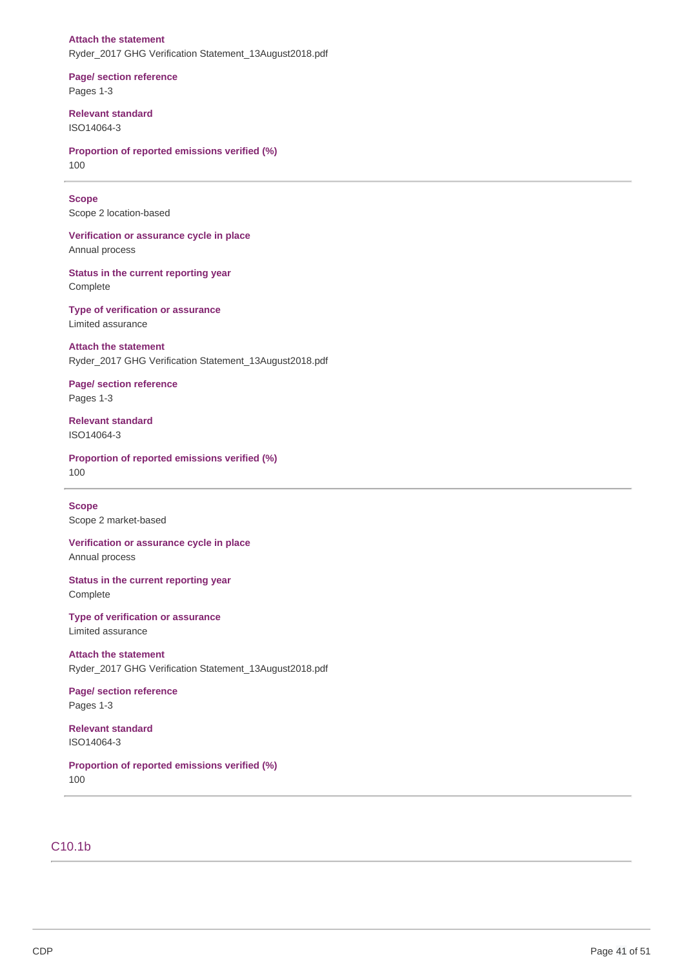# **Attach the statement** Ryder\_2017 GHG Verification Statement\_13August2018.pdf

 **Page/ section reference** Pages 1-3

**Relevant standard** ISO14064-3

 **Proportion of reported emissions verified (%)** 100

# **Scope**

Scope 2 location-based

 **Verification or assurance cycle in place** Annual process

 **Status in the current reporting year** Complete

 **Type of verification or assurance** Limited assurance

 **Attach the statement**

Ryder\_2017 GHG Verification Statement\_13August2018.pdf

# **Page/ section reference** Pages 1-3

**Relevant standard** ISO14064-3

 **Proportion of reported emissions verified (%)** 100

 Scope 2 market-based **Scope**

 **Verification or assurance cycle in place** Annual process

 **Status in the current reporting year** Complete

 **Type of verification or assurance** Limited assurance

 **Attach the statement** Ryder\_2017 GHG Verification Statement\_13August2018.pdf

 **Page/ section reference** Pages 1-3

**Relevant standard** ISO14064-3

 **Proportion of reported emissions verified (%)** 100

# C10.1b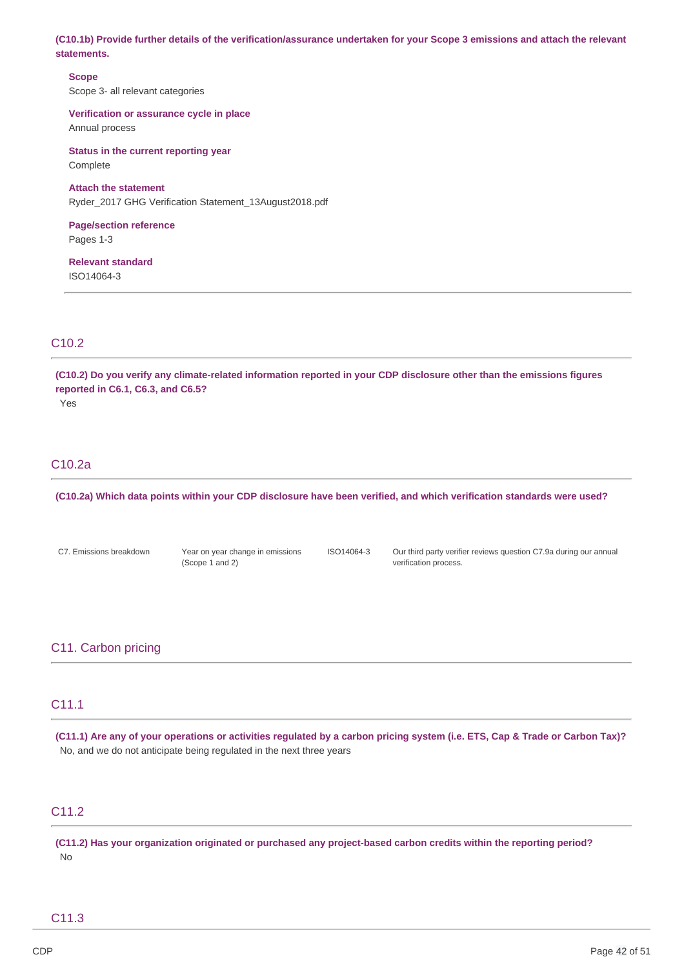(C10.1b) Provide further details of the verification/assurance undertaken for your Scope 3 emissions and attach the relevant **statements.**

 Scope 3- all relevant categories **Scope**

 **Verification or assurance cycle in place** Annual process

 **Status in the current reporting year** Complete

 **Attach the statement** Ryder\_2017 GHG Verification Statement\_13August2018.pdf

**Page/section reference** Pages 1-3

**Relevant standard** ISO14064-3

# C10.2

(C10.2) Do you verify any climate-related information reported in your CDP disclosure other than the emissions figures  **reported in C6.1, C6.3, and C6.5?**

Yes

# C10.2a

(C10.2a) Which data points within your CDP disclosure have been verified, and which verification standards were used?

C7. Emissions breakdown

(Scope 1 and 2)

 C7. Emissions breakdown Year on year change in emissions ISO14064-3 Our third party verifier reviews question C7.9a during our annual verification process.

# C11. Carbon pricing

# C11.1

(C11.1) Are any of your operations or activities regulated by a carbon pricing system (i.e. ETS, Cap & Trade or Carbon Tax)? No, and we do not anticipate being regulated in the next three years

# C11.2

(C11.2) Has your organization originated or purchased any project-based carbon credits within the reporting period? No

# C11.3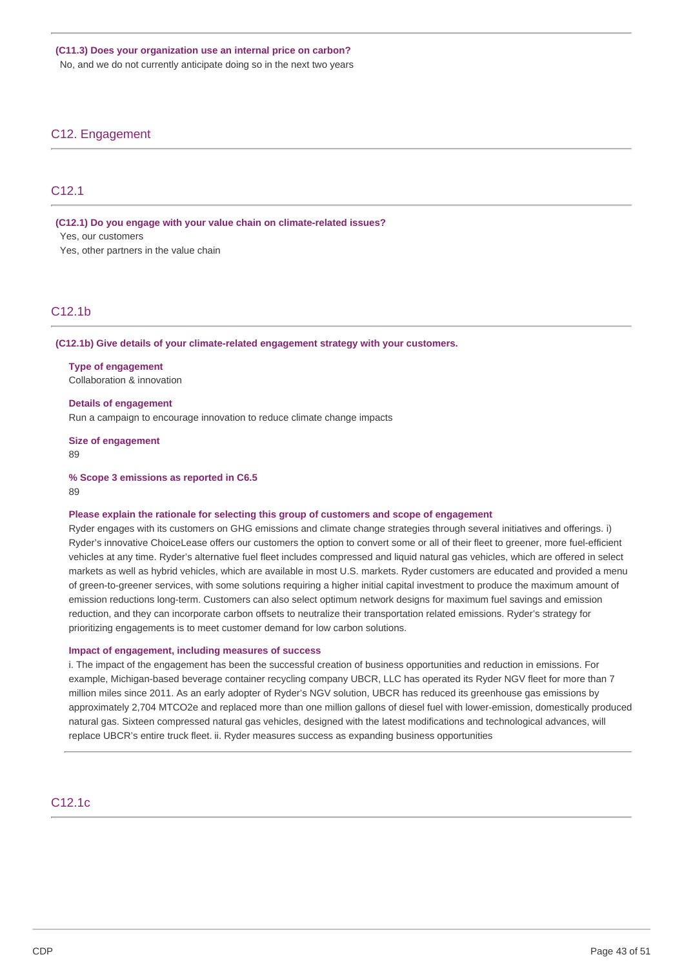No, and we do not currently anticipate doing so in the next two years

# C12. Engagement

# C12.1

 **(C12.1) Do you engage with your value chain on climate-related issues?**

Yes, our customers

Yes, other partners in the value chain

# C12.1b

 **(C12.1b) Give details of your climate-related engagement strategy with your customers.**

 **Type of engagement** Collaboration & innovation

 **Details of engagement** Run a campaign to encourage innovation to reduce climate change impacts

 **Size of engagement**

89

 **% Scope 3 emissions as reported in C6.5**

89

### **Please explain the rationale for selecting this group of customers and scope of engagement**

 Ryder engages with its customers on GHG emissions and climate change strategies through several initiatives and offerings. i) Ryder's innovative ChoiceLease offers our customers the option to convert some or all of their fleet to greener, more fuel-efficient vehicles at any time. Ryder's alternative fuel fleet includes compressed and liquid natural gas vehicles, which are offered in select markets as well as hybrid vehicles, which are available in most U.S. markets. Ryder customers are educated and provided a menu of green-to-greener services, with some solutions requiring a higher initial capital investment to produce the maximum amount of emission reductions long-term. Customers can also select optimum network designs for maximum fuel savings and emission reduction, and they can incorporate carbon offsets to neutralize their transportation related emissions. Ryder's strategy for prioritizing engagements is to meet customer demand for low carbon solutions.

### **Impact of engagement, including measures of success**

 i. The impact of the engagement has been the successful creation of business opportunities and reduction in emissions. For example, Michigan-based beverage container recycling company UBCR, LLC has operated its Ryder NGV fleet for more than 7 million miles since 2011. As an early adopter of Ryder's NGV solution, UBCR has reduced its greenhouse gas emissions by approximately 2,704 MTCO2e and replaced more than one million gallons of diesel fuel with lower-emission, domestically produced natural gas. Sixteen compressed natural gas vehicles, designed with the latest modifications and technological advances, will replace UBCR's entire truck fleet. ii. Ryder measures success as expanding business opportunities

# C12.1c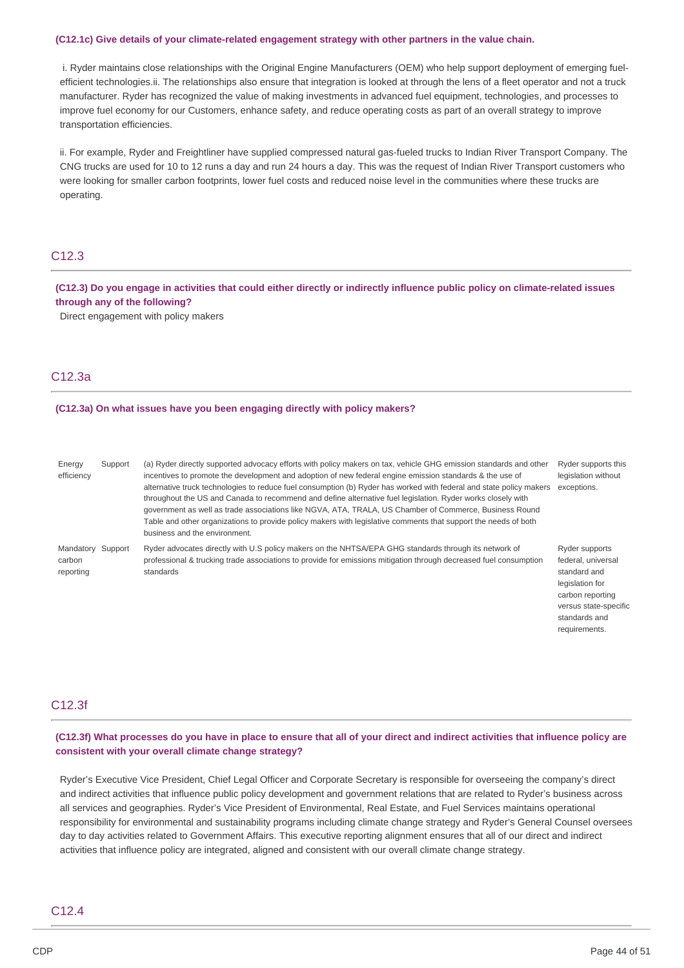#### **(C12.1c) Give details of your climate-related engagement strategy with other partners in the value chain.**

 i. Ryder maintains close relationships with the Original Engine Manufacturers (OEM) who help support deployment of emerging fuel- efficient [technologies.ii.](https://technologies.ii) The relationships also ensure that integration is looked at through the lens of a fleet operator and not a truck manufacturer. Ryder has recognized the value of making investments in advanced fuel equipment, technologies, and processes to improve fuel economy for our Customers, enhance safety, and reduce operating costs as part of an overall strategy to improve transportation efficiencies.

 ii. For example, Ryder and Freightliner have supplied compressed natural gas-fueled trucks to Indian River Transport Company. The CNG trucks are used for 10 to 12 runs a day and run 24 hours a day. This was the request of Indian River Transport customers who were looking for smaller carbon footprints, lower fuel costs and reduced noise level in the communities where these trucks are operating.

# C12.3

(C12.3) Do you engage in activities that could either directly or indirectly influence public policy on climate-related issues  **through any of the following?**

Direct engagement with policy makers

# C12.3a

#### **(C12.3a) On what issues have you been engaging directly with policy makers?**

| Energy<br>efficiency | Support | (a) Ryder directly supported advocacy efforts with policy makers on tax, vehicle GHG emission standards and other<br>incentives to promote the development and adoption of new federal engine emission standards & the use of<br>alternative truck technologies to reduce fuel consumption (b) Ryder has worked with federal and state policy makers<br>throughout the US and Canada to recommend and define alternative fuel legislation. Ryder works closely with<br>government as well as trade associations like NGVA, ATA, TRALA, US Chamber of Commerce, Business Round<br>Table and other organizations to provide policy makers with legislative comments that support the needs of both<br>business and the environment. | Ryder supports this<br>legislation without<br>exceptions. |
|----------------------|---------|-----------------------------------------------------------------------------------------------------------------------------------------------------------------------------------------------------------------------------------------------------------------------------------------------------------------------------------------------------------------------------------------------------------------------------------------------------------------------------------------------------------------------------------------------------------------------------------------------------------------------------------------------------------------------------------------------------------------------------------|-----------------------------------------------------------|
| Mandatory Support    |         | Ryder advocates directly with U.S policy makers on the NHTSA/EPA GHG standards through its network of                                                                                                                                                                                                                                                                                                                                                                                                                                                                                                                                                                                                                             | Ryder supports                                            |
| carbon               |         | professional & trucking trade associations to provide for emissions mitigation through decreased fuel consumption                                                                                                                                                                                                                                                                                                                                                                                                                                                                                                                                                                                                                 | federal, universal                                        |
| reporting            |         | standards                                                                                                                                                                                                                                                                                                                                                                                                                                                                                                                                                                                                                                                                                                                         | standard and                                              |

legislation for carbon reporting versus state-specific standards and requirements.

# C12.3f

# (C12.3f) What processes do you have in place to ensure that all of your direct and indirect activities that influence policy are  **consistent with your overall climate change strategy?**

 Ryder's Executive Vice President, Chief Legal Officer and Corporate Secretary is responsible for overseeing the company's direct and indirect activities that influence public policy development and government relations that are related to Ryder's business across all services and geographies. Ryder's Vice President of Environmental, Real Estate, and Fuel Services maintains operational responsibility for environmental and sustainability programs including climate change strategy and Ryder's General Counsel oversees day to day activities related to Government Affairs. This executive reporting alignment ensures that all of our direct and indirect activities that influence policy are integrated, aligned and consistent with our overall climate change strategy.

# C12.4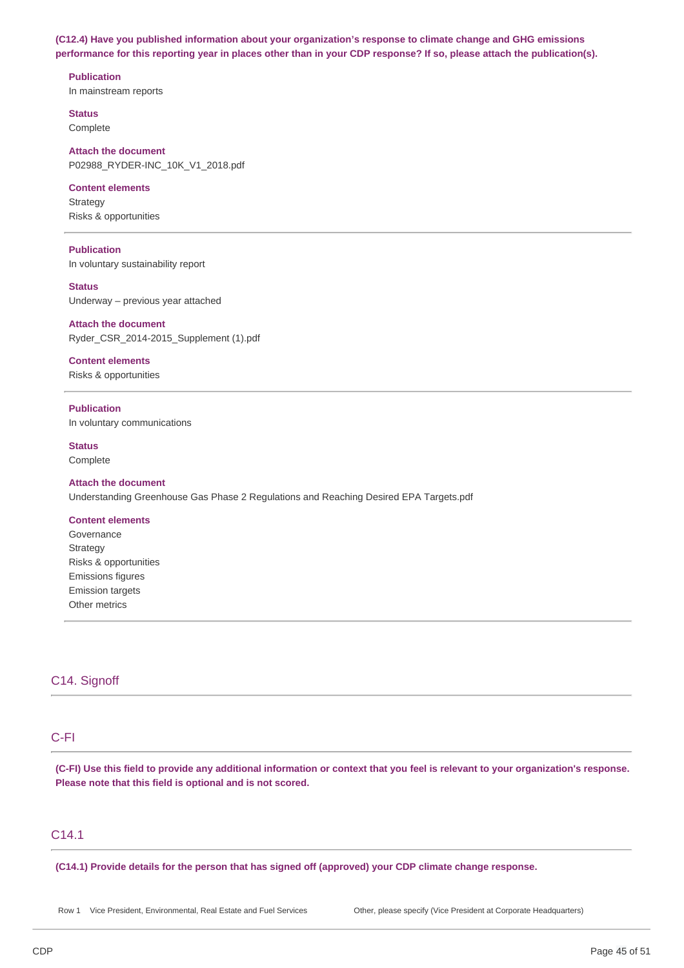**(C12.4) Have you published information about your organization's response to climate change and GHG emissions** performance for this reporting year in places other than in your CDP response? If so, please attach the publication(s).

**Publication**

In mainstream reports

**Status** Complete

 **Attach the document** P02988\_RYDER-INC\_10K\_V1\_2018.pdf

# **Content elements**

 Risks & opportunities **Strategy** 

# **Publication**

In voluntary sustainability report

 Underway – previous year attached **Status**

### **Attach the document**

Ryder\_CSR\_2014-2015\_Supplement (1).pdf

**Content elements**

Risks & opportunities

 In voluntary communications **Publication**

**Status**

Complete

# **Attach the document** Understanding Greenhouse Gas Phase 2 Regulations and Reaching Desired EPA Targets.pdf

### **Content elements**

 Risks & opportunities Governance **Strategy** Emissions figures Emission targets Other metrics

# C14. Signoff

# C-FI

(C-FI) Use this field to provide any additional information or context that you feel is relevant to your organization's response.  **Please note that this field is optional and is not scored.**

# C14.1

 **(C14.1) Provide details for the person that has signed off (approved) your CDP climate change response.**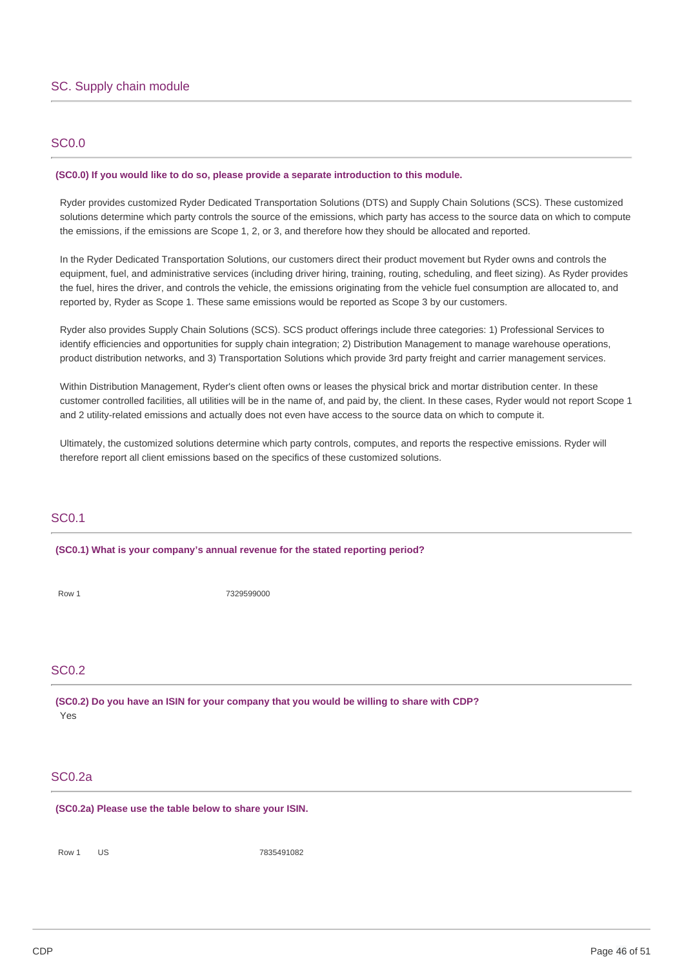# SC0.0

### **(SC0.0) If you would like to do so, please provide a separate introduction to this module.**

 Ryder provides customized Ryder Dedicated Transportation Solutions (DTS) and Supply Chain Solutions (SCS). These customized solutions determine which party controls the source of the emissions, which party has access to the source data on which to compute the emissions, if the emissions are Scope 1, 2, or 3, and therefore how they should be allocated and reported.

 In the Ryder Dedicated Transportation Solutions, our customers direct their product movement but Ryder owns and controls the equipment, fuel, and administrative services (including driver hiring, training, routing, scheduling, and fleet sizing). As Ryder provides the fuel, hires the driver, and controls the vehicle, the emissions originating from the vehicle fuel consumption are allocated to, and reported by, Ryder as Scope 1. These same emissions would be reported as Scope 3 by our customers.

 Ryder also provides Supply Chain Solutions (SCS). SCS product offerings include three categories: 1) Professional Services to identify efficiencies and opportunities for supply chain integration; 2) Distribution Management to manage warehouse operations, product distribution networks, and 3) Transportation Solutions which provide 3rd party freight and carrier management services.

 Within Distribution Management, Ryder's client often owns or leases the physical brick and mortar distribution center. In these customer controlled facilities, all utilities will be in the name of, and paid by, the client. In these cases, Ryder would not report Scope 1 and 2 utility-related emissions and actually does not even have access to the source data on which to compute it.

 Ultimately, the customized solutions determine which party controls, computes, and reports the respective emissions. Ryder will therefore report all client emissions based on the specifics of these customized solutions.

# SC0.1

 **(SC0.1) What is your company's annual revenue for the stated reporting period?**

Row 1 7329599000

# SC0.2

 **(SC0.2) Do you have an ISIN for your company that you would be willing to share with CDP?** Yes

# SC0.2a

 **(SC0.2a) Please use the table below to share your ISIN.**

Row 1 US 7835491082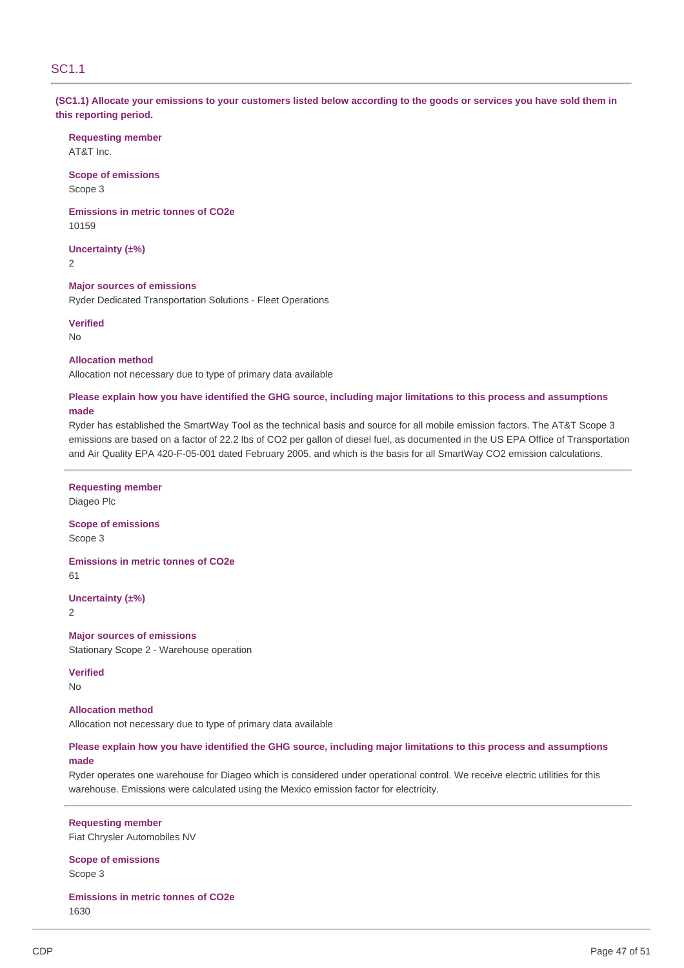# SC1.1

(SC1.1) Allocate your emissions to your customers listed below according to the goods or services you have sold them in  **this reporting period.**

**Requesting member** AT&T Inc.

 **Scope of emissions** Scope 3

 **Emissions in metric tonnes of CO2e** 10159

**Uncertainty (±%)** 2

 **Major sources of emissions** Ryder Dedicated Transportation Solutions - Fleet Operations

**Verified** No

### **Allocation method**

Allocation not necessary due to type of primary data available

# Please explain how you have identified the GHG source, including major limitations to this process and assumptions **made**

 Ryder has established the SmartWay Tool as the technical basis and source for all mobile emission factors. The AT&T Scope 3 emissions are based on a factor of 22.2 lbs of CO2 per gallon of diesel fuel, as documented in the US EPA Office of Transportation and Air Quality EPA 420-F-05-001 dated February 2005, and which is the basis for all SmartWay CO2 emission calculations.

### **Requesting member**

Diageo Plc

 **Scope of emissions** Scope 3

 **Emissions in metric tonnes of CO2e** 61

**Uncertainty (±%)**

2

 **Major sources of emissions** Stationary Scope 2 - Warehouse operation

**Verified**

No

# **Allocation method**

Allocation not necessary due to type of primary data available

# Please explain how you have identified the GHG source, including major limitations to this process and assumptions **made**

 Ryder operates one warehouse for Diageo which is considered under operational control. We receive electric utilities for this warehouse. Emissions were calculated using the Mexico emission factor for electricity.

 Fiat Chrysler Automobiles NV **Requesting member**

 **Scope of emissions** Scope 3

 **Emissions in metric tonnes of CO2e** 1630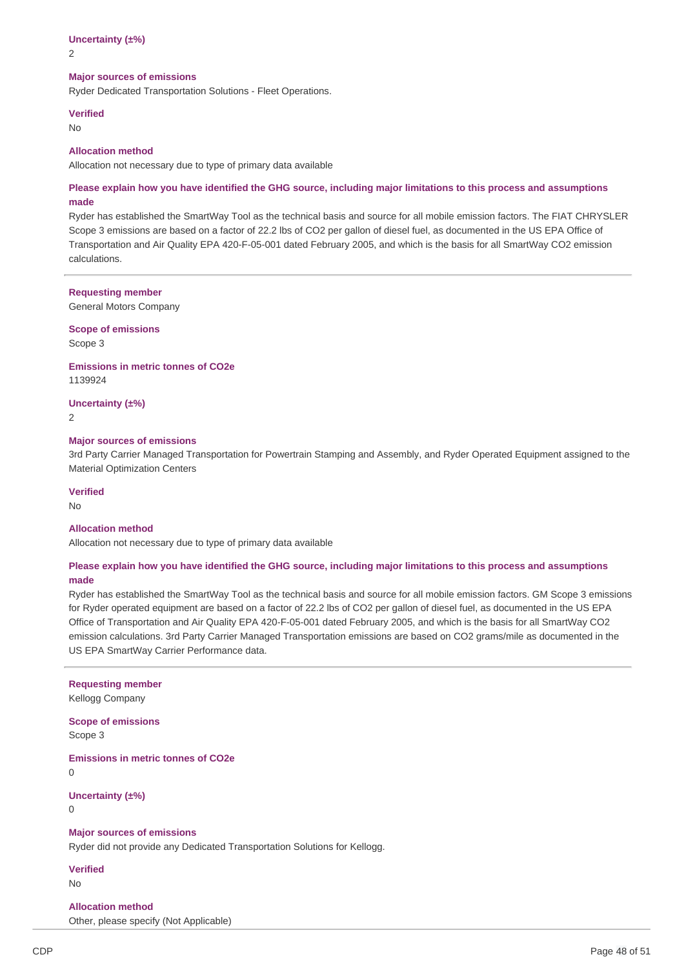# **Uncertainty (±%)**

2

#### **Major sources of emissions**

Ryder Dedicated Transportation Solutions - Fleet Operations.

#### **Verified**

No

### **Allocation method**

Allocation not necessary due to type of primary data available

# Please explain how you have identified the GHG source, including major limitations to this process and assumptions **made**

 Ryder has established the SmartWay Tool as the technical basis and source for all mobile emission factors. The FIAT CHRYSLER Scope 3 emissions are based on a factor of 22.2 lbs of CO2 per gallon of diesel fuel, as documented in the US EPA Office of Transportation and Air Quality EPA 420-F-05-001 dated February 2005, and which is the basis for all SmartWay CO2 emission calculations.

### **Requesting member**

General Motors Company

 **Scope of emissions**

Scope 3

#### **Emissions in metric tonnes of CO2e** 1139924

# **Uncertainty (±%)**

2

#### **Major sources of emissions**

 3rd Party Carrier Managed Transportation for Powertrain Stamping and Assembly, and Ryder Operated Equipment assigned to the Material Optimization Centers

### **Verified**

No

### **Allocation method**

Allocation not necessary due to type of primary data available

### Please explain how you have identified the GHG source, including major limitations to this process and assumptions **made**

 Ryder has established the SmartWay Tool as the technical basis and source for all mobile emission factors. GM Scope 3 emissions for Ryder operated equipment are based on a factor of 22.2 lbs of CO2 per gallon of diesel fuel, as documented in the US EPA Office of Transportation and Air Quality EPA 420-F-05-001 dated February 2005, and which is the basis for all SmartWay CO2 emission calculations. 3rd Party Carrier Managed Transportation emissions are based on CO2 grams/mile as documented in the US EPA SmartWay Carrier Performance data.

# **Requesting member** Kellogg Company

 **Scope of emissions** Scope 3

 **Emissions in metric tonnes of CO2e**  $\Omega$ 

**Uncertainty (±%)**

0

### **Major sources of emissions**

Ryder did not provide any Dedicated Transportation Solutions for Kellogg.

**Verified** No

# **Allocation method**

Other, please specify (Not Applicable)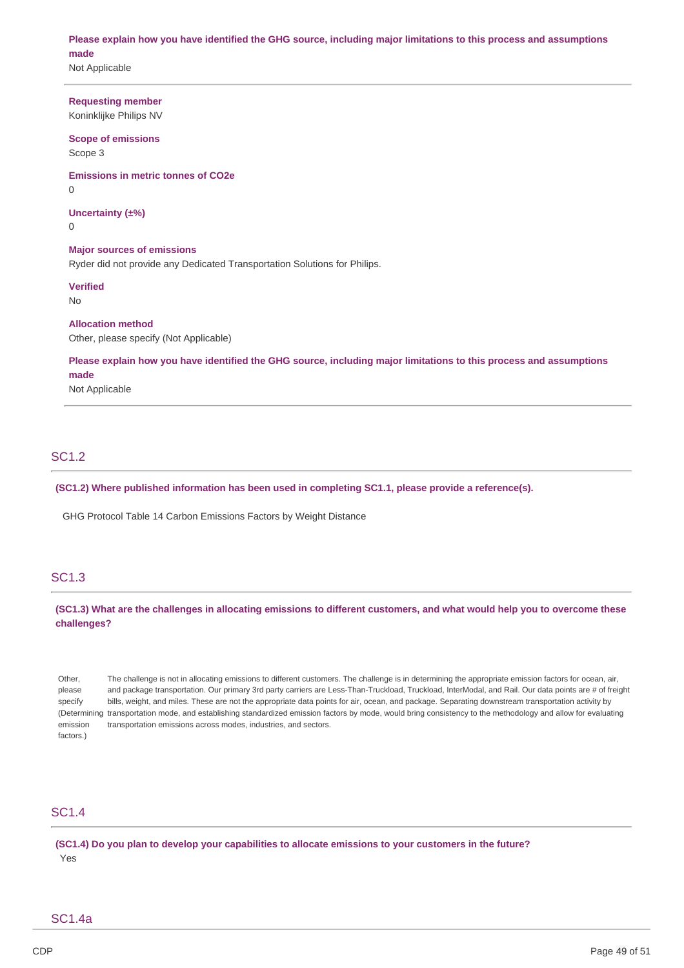Please explain how you have identified the GHG source, including major limitations to this process and assumptions **made**

Not Applicable

# **Requesting member**

Koninklijke Philips NV

# **Scope of emissions**

Scope 3

 **Emissions in metric tonnes of CO2e**

 $\Omega$ 

# **Uncertainty (±%)**

0

# **Major sources of emissions**

Ryder did not provide any Dedicated Transportation Solutions for Philips.

### **Verified**

No

# **Allocation method**

Other, please specify (Not Applicable)

Please explain how you have identified the GHG source, including major limitations to this process and assumptions **made**

# Not Applicable

# SC1.2

 **(SC1.2) Where published information has been used in completing SC1.1, please provide a reference(s).**

GHG Protocol Table 14 Carbon Emissions Factors by Weight Distance

# SC1.3

(SC1.3) What are the challenges in allocating emissions to different customers, and what would help you to overcome these **challenges?**

 Other, The challenge is not in allocating emissions to different customers. The challenge is in determining the appropriate emission factors for ocean, air, please and package transportation. Our primary 3rd party carriers are Less-Than-Truckload, Truckload, InterModal, and Rail. Our data points are # of freight specify bills, weight, and miles. These are not the appropriate data points for air, ocean, and package. Separating downstream transportation activity by (Determining transportation mode, and establishing standardized emission factors by mode, would bring consistency to the methodology and allow for evaluating emission transportation emissions across modes, industries, and sectors. factors.)

# SC1.4

(SC1.4) Do you plan to develop your capabilities to allocate emissions to your customers in the future? Yes

# SC1.4a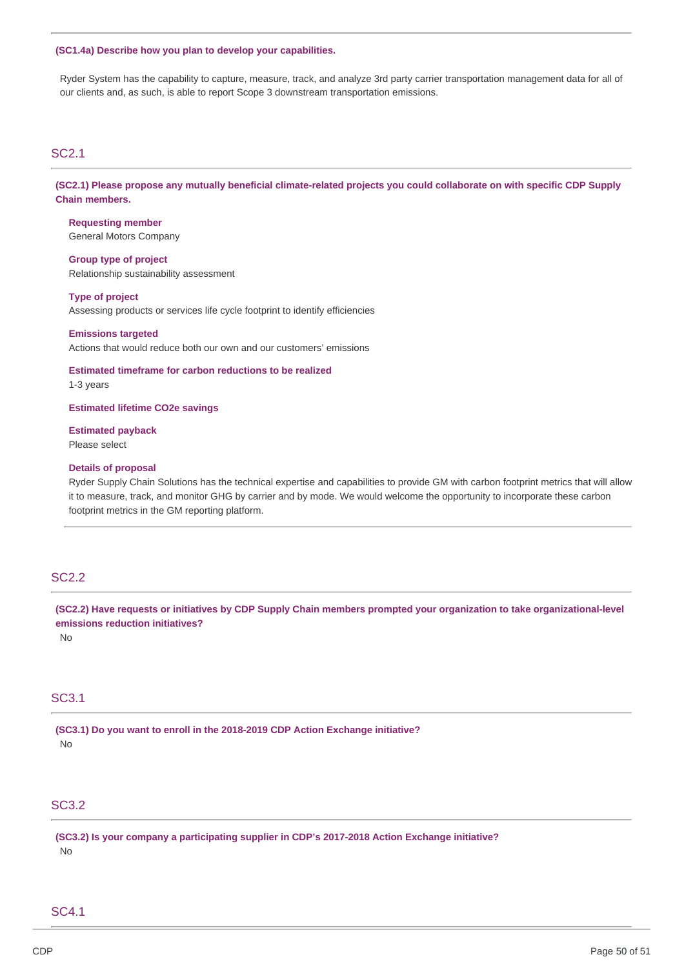#### **(SC1.4a) Describe how you plan to develop your capabilities.**

 Ryder System has the capability to capture, measure, track, and analyze 3rd party carrier transportation management data for all of our clients and, as such, is able to report Scope 3 downstream transportation emissions.

# SC2.1

(SC2.1) Please propose any mutually beneficial climate-related projects you could collaborate on with specific CDP Supply **Chain members.**

 General Motors Company **Requesting member**

 **Group type of project** Relationship sustainability assessment

#### **Type of project**

Assessing products or services life cycle footprint to identify efficiencies

# Actions that would reduce both our own and our customers' emissions **Emissions targeted**

 **Estimated timeframe for carbon reductions to be realized** 1-3 years

 **Estimated lifetime CO2e savings**

**Estimated payback** Please select

### **Details of proposal**

 Ryder Supply Chain Solutions has the technical expertise and capabilities to provide GM with carbon footprint metrics that will allow it to measure, track, and monitor GHG by carrier and by mode. We would welcome the opportunity to incorporate these carbon footprint metrics in the GM reporting platform.

# SC2.2

(SC2.2) Have requests or initiatives by CDP Supply Chain members prompted your organization to take organizational-level  **emissions reduction initiatives?**

No

# SC3.1

 **(SC3.1) Do you want to enroll in the 2018-2019 CDP Action Exchange initiative?** No

# SC3.2

 **(SC3.2) Is your company a participating supplier in CDP's 2017-2018 Action Exchange initiative?** No

# SC4.1